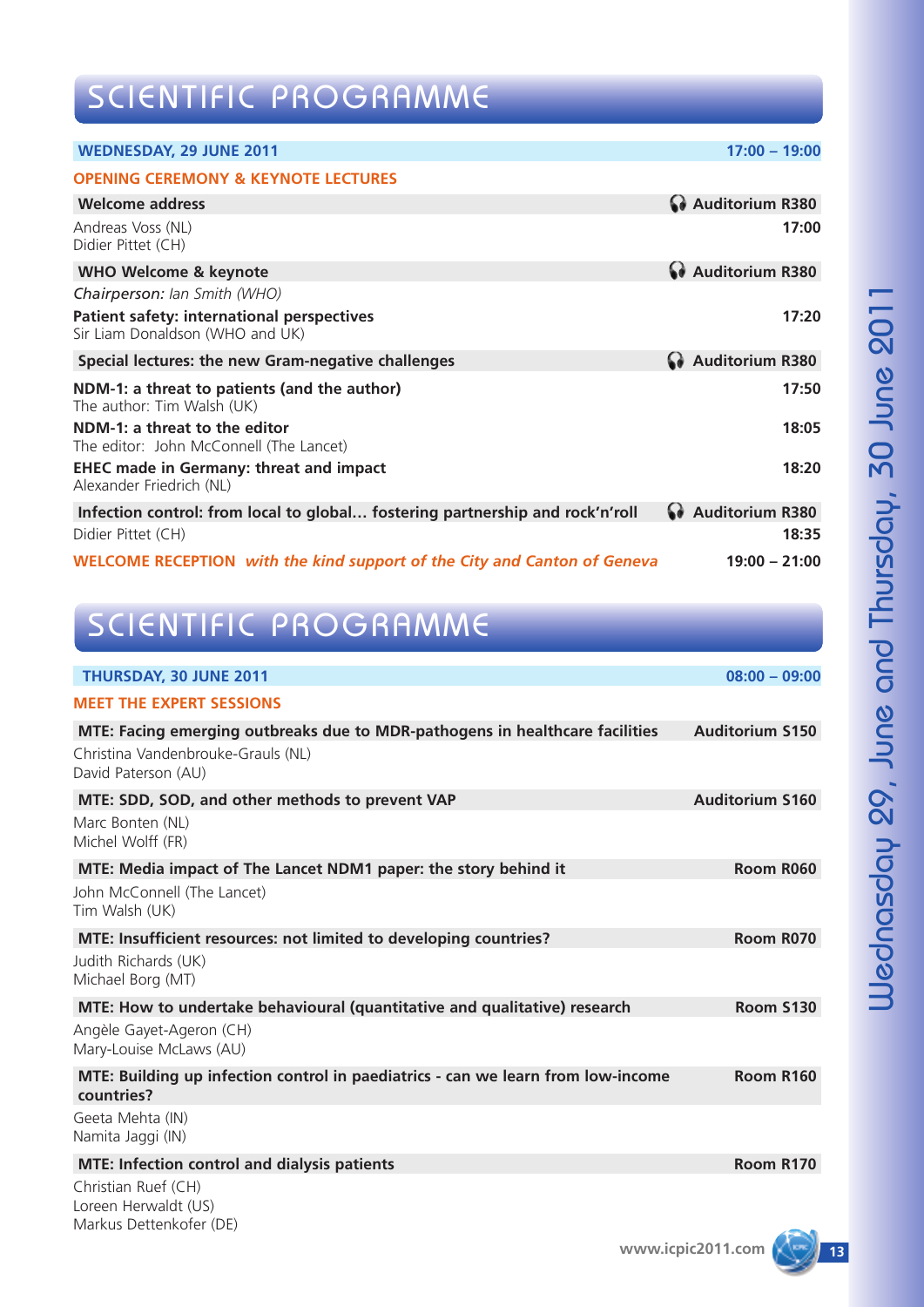# SCIENTIFIC PROGRAMME

| <b>WEDNESDAY, 29 JUNE 2011</b>                                                  | $17:00 - 19:00$   |
|---------------------------------------------------------------------------------|-------------------|
| <b>OPENING CEREMONY &amp; KEYNOTE LECTURES</b>                                  |                   |
| <b>Welcome address</b>                                                          | Auditorium R380   |
| Andreas Voss (NL)<br>Didier Pittet (CH)                                         | 17:00             |
| <b>WHO Welcome &amp; keynote</b>                                                | Mauditorium R380  |
| Chairperson: Ian Smith (WHO)                                                    |                   |
| Patient safety: international perspectives<br>Sir Liam Donaldson (WHO and UK)   | 17:20             |
| Special lectures: the new Gram-negative challenges                              | Auditorium R380   |
| NDM-1: a threat to patients (and the author)<br>The author: Tim Walsh (UK)      | 17:50             |
| NDM-1: a threat to the editor<br>The editor: John McConnell (The Lancet)        | 18:05             |
| <b>EHEC made in Germany: threat and impact</b><br>Alexander Friedrich (NL)      | 18:20             |
| Infection control: from local to global fostering partnership and rock'n'roll   | a Auditorium R380 |
| Didier Pittet (CH)                                                              | 18:35             |
| <b>WELCOME RECEPTION</b> with the kind support of the City and Canton of Geneva | $19:00 - 21:00$   |

## SCIENTIFIC PROGRAMME

| THURSDAY, 30 JUNE 2011                                                                         | $08:00 - 09:00$        |
|------------------------------------------------------------------------------------------------|------------------------|
| <b>MEET THE EXPERT SESSIONS</b>                                                                |                        |
| MTE: Facing emerging outbreaks due to MDR-pathogens in healthcare facilities                   | <b>Auditorium S150</b> |
| Christina Vandenbrouke-Grauls (NL)<br>David Paterson (AU)                                      |                        |
| MTE: SDD, SOD, and other methods to prevent VAP                                                | <b>Auditorium S160</b> |
| Marc Bonten (NL)<br>Michel Wolff (FR)                                                          |                        |
| MTE: Media impact of The Lancet NDM1 paper: the story behind it                                | Room R060              |
| John McConnell (The Lancet)<br>Tim Walsh (UK)                                                  |                        |
| MTE: Insufficient resources: not limited to developing countries?                              | Room R070              |
| Judith Richards (UK)<br>Michael Borg (MT)                                                      |                        |
| MTE: How to undertake behavioural (quantitative and qualitative) research                      | <b>Room S130</b>       |
| Angèle Gayet-Ageron (CH)<br>Mary-Louise McLaws (AU)                                            |                        |
| MTE: Building up infection control in paediatrics - can we learn from low-income<br>countries? | Room R160              |
| Geeta Mehta (IN)<br>Namita Jaggi (IN)                                                          |                        |
| <b>MTE: Infection control and dialysis patients</b>                                            | Room R170              |
| Christian Ruef (CH)                                                                            |                        |

Loreen Herwaldt (US) Markus Dettenkofer (DE)

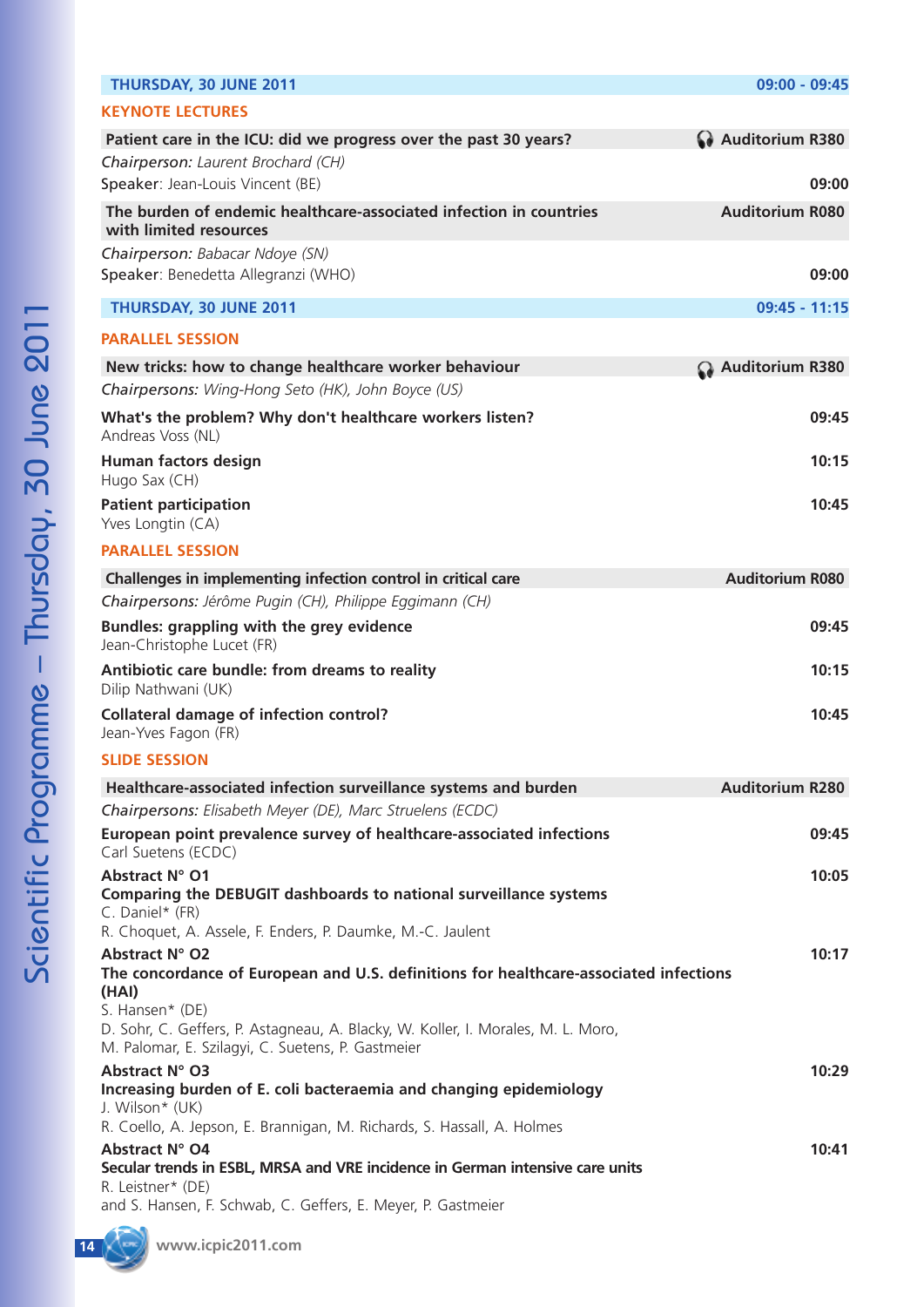| THURSDAY, 30 JUNE 2011                                                                                                                | 09:00 - 09:45          |
|---------------------------------------------------------------------------------------------------------------------------------------|------------------------|
| <b>KEYNOTE LECTURES</b>                                                                                                               |                        |
| Patient care in the ICU: did we progress over the past 30 years?                                                                      | Auditorium R380        |
| Chairperson: Laurent Brochard (CH)                                                                                                    |                        |
| Speaker: Jean-Louis Vincent (BE)                                                                                                      | 09:00                  |
| The burden of endemic healthcare-associated infection in countries<br>with limited resources                                          | <b>Auditorium R080</b> |
| Chairperson: Babacar Ndoye (SN)                                                                                                       |                        |
| Speaker: Benedetta Allegranzi (WHO)                                                                                                   | 09:00                  |
| THURSDAY, 30 JUNE 2011                                                                                                                | 09:45 - 11:15          |
| <b>PARALLEL SESSION</b>                                                                                                               |                        |
| New tricks: how to change healthcare worker behaviour                                                                                 | Auditorium R380        |
| Chairpersons: Wing-Hong Seto (HK), John Boyce (US)                                                                                    |                        |
| What's the problem? Why don't healthcare workers listen?<br>Andreas Voss (NL)                                                         | 09:45                  |
| Human factors design<br>Hugo Sax (CH)                                                                                                 | 10:15                  |
| <b>Patient participation</b><br>Yves Longtin (CA)                                                                                     | 10:45                  |
| <b>PARALLEL SESSION</b>                                                                                                               |                        |
| Challenges in implementing infection control in critical care                                                                         | <b>Auditorium R080</b> |
| Chairpersons: Jérôme Pugin (CH), Philippe Eggimann (CH)                                                                               |                        |
| <b>Bundles: grappling with the grey evidence</b><br>Jean-Christophe Lucet (FR)                                                        | 09:45                  |
| Antibiotic care bundle: from dreams to reality<br>Dilip Nathwani (UK)                                                                 | 10:15                  |
| <b>Collateral damage of infection control?</b><br>Jean-Yves Fagon (FR)                                                                | 10:45                  |
| <b>SLIDE SESSION</b>                                                                                                                  |                        |
| Healthcare-associated infection surveillance systems and burden                                                                       | <b>Auditorium R280</b> |
| Chairpersons: Elisabeth Meyer (DE), Marc Struelens (ECDC)                                                                             |                        |
| European point prevalence survey of healthcare-associated infections<br>Carl Suetens (ECDC)                                           | 09:45                  |
| Abstract N° O1<br>Comparing the DEBUGIT dashboards to national surveillance systems                                                   | 10:05                  |
| C. Daniel* (FR)                                                                                                                       |                        |
| R. Choquet, A. Assele, F. Enders, P. Daumke, M.-C. Jaulent                                                                            |                        |
| Abstract N° O2<br>The concordance of European and U.S. definitions for healthcare-associated infections<br>(HAI)                      | 10:17                  |
| S. Hansen* (DE)                                                                                                                       |                        |
| D. Sohr, C. Geffers, P. Astagneau, A. Blacky, W. Koller, I. Morales, M. L. Moro,<br>M. Palomar, E. Szilagyi, C. Suetens, P. Gastmeier |                        |
| Abstract N° O3                                                                                                                        | 10:29                  |
| Increasing burden of E. coli bacteraemia and changing epidemiology<br>J. Wilson* (UK)                                                 |                        |
| R. Coello, A. Jepson, E. Brannigan, M. Richards, S. Hassall, A. Holmes<br>Abstract N° O4                                              |                        |
| Secular trends in ESBL, MRSA and VRE incidence in German intensive care units<br>R. Leistner* (DE)                                    | 10:41                  |
| and S. Hansen, F. Schwab, C. Geffers, E. Meyer, P. Gastmeier                                                                          |                        |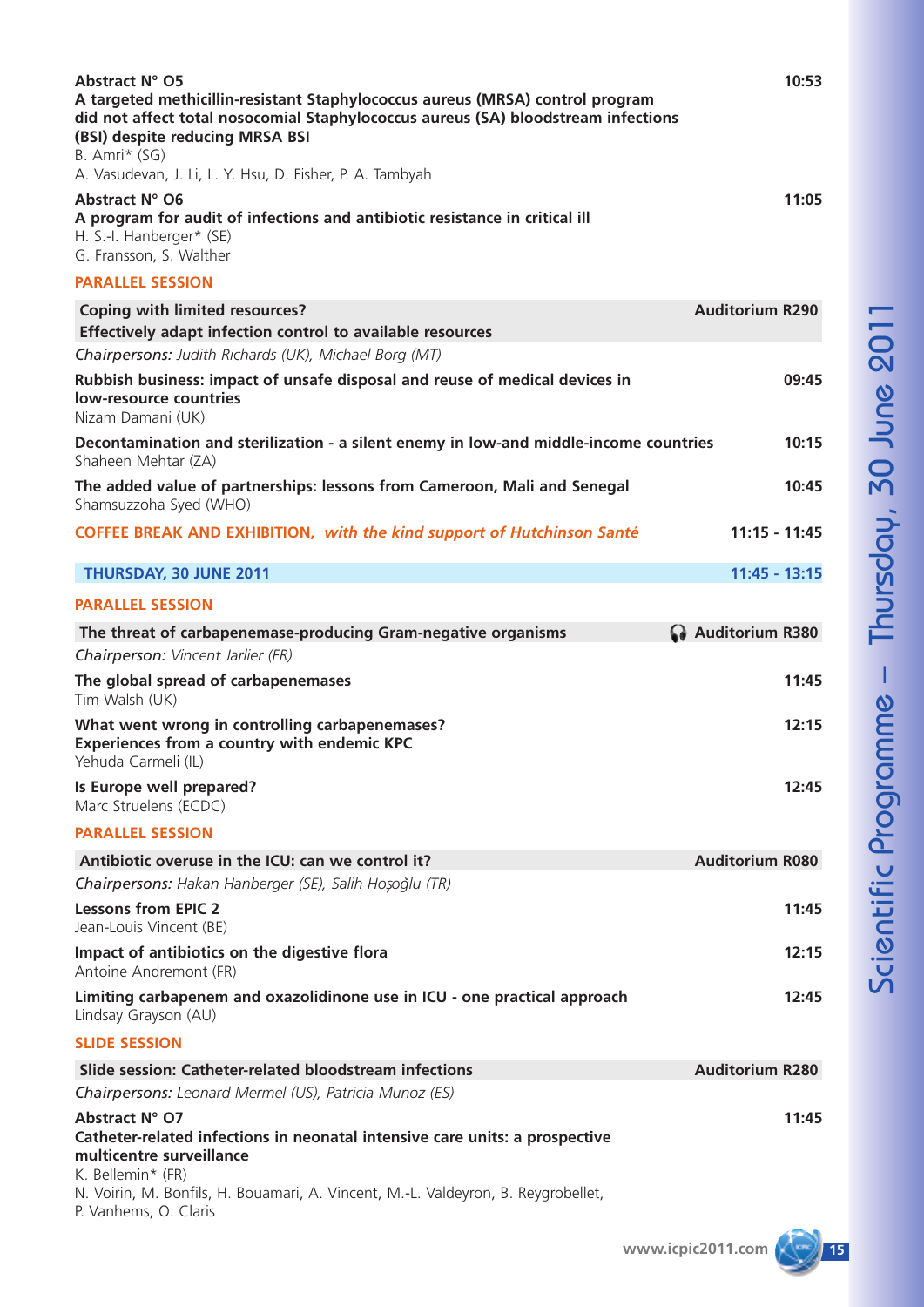| Abstract N° O5<br>A targeted methicillin-resistant Staphylococcus aureus (MRSA) control program<br>did not affect total nosocomial Staphylococcus aureus (SA) bloodstream infections<br>(BSI) despite reducing MRSA BSI<br>B. Amri* (SG)<br>A. Vasudevan, J. Li, L. Y. Hsu, D. Fisher, P. A. Tambyah | 10:53                  |
|------------------------------------------------------------------------------------------------------------------------------------------------------------------------------------------------------------------------------------------------------------------------------------------------------|------------------------|
| Abstract N° O6<br>A program for audit of infections and antibiotic resistance in critical ill<br>H. S.-I. Hanberger* (SE)<br>G. Fransson, S. Walther                                                                                                                                                 | 11:05                  |
| <b>PARALLEL SESSION</b>                                                                                                                                                                                                                                                                              |                        |
| <b>Coping with limited resources?</b>                                                                                                                                                                                                                                                                | <b>Auditorium R290</b> |
| Effectively adapt infection control to available resources<br>Chairpersons: Judith Richards (UK), Michael Borg (MT)                                                                                                                                                                                  |                        |
| Rubbish business: impact of unsafe disposal and reuse of medical devices in<br>low-resource countries<br>Nizam Damani (UK)                                                                                                                                                                           | 09:45                  |
| Decontamination and sterilization - a silent enemy in low-and middle-income countries<br>Shaheen Mehtar (ZA)                                                                                                                                                                                         | 10:15                  |
| The added value of partnerships: lessons from Cameroon, Mali and Senegal<br>Shamsuzzoha Syed (WHO)                                                                                                                                                                                                   | 10:45                  |
| <b>COFFEE BREAK AND EXHIBITION, with the kind support of Hutchinson Santé</b>                                                                                                                                                                                                                        | $11:15 - 11:45$        |
| THURSDAY, 30 JUNE 2011                                                                                                                                                                                                                                                                               | $11:45 - 13:15$        |
| <b>PARALLEL SESSION</b>                                                                                                                                                                                                                                                                              |                        |
| The threat of carbapenemase-producing Gram-negative organisms<br>Chairperson: Vincent Jarlier (FR)                                                                                                                                                                                                   | Auditorium R380        |
| The global spread of carbapenemases<br>Tim Walsh (UK)                                                                                                                                                                                                                                                | 11:45                  |
| What went wrong in controlling carbapenemases?<br><b>Experiences from a country with endemic KPC</b><br>Yehuda Carmeli (IL)                                                                                                                                                                          | 12:15                  |
| Is Europe well prepared?<br>Marc Struelens (ECDC)                                                                                                                                                                                                                                                    | 12:45                  |
| <b>PARALLEL SESSION</b>                                                                                                                                                                                                                                                                              |                        |
| Antibiotic overuse in the ICU: can we control it?                                                                                                                                                                                                                                                    | <b>Auditorium R080</b> |
| Chairpersons: Hakan Hanberger (SE), Salih Hoșoğlu (TR)                                                                                                                                                                                                                                               |                        |
| <b>Lessons from EPIC 2</b><br>Jean-Louis Vincent (BE)                                                                                                                                                                                                                                                | 11:45                  |
| Impact of antibiotics on the digestive flora<br>Antoine Andremont (FR)                                                                                                                                                                                                                               | 12:15                  |
| Limiting carbapenem and oxazolidinone use in ICU - one practical approach<br>Lindsay Grayson (AU)                                                                                                                                                                                                    | 12:45                  |
| <b>SLIDE SESSION</b>                                                                                                                                                                                                                                                                                 |                        |
| Slide session: Catheter-related bloodstream infections                                                                                                                                                                                                                                               | <b>Auditorium R280</b> |
| Chairpersons: Leonard Mermel (US), Patricia Munoz (ES)                                                                                                                                                                                                                                               |                        |
| Abstract N° O7<br>Catheter-related infections in neonatal intensive care units: a prospective<br>multicentre surveillance<br>K. Bellemin* (FR)<br>N. Voirin, M. Bonfils, H. Bouamari, A. Vincent, M.-L. Valdeyron, B. Reygrobellet,<br>P. Vanhems, O. Claris                                         | 11:45                  |

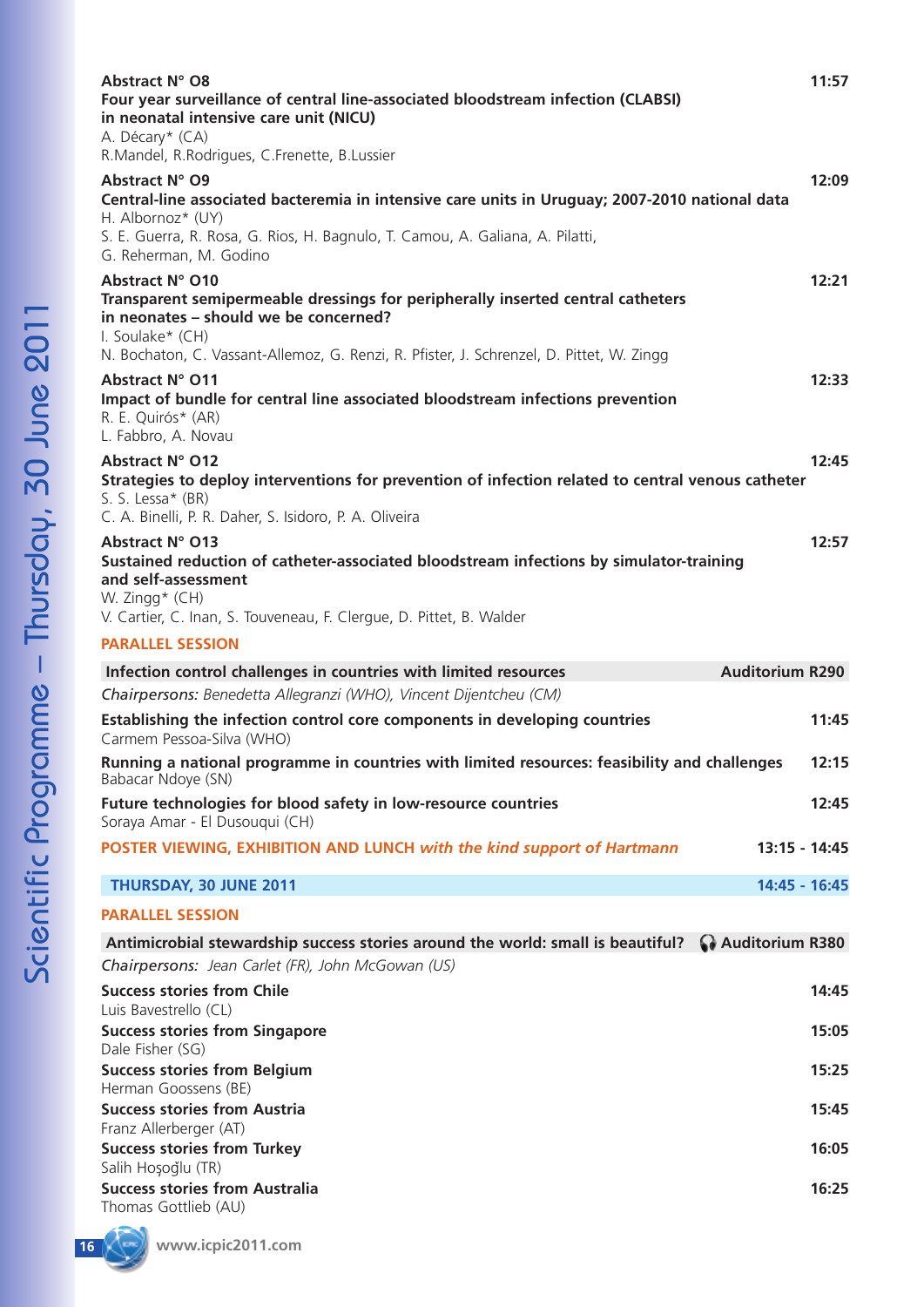| Abstract N° O8<br>Four year surveillance of central line-associated bloodstream infection (CLABSI)<br>in neonatal intensive care unit (NICU)<br>A. Décary* (CA)<br>R.Mandel, R.Rodrigues, C.Frenette, B.Lussier                                                                       | 11:57         |
|---------------------------------------------------------------------------------------------------------------------------------------------------------------------------------------------------------------------------------------------------------------------------------------|---------------|
| Abstract N° O9<br>Central-line associated bacteremia in intensive care units in Uruguay; 2007-2010 national data<br>H. Albornoz* (UY)<br>S. E. Guerra, R. Rosa, G. Rios, H. Bagnulo, T. Camou, A. Galiana, A. Pilatti,                                                                | 12:09         |
| G. Reherman, M. Godino<br>Abstract N° O10<br>Transparent semipermeable dressings for peripherally inserted central catheters<br>in neonates - should we be concerned?<br>I. Soulake* (CH)<br>N. Bochaton, C. Vassant-Allemoz, G. Renzi, R. Pfister, J. Schrenzel, D. Pittet, W. Zingg | 12:21         |
| Abstract N° O11<br>Impact of bundle for central line associated bloodstream infections prevention<br>R. E. Quirós* (AR)<br>L. Fabbro, A. Novau                                                                                                                                        | 12:33         |
| <b>Abstract N° O12</b><br>Strategies to deploy interventions for prevention of infection related to central venous catheter<br>S. S. Lessa* (BR)<br>C. A. Binelli, P. R. Daher, S. Isidoro, P. A. Oliveira                                                                            | 12:45         |
| Abstract N° O13<br>Sustained reduction of catheter-associated bloodstream infections by simulator-training<br>and self-assessment<br>W. Zingg* (CH)<br>V. Cartier, C. Inan, S. Touveneau, F. Clergue, D. Pittet, B. Walder                                                            | 12:57         |
| <b>PARALLEL SESSION</b>                                                                                                                                                                                                                                                               |               |
|                                                                                                                                                                                                                                                                                       |               |
| <b>Auditorium R290</b><br>Infection control challenges in countries with limited resources                                                                                                                                                                                            |               |
| Chairpersons: Benedetta Allegranzi (WHO), Vincent Dijentcheu (CM)                                                                                                                                                                                                                     |               |
| Establishing the infection control core components in developing countries<br>Carmem Pessoa-Silva (WHO)                                                                                                                                                                               | 11:45         |
| Running a national programme in countries with limited resources: feasibility and challenges<br>Babacar Ndoye (SN)                                                                                                                                                                    | 12:15         |
| Future technologies for blood safety in low-resource countries<br>Soraya Amar - El Dusouqui (CH)                                                                                                                                                                                      | 12:45         |
| POSTER VIEWING, EXHIBITION AND LUNCH with the kind support of Hartmann                                                                                                                                                                                                                | 13:15 - 14:45 |
| THURSDAY, 30 JUNE 2011                                                                                                                                                                                                                                                                | 14:45 - 16:45 |
| <b>PARALLEL SESSION</b>                                                                                                                                                                                                                                                               |               |
| Auditorium R380<br>Antimicrobial stewardship success stories around the world: small is beautiful?                                                                                                                                                                                    |               |
| Chairpersons: Jean Carlet (FR), John McGowan (US)                                                                                                                                                                                                                                     |               |
| <b>Success stories from Chile</b>                                                                                                                                                                                                                                                     | 14:45         |
| Luis Bavestrello (CL)<br><b>Success stories from Singapore</b>                                                                                                                                                                                                                        | 15:05         |
| Dale Fisher (SG)<br><b>Success stories from Belgium</b>                                                                                                                                                                                                                               | 15:25         |
| Herman Goossens (BE)<br><b>Success stories from Austria</b>                                                                                                                                                                                                                           | 15:45         |
| Franz Allerberger (AT)<br><b>Success stories from Turkey</b>                                                                                                                                                                                                                          | 16:05         |
| Salih Hoșoğlu (TR)<br><b>Success stories from Australia</b><br>Thomas Gottlieb (AU)<br><b>COMMA</b>                                                                                                                                                                                   | 16:25         |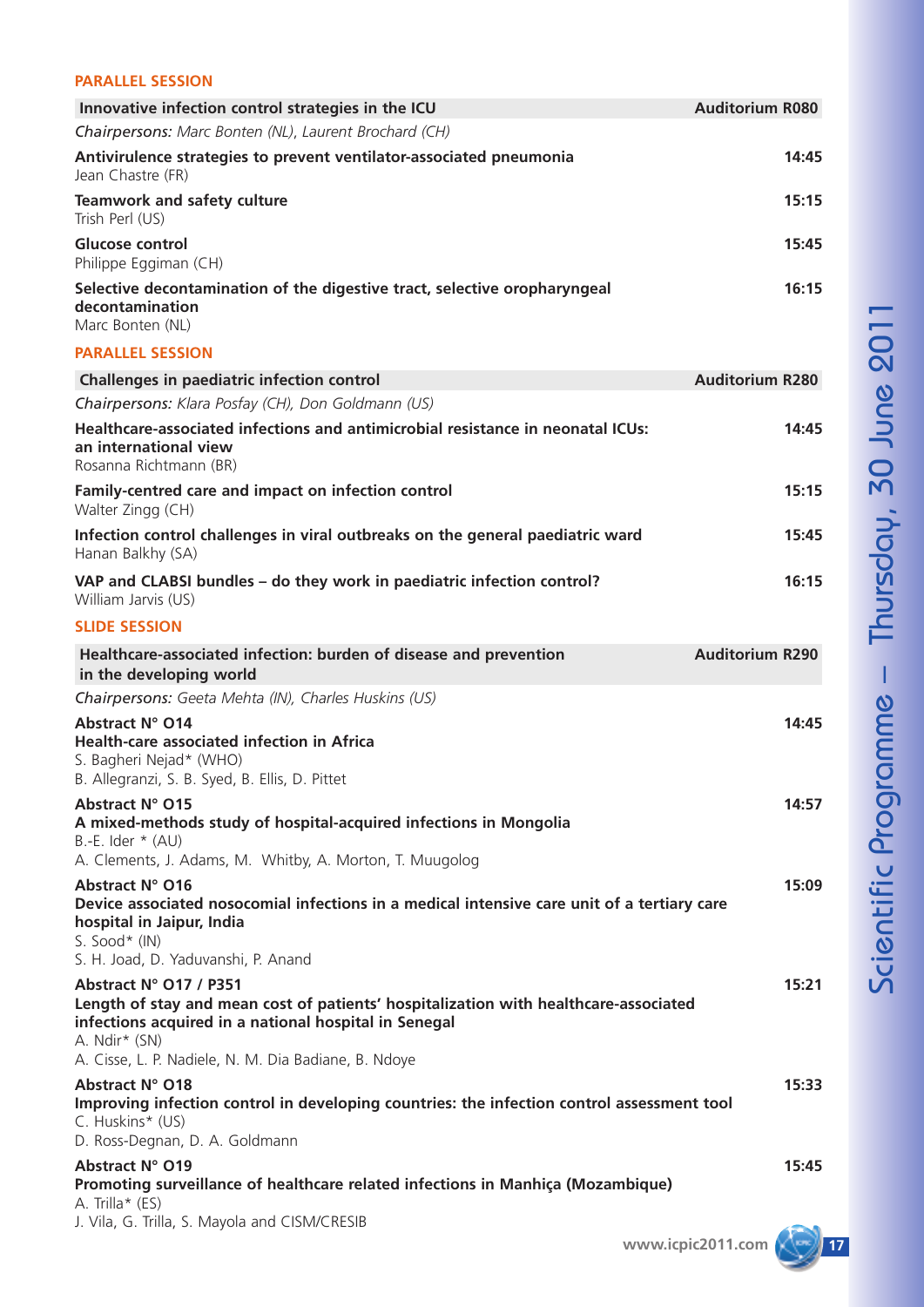### **PARALLEL SESSION**

| Innovative infection control strategies in the ICU                                                                                                                                       | <b>Auditorium R080</b> |
|------------------------------------------------------------------------------------------------------------------------------------------------------------------------------------------|------------------------|
| Chairpersons: Marc Bonten (NL), Laurent Brochard (CH)                                                                                                                                    |                        |
| Antivirulence strategies to prevent ventilator-associated pneumonia<br>Jean Chastre (FR)                                                                                                 | 14:45                  |
| <b>Teamwork and safety culture</b><br>Trish Perl (US)                                                                                                                                    | 15:15                  |
| <b>Glucose control</b><br>Philippe Eggiman (CH)                                                                                                                                          | 15:45                  |
| Selective decontamination of the digestive tract, selective oropharyngeal<br>decontamination<br>Marc Bonten (NL)                                                                         | 16:15                  |
| <b>PARALLEL SESSION</b>                                                                                                                                                                  |                        |
| Challenges in paediatric infection control                                                                                                                                               | <b>Auditorium R280</b> |
| Chairpersons: Klara Posfay (CH), Don Goldmann (US)                                                                                                                                       |                        |
| Healthcare-associated infections and antimicrobial resistance in neonatal ICUs:<br>an international view<br>Rosanna Richtmann (BR)                                                       | 14:45                  |
| Family-centred care and impact on infection control<br>Walter Zingg (CH)                                                                                                                 | 15:15                  |
| Infection control challenges in viral outbreaks on the general paediatric ward<br>Hanan Balkhy (SA)                                                                                      | 15:45                  |
| VAP and CLABSI bundles - do they work in paediatric infection control?<br>William Jarvis (US)                                                                                            | 16:15                  |
| <b>SLIDE SESSION</b>                                                                                                                                                                     |                        |
| Healthcare-associated infection: burden of disease and prevention                                                                                                                        | <b>Auditorium R290</b> |
| in the developing world                                                                                                                                                                  |                        |
| Chairpersons: Geeta Mehta (IN), Charles Huskins (US)                                                                                                                                     |                        |
| Abstract N° O14                                                                                                                                                                          | 14:45                  |
| <b>Health-care associated infection in Africa</b><br>S. Bagheri Nejad* (WHO)                                                                                                             |                        |
| B. Allegranzi, S. B. Syed, B. Ellis, D. Pittet<br>Abstract N° O15                                                                                                                        | 14:57                  |
| A mixed-methods study of hospital-acquired infections in Mongolia<br>$B.-E.$ Ider $*$ (AU)                                                                                               |                        |
| A. Clements, J. Adams, M. Whitby, A. Morton, T. Muugolog                                                                                                                                 |                        |
| Abstract N° O16<br>Device associated nosocomial infections in a medical intensive care unit of a tertiary care<br>hospital in Jaipur, India<br>S. Sood* $(IN)$                           | 15:09                  |
| S. H. Joad, D. Yaduvanshi, P. Anand                                                                                                                                                      |                        |
| Abstract N° 017 / P351<br>Length of stay and mean cost of patients' hospitalization with healthcare-associated<br>infections acquired in a national hospital in Senegal<br>A. Ndir* (SN) | 15:21                  |
| A. Cisse, L. P. Nadiele, N. M. Dia Badiane, B. Ndoye                                                                                                                                     |                        |
| Abstract N° O18<br>Improving infection control in developing countries: the infection control assessment tool<br>C. Huskins* (US)<br>D. Ross-Degnan, D. A. Goldmann                      | 15:33                  |
| Abstract N° 019                                                                                                                                                                          | 15:45                  |
| Promoting surveillance of healthcare related infections in Manhiça (Mozambique)<br>A. Trilla $*(ES)$                                                                                     |                        |
| J. Vila, G. Trilla, S. Mayola and CISM/CRESIB                                                                                                                                            | www.icpic2011.com      |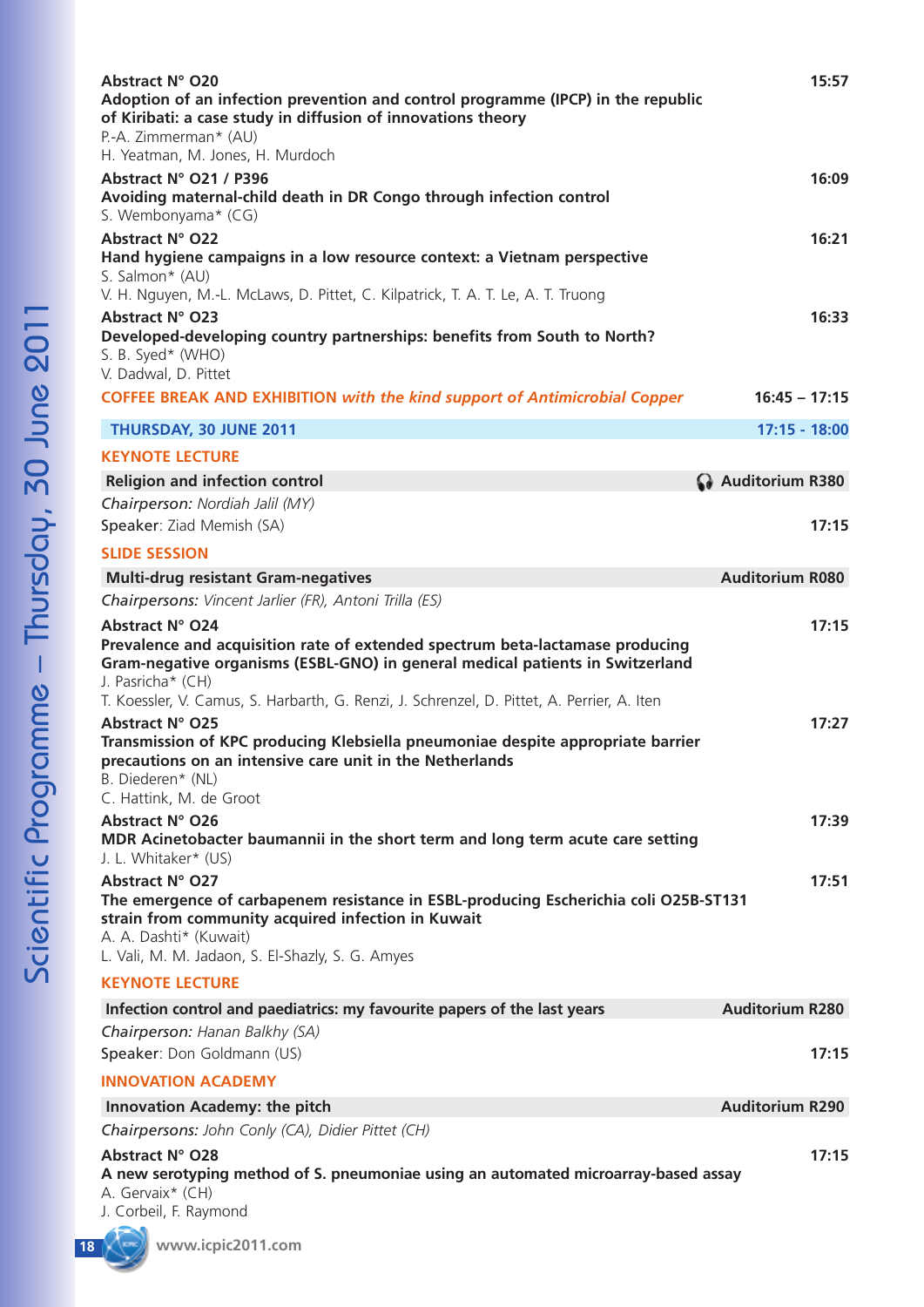| Abstract N° O20<br>Adoption of an infection prevention and control programme (IPCP) in the republic<br>of Kiribati: a case study in diffusion of innovations theory<br>P.-A. Zimmerman* (AU)<br>H. Yeatman, M. Jones, H. Murdoch                                                                            | 15:57                  |
|-------------------------------------------------------------------------------------------------------------------------------------------------------------------------------------------------------------------------------------------------------------------------------------------------------------|------------------------|
| Abstract N° O21 / P396<br>Avoiding maternal-child death in DR Congo through infection control<br>S. Wembonyama* (CG)                                                                                                                                                                                        | 16:09                  |
| Abstract N° O22<br>Hand hygiene campaigns in a low resource context: a Vietnam perspective<br>S. Salmon* (AU)<br>V. H. Nguyen, M.-L. McLaws, D. Pittet, C. Kilpatrick, T. A. T. Le, A. T. Truong                                                                                                            | 16:21                  |
| Abstract N° O23<br>Developed-developing country partnerships: benefits from South to North?<br>S. B. Syed* (WHO)<br>V. Dadwal, D. Pittet                                                                                                                                                                    | 16:33                  |
| <b>COFFEE BREAK AND EXHIBITION with the kind support of Antimicrobial Copper</b>                                                                                                                                                                                                                            | $16:45 - 17:15$        |
| THURSDAY, 30 JUNE 2011                                                                                                                                                                                                                                                                                      | $17:15 - 18:00$        |
| <b>KEYNOTE LECTURE</b>                                                                                                                                                                                                                                                                                      |                        |
| <b>Religion and infection control</b>                                                                                                                                                                                                                                                                       | Auditorium R380        |
| Chairperson: Nordiah Jalil (MY)<br>Speaker: Ziad Memish (SA)                                                                                                                                                                                                                                                | 17:15                  |
| <b>SLIDE SESSION</b>                                                                                                                                                                                                                                                                                        |                        |
| <b>Multi-drug resistant Gram-negatives</b>                                                                                                                                                                                                                                                                  | <b>Auditorium R080</b> |
| Chairpersons: Vincent Jarlier (FR), Antoni Trilla (ES)                                                                                                                                                                                                                                                      |                        |
| <b>Abstract N° O24</b><br>Prevalence and acquisition rate of extended spectrum beta-lactamase producing<br>Gram-negative organisms (ESBL-GNO) in general medical patients in Switzerland<br>J. Pasricha* (CH)<br>T. Koessler, V. Camus, S. Harbarth, G. Renzi, J. Schrenzel, D. Pittet, A. Perrier, A. Iten | 17:15                  |
| Abstract N° O25<br>Transmission of KPC producing Klebsiella pneumoniae despite appropriate barrier<br>precautions on an intensive care unit in the Netherlands<br>B. Diederen* (NL)<br>C. Hattink, M. de Groot                                                                                              | 17:27                  |
| <b>Abstract N° O26</b><br>MDR Acinetobacter baumannii in the short term and long term acute care setting<br>J. L. Whitaker* (US)                                                                                                                                                                            | 17:39                  |
| Abstract N° O27<br>The emergence of carbapenem resistance in ESBL-producing Escherichia coli O25B-ST131<br>strain from community acquired infection in Kuwait<br>A. A. Dashti* (Kuwait)<br>L. Vali, M. M. Jadaon, S. El-Shazly, S. G. Amyes                                                                 | 17:51                  |
| <b>KEYNOTE LECTURE</b>                                                                                                                                                                                                                                                                                      |                        |
| Infection control and paediatrics: my favourite papers of the last years                                                                                                                                                                                                                                    | <b>Auditorium R280</b> |
| Chairperson: Hanan Balkhy (SA)<br>Speaker: Don Goldmann (US)                                                                                                                                                                                                                                                | 17:15                  |
| <b>INNOVATION ACADEMY</b>                                                                                                                                                                                                                                                                                   |                        |
| <b>Innovation Academy: the pitch</b>                                                                                                                                                                                                                                                                        | <b>Auditorium R290</b> |
| Chairpersons: John Conly (CA), Didier Pittet (CH)                                                                                                                                                                                                                                                           |                        |
| <b>Abstract N° O28</b><br>A new serotyping method of S. pneumoniae using an automated microarray-based assay<br>A. Gervaix* (CH)<br>J. Corbeil, F. Raymond                                                                                                                                                  | 17:15                  |

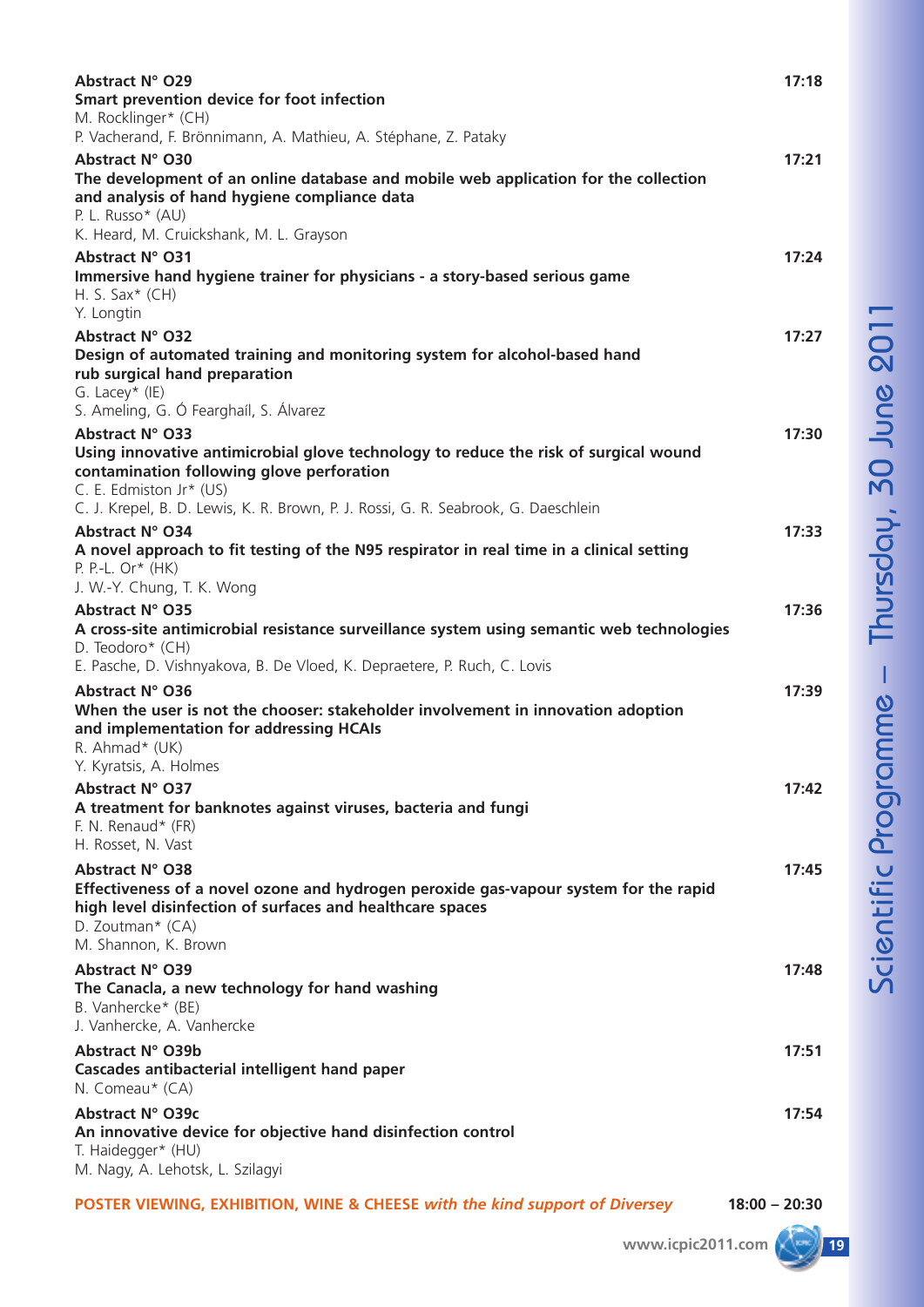| Abstract N° O29<br>Smart prevention device for foot infection<br>M. Rocklinger* (CH)<br>P. Vacherand, F. Brönnimann, A. Mathieu, A. Stéphane, Z. Pataky                                                                                                                | 17:18 |
|------------------------------------------------------------------------------------------------------------------------------------------------------------------------------------------------------------------------------------------------------------------------|-------|
| Abstract N° O30<br>The development of an online database and mobile web application for the collection<br>and analysis of hand hygiene compliance data<br>P. L. Russo* (AU)<br>K. Heard, M. Cruickshank, M. L. Grayson                                                 | 17:21 |
| Abstract N° O31<br>Immersive hand hygiene trainer for physicians - a story-based serious game<br>H. S. Sax $*$ (CH)<br>Y. Longtin                                                                                                                                      | 17:24 |
| <b>Abstract N° O32</b><br>Design of automated training and monitoring system for alcohol-based hand<br>rub surgical hand preparation<br>G. Lacey* (IE)                                                                                                                 | 17:27 |
| S. Ameling, G. Ó Fearghaíl, S. Álvarez<br>Abstract N° O33<br>Using innovative antimicrobial glove technology to reduce the risk of surgical wound<br>contamination following glove perforation                                                                         | 17:30 |
| C. E. Edmiston Jr* (US)<br>C. J. Krepel, B. D. Lewis, K. R. Brown, P. J. Rossi, G. R. Seabrook, G. Daeschlein<br>Abstract N° O34<br>A novel approach to fit testing of the N95 respirator in real time in a clinical setting<br>P. P.-L. $Or^*$ (HK)                   | 17:33 |
| J. W.-Y. Chung, T. K. Wong<br>Abstract N° O35<br>A cross-site antimicrobial resistance surveillance system using semantic web technologies<br>D. Teodoro* (CH)                                                                                                         | 17:36 |
| E. Pasche, D. Vishnyakova, B. De Vloed, K. Depraetere, P. Ruch, C. Lovis<br>Abstract N° O36<br>When the user is not the chooser: stakeholder involvement in innovation adoption<br>and implementation for addressing HCAIs<br>R. Ahmad* (UK)<br>Y. Kyratsis, A. Holmes | 17:39 |
| Abstract N° O37<br>A treatment for banknotes against viruses, bacteria and fungi<br>F. N. Renaud* (FR)<br>H. Rosset, N. Vast                                                                                                                                           | 17:42 |
| Abstract N° O38<br>Effectiveness of a novel ozone and hydrogen peroxide gas-vapour system for the rapid<br>high level disinfection of surfaces and healthcare spaces<br>D. Zoutman* (CA)<br>M. Shannon, K. Brown                                                       | 17:45 |
| Abstract N° O39<br>The Canacla, a new technology for hand washing<br>B. Vanhercke* (BE)<br>J. Vanhercke, A. Vanhercke                                                                                                                                                  | 17:48 |
| Abstract N° O39b<br>Cascades antibacterial intelligent hand paper<br>N. Comeau* (CA)                                                                                                                                                                                   | 17:51 |
| Abstract N° O39c<br>An innovative device for objective hand disinfection control<br>T. Haidegger* (HU)<br>M. Nagy, A. Lehotsk, L. Szilagyi                                                                                                                             | 17:54 |

**POSTER VIEWING, EXHIBITION, WINE & CHEESE** *with the kind support of Diversey* **18:00 – 20:30**

–

T h  $\mathbf{\mathop{=}}$ <u>ღ</u>  $\overline{\mathbf{O}}$  $\mathbf \sigma$ 

m<br>J.

 $\mathbf{\Omega}$  $\blacksquare$  $\Box$  $\blacksquare$  $\boldsymbol{\omega}$ 2 0 1  $\blacksquare$ 

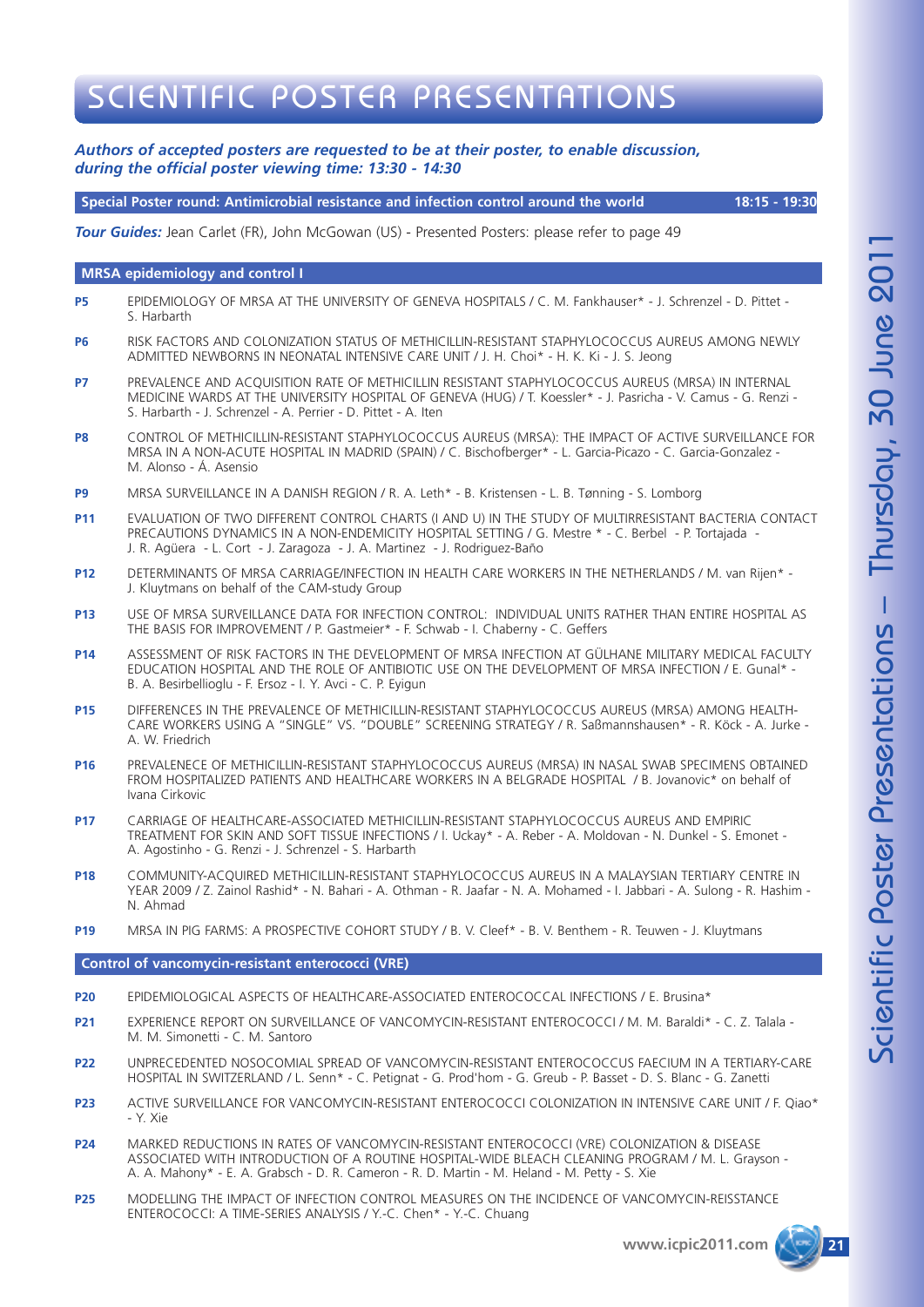## SCIENTIFIC POSTER PRESENTATIONS

### *Authors of accepted posters are requested to be at their poster, to enable discussion, during the official poster viewing time: 13:30 - 14:30*

**Special Poster round: Antimicrobial resistance and infection control around the world 18:15 - 19:30**

*Tour Guides:* Jean Carlet (FR), John McGowan (US) - Presented Posters: please refer to page 49

#### **MRSA epidemiology and control I**

- **P5** EPIDEMIOLOGY OF MRSA AT THE UNIVERSITY OF GENEVA HOSPITALS / C. M. Fankhauser\* J. Schrenzel D. Pittet S. Harbarth
- **P6** RISK FACTORS AND COLONIZATION STATUS OF METHICILLIN-RESISTANT STAPHYLOCOCCUS AUREUS AMONG NEWLY ADMITTED NEWBORNS IN NEONATAL INTENSIVE CARE UNIT / J. H. Choi\* - H. K. Ki - J. S. Jeong
- **P7** PREVALENCE AND ACQUISITION RATE OF METHICILLIN RESISTANT STAPHYLOCOCCUS AUREUS (MRSA) IN INTERNAL MEDICINE WARDS AT THE UNIVERSITY HOSPITAL OF GENEVA (HUG) / T. Koessler\* - J. Pasricha - V. Camus - G. Renzi - S. Harbarth - J. Schrenzel - A. Perrier - D. Pittet - A. Iten
- **P8** CONTROL OF METHICILLIN-RESISTANT STAPHYLOCOCCUS AUREUS (MRSA): THE IMPACT OF ACTIVE SURVEILLANCE FOR MRSA IN A NON-ACUTE HOSPITAL IN MADRID (SPAIN) / C. Bischofberger\* - L. Garcia-Picazo - C. Garcia-Gonzalez - M. Alonso - Á. Asensio
- **P9** MRSA SURVEILLANCE IN A DANISH REGION / R. A. Leth\* B. Kristensen L. B. Tønning S. Lomborg
- **P11** EVALUATION OF TWO DIFFERENT CONTROL CHARTS (I AND U) IN THE STUDY OF MULTIRRESISTANT BACTERIA CONTACT PRECAUTIONS DYNAMICS IN A NON-ENDEMICITY HOSPITAL SETTING / G. Mestre \* - C. Berbel - P. Tortajada - J. R. Agüera - L. Cort - J. Zaragoza - J. A. Martinez - J. Rodriguez-Baño
- **P12** DETERMINANTS OF MRSA CARRIAGE/INFECTION IN HEALTH CARE WORKERS IN THE NETHERLANDS / M. van Rijen\* J. Kluytmans on behalf of the CAM-study Group
- **P13** USE OF MRSA SURVEILLANCE DATA FOR INFECTION CONTROL: INDIVIDUAL UNITS RATHER THAN ENTIRE HOSPITAL AS THE BASIS FOR IMPROVEMENT / P. Gastmeier\* - F. Schwab - I. Chaberny - C. Geffers
- **P14** ASSESSMENT OF RISK FACTORS IN THE DEVELOPMENT OF MRSA INFECTION AT GÜLHANE MILITARY MEDICAL FACULTY EDUCATION HOSPITAL AND THE ROLE OF ANTIBIOTIC USE ON THE DEVELOPMENT OF MRSA INFECTION / E. Gunal\* - B. A. Besirbellioglu - F. Ersoz - I. Y. Avci - C. P. Eyigun
- **P15** DIFFERENCES IN THE PREVALENCE OF METHICILLIN-RESISTANT STAPHYLOCOCCUS AUREUS (MRSA) AMONG HEALTH-CARE WORKERS USING A "SINGLE" VS. "DOUBLE" SCREENING STRATEGY / R. Saßmannshausen\* - R. Köck - A. Jurke - A. W. Friedrich
- **P16** PREVALENECE OF METHICILLIN-RESISTANT STAPHYLOCOCCUS AUREUS (MRSA) IN NASAL SWAB SPECIMENS OBTAINED FROM HOSPITALIZED PATIENTS AND HEALTHCARE WORKERS IN A BELGRADE HOSPITAL / B. Jovanovic\* on behalf of Ivana Cirkovic
- **P17** CARRIAGE OF HEALTHCARE-ASSOCIATED METHICILLIN-RESISTANT STAPHYLOCOCCUS AUREUS AND EMPIRIC TREATMENT FOR SKIN AND SOFT TISSUE INFECTIONS / I. Uckay\* - A. Reber - A. Moldovan - N. Dunkel - S. Emonet - A. Agostinho - G. Renzi - J. Schrenzel - S. Harbarth
- **P18** COMMUNITY-ACQUIRED METHICILLIN-RESISTANT STAPHYLOCOCCUS AUREUS IN A MALAYSIAN TERTIARY CENTRE IN YEAR 2009 / Z. Zainol Rashid\* - N. Bahari - A. Othman - R. Jaafar - N. A. Mohamed - I. Jabbari - A. Sulong - R. Hashim - N. Ahmad
- **P19** MRSA IN PIG FARMS: A PROSPECTIVE COHORT STUDY / B. V. Cleef\* B. V. Benthem R. Teuwen J. Kluytmans

#### **Control of vancomycin-resistant enterococci (VRE)**

- **P20** EPIDEMIOLOGICAL ASPECTS OF HEALTHCARE-ASSOCIATED ENTEROCOCCAL INFECTIONS / E. Brusina\*
- **P21** EXPERIENCE REPORT ON SURVEILLANCE OF VANCOMYCIN-RESISTANT ENTEROCOCCI / M. M. Baraldi\* C. Z. Talala -M. M. Simonetti - C. M. Santoro
- **P22** UNPRECEDENTED NOSOCOMIAL SPREAD OF VANCOMYCIN-RESISTANT ENTEROCOCCUS FAECIUM IN A TERTIARY-CARE HOSPITAL IN SWITZERLAND / L. Senn\* - C. Petignat - G. Prod'hom - G. Greub - P. Basset - D. S. Blanc - G. Zanetti
- **P23** ACTIVE SURVEILLANCE FOR VANCOMYCIN-RESISTANT ENTEROCOCCI COLONIZATION IN INTENSIVE CARE UNIT / F. Qiao\* - Y. Xie
- **P24** MARKED REDUCTIONS IN RATES OF VANCOMYCIN-RESISTANT ENTEROCOCCI (VRE) COLONIZATION & DISEASE ASSOCIATED WITH INTRODUCTION OF A ROUTINE HOSPITAL-WIDE BLEACH CLEANING PROGRAM / M. L. Grayson - A. A. Mahony\* - E. A. Grabsch - D. R. Cameron - R. D. Martin - M. Heland - M. Petty - S. Xie
- **P25** MODELLING THE IMPACT OF INFECTION CONTROL MEASURES ON THE INCIDENCE OF VANCOMYCIN-REISSTANCE ENTEROCOCCI: A TIME-SERIES ANALYSIS / Y.-C. Chen\* - Y.-C. Chuang



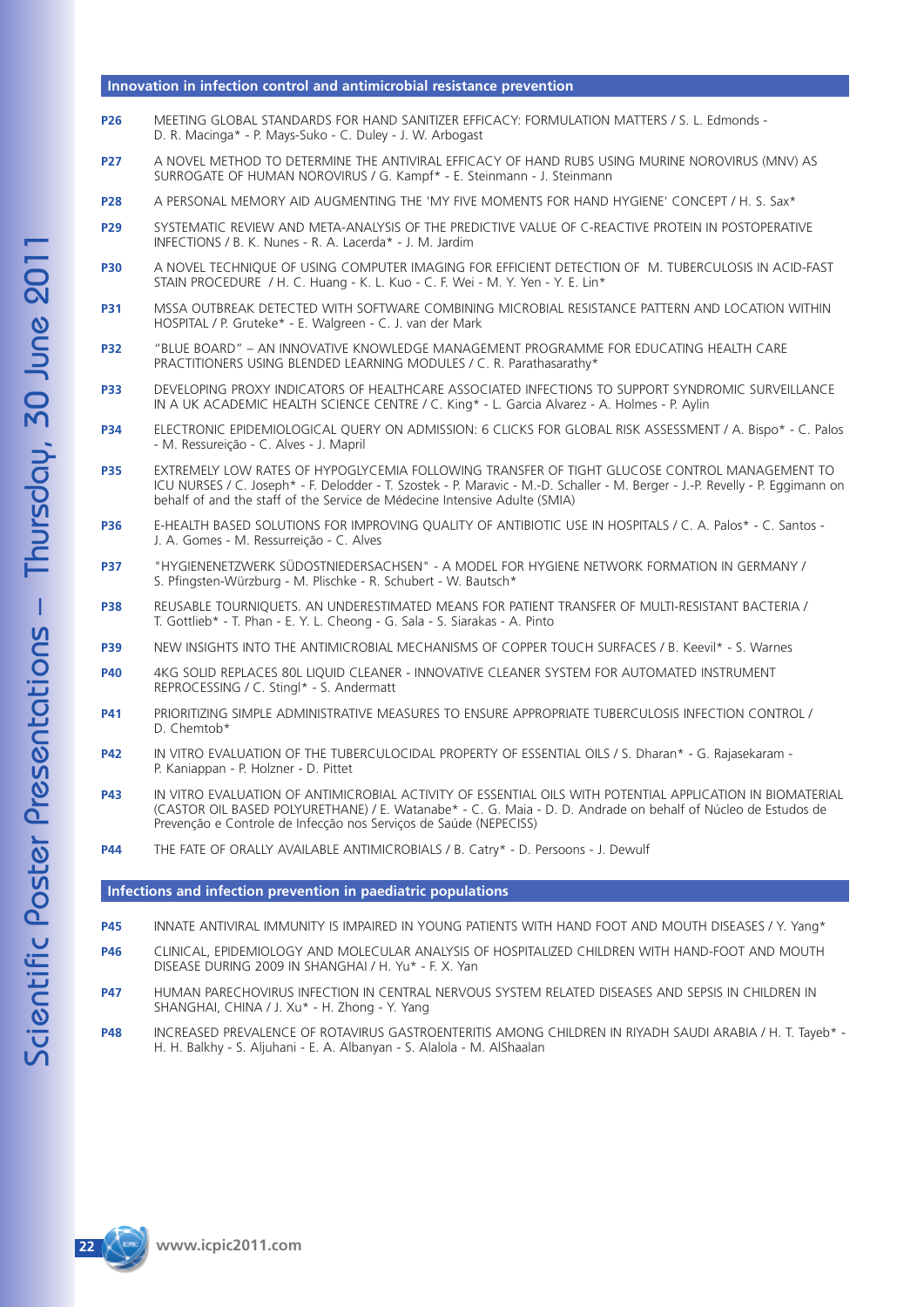#### **Innovation in infection control and antimicrobial resistance prevention**

- **P26** MEETING GLOBAL STANDARDS FOR HAND SANITIZER EFFICACY: FORMULATION MATTERS / S. L. Edmonds D. R. Macinga\* - P. Mays-Suko - C. Duley - J. W. Arbogast
- **P27** A NOVEL METHOD TO DETERMINE THE ANTIVIRAL EFFICACY OF HAND RUBS USING MURINE NOROVIRUS (MNV) AS SURROGATE OF HUMAN NOROVIRUS / G. Kampf\* - E. Steinmann - J. Steinmann
- **P28** A PERSONAL MEMORY AID AUGMENTING THE 'MY FIVE MOMENTS FOR HAND HYGIENE' CONCEPT / H. S. Sax\*
- **P29** SYSTEMATIC REVIEW AND META-ANALYSIS OF THE PREDICTIVE VALUE OF C-REACTIVE PROTEIN IN POSTOPERATIVE INFECTIONS / B. K. Nunes - R. A. Lacerda\* - J. M. Jardim
- **P30** A NOVEL TECHNIQUE OF USING COMPUTER IMAGING FOR EFFICIENT DETECTION OF M. TUBERCULOSIS IN ACID-FAST STAIN PROCEDURE / H. C. Huang - K. L. Kuo - C. F. Wei - M. Y. Yen - Y. E. Lin\*
- **P31** MSSA OUTBREAK DETECTED WITH SOFTWARE COMBINING MICROBIAL RESISTANCE PATTERN AND LOCATION WITHIN HOSPITAL / P. Gruteke\* - E. Walgreen - C. J. van der Mark
- **P32** "BLUE BOARD" AN INNOVATIVE KNOWLEDGE MANAGEMENT PROGRAMME FOR EDUCATING HEALTH CARE PRACTITIONERS USING BLENDED LEARNING MODULES / C. R. Parathasarathy\*
- **P33** DEVELOPING PROXY INDICATORS OF HEALTHCARE ASSOCIATED INFECTIONS TO SUPPORT SYNDROMIC SURVEILLANCE IN A UK ACADEMIC HEALTH SCIENCE CENTRE / C. King\* - L. Garcia Alvarez - A. Holmes - P. Aylin
- **P34** ELECTRONIC EPIDEMIOLOGICAL QUERY ON ADMISSION: 6 CLICKS FOR GLOBAL RISK ASSESSMENT / A. Bispo\* C. Palos - M. Ressureição - C. Alves - J. Mapril
- **P35** EXTREMELY LOW RATES OF HYPOGLYCEMIA FOLLOWING TRANSFER OF TIGHT GLUCOSE CONTROL MANAGEMENT TO ICU NURSES / C. Joseph\* - F. Delodder - T. Szostek - P. Maravic - M.-D. Schaller - M. Berger - J.-P. Revelly - P. Eggimann on behalf of and the staff of the Service de Médecine Intensive Adulte (SMIA)
- **P36** E-HEALTH BASED SOLUTIONS FOR IMPROVING QUALITY OF ANTIBIOTIC USE IN HOSPITALS / C. A. Palos\* C. Santos J. A. Gomes - M. Ressurreição - C. Alves
- **P37** "HYGIENENETZWERK SÜDOSTNIEDERSACHSEN" A MODEL FOR HYGIENE NETWORK FORMATION IN GERMANY / S. Pfingsten-Würzburg - M. Plischke - R. Schubert - W. Bautsch\*
- **P38** REUSABLE TOURNIQUETS. AN UNDERESTIMATED MEANS FOR PATIENT TRANSFER OF MULTI-RESISTANT BACTERIA / T. Gottlieb\* - T. Phan - E. Y. L. Cheong - G. Sala - S. Siarakas - A. Pinto
- **P39** NEW INSIGHTS INTO THE ANTIMICROBIAL MECHANISMS OF COPPER TOUCH SURFACES / B. Keevil\* S. Warnes
- **P40** 4KG SOLID REPLACES 80L LIQUID CLEANER INNOVATIVE CLEANER SYSTEM FOR AUTOMATED INSTRUMENT REPROCESSING / C. Stingl\* - S. Andermatt
- **P41** PRIORITIZING SIMPLE ADMINISTRATIVE MEASURES TO ENSURE APPROPRIATE TUBERCULOSIS INFECTION CONTROL / D. Chemtob\*
- **P42** IN VITRO EVALUATION OF THE TUBERCULOCIDAL PROPERTY OF ESSENTIAL OILS / S. Dharan\* G. Rajasekaram -P. Kaniappan - P. Holzner - D. Pittet
- **P43** IN VITRO EVALUATION OF ANTIMICROBIAL ACTIVITY OF ESSENTIAL OILS WITH POTENTIAL APPLICATION IN BIOMATERIAL (CASTOR OIL BASED POLYURETHANE) / E. Watanabe\* - C. G. Maia - D. D. Andrade on behalf of Núcleo de Estudos de Prevenção e Controle de Infecção nos Serviços de Saúde (NEPECISS)
- **P44** THE FATE OF ORALLY AVAILABLE ANTIMICROBIALS / B. Catry\* D. Persoons J. Dewulf

#### **Infections and infection prevention in paediatric populations**

- **P45** INNATE ANTIVIRAL IMMUNITY IS IMPAIRED IN YOUNG PATIENTS WITH HAND FOOT AND MOUTH DISEASES / Y. Yang\*
- **P46** CLINICAL, EPIDEMIOLOGY AND MOLECULAR ANALYSIS OF HOSPITALIZED CHILDREN WITH HAND-FOOT AND MOUTH DISEASE DURING 2009 IN SHANGHAI / H. Yu\* - F. X. Yan
- **P47** HUMAN PARECHOVIRUS INFECTION IN CENTRAL NERVOUS SYSTEM RELATED DISEASES AND SEPSIS IN CHILDREN IN SHANGHAI, CHINA / J. Xu\* - H. Zhong - Y. Yang
- **P48** INCREASED PREVALENCE OF ROTAVIRUS GASTROENTERITIS AMONG CHILDREN IN RIYADH SAUDI ARABIA / H. T. Tayeb\* H. H. Balkhy - S. Aljuhani - E. A. Albanyan - S. Alalola - M. AlShaalan

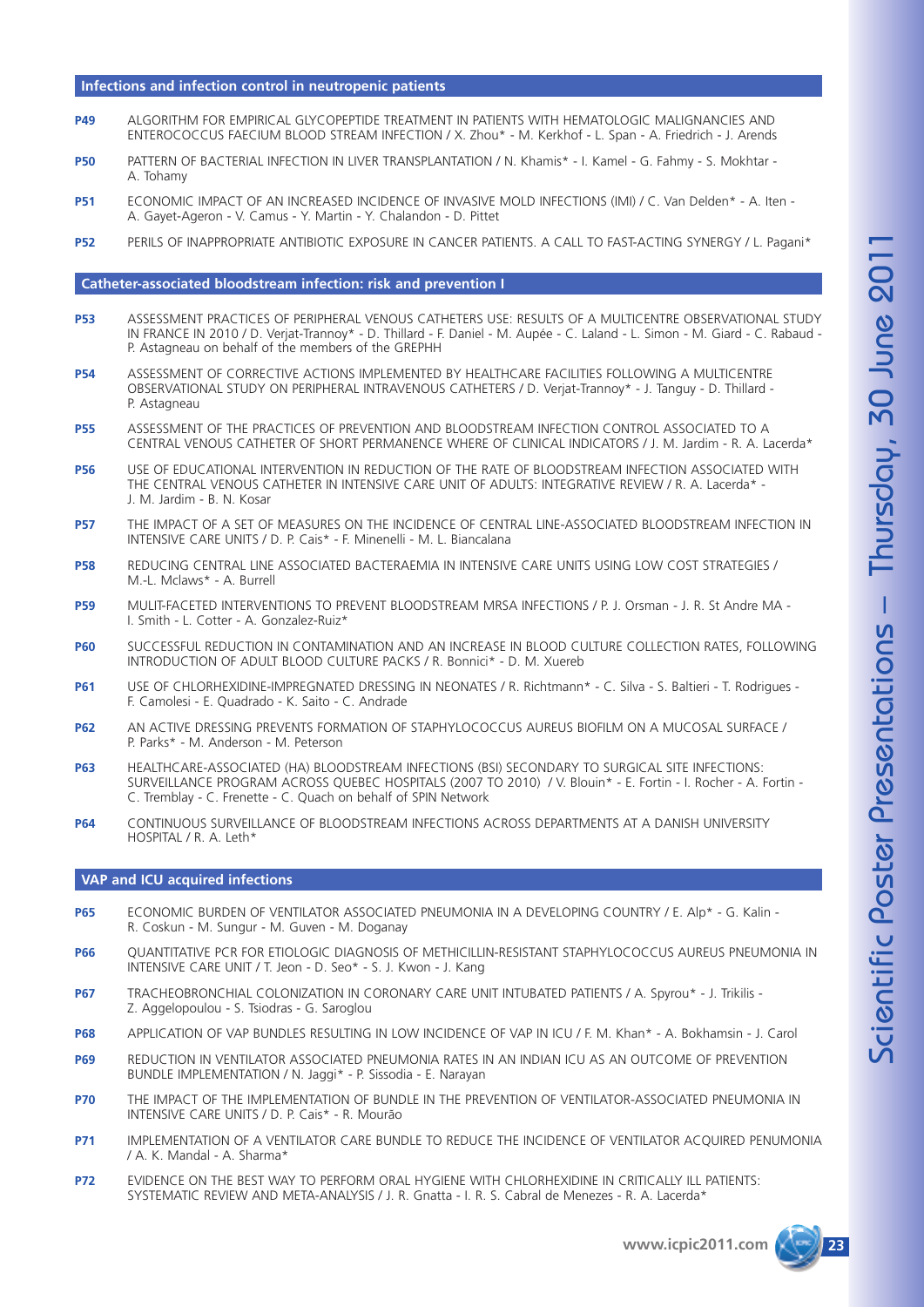#### **Infections and infection control in neutropenic patients**

- **P49** ALGORITHM FOR EMPIRICAL GLYCOPEPTIDE TREATMENT IN PATIENTS WITH HEMATOLOGIC MALIGNANCIES AND ENTEROCOCCUS FAECIUM BLOOD STREAM INFECTION / X. Zhou\* - M. Kerkhof - L. Span - A. Friedrich - J. Arends
- **P50** PATTERN OF BACTERIAL INFECTION IN LIVER TRANSPLANTATION / N. Khamis\* I. Kamel G. Fahmy S. Mokhtar A. Tohamy
- **P51** ECONOMIC IMPACT OF AN INCREASED INCIDENCE OF INVASIVE MOLD INFECTIONS (IMI) / C. Van Delden\* A. Iten A. Gayet-Ageron - V. Camus - Y. Martin - Y. Chalandon - D. Pittet
- **P52** PERILS OF INAPPROPRIATE ANTIBIOTIC EXPOSURE IN CANCER PATIENTS. A CALL TO FAST-ACTING SYNERGY / L. Pagani\*

#### **Catheter-associated bloodstream infection: risk and prevention I**

- **P53** ASSESSMENT PRACTICES OF PERIPHERAL VENOUS CATHETERS USE: RESULTS OF A MULTICENTRE OBSERVATIONAL STUDY IN FRANCE IN 2010 / D. Verjat-Trannoy\* - D. Thillard - F. Daniel - M. Aupée - C. Laland - L. Simon - M. Giard - C. Rabaud - P. Astagneau on behalf of the members of the GREPHH
- **P54** ASSESSMENT OF CORRECTIVE ACTIONS IMPLEMENTED BY HEALTHCARE FACILITIES FOLLOWING A MULTICENTRE OBSERVATIONAL STUDY ON PERIPHERAL INTRAVENOUS CATHETERS / D. Verjat-Trannoy\* - J. Tanguy - D. Thillard - P. Astagneau
- **P55** ASSESSMENT OF THE PRACTICES OF PREVENTION AND BLOODSTREAM INFECTION CONTROL ASSOCIATED TO A CENTRAL VENOUS CATHETER OF SHORT PERMANENCE WHERE OF CLINICAL INDICATORS / J. M. Jardim - R. A. Lacerda\*
- **P56** USE OF EDUCATIONAL INTERVENTION IN REDUCTION OF THE RATE OF BLOODSTREAM INFECTION ASSOCIATED WITH THE CENTRAL VENOUS CATHETER IN INTENSIVE CARE UNIT OF ADULTS: INTEGRATIVE REVIEW / R. A. Lacerda\* - J. M. Jardim - B. N. Kosar
- **P57** THE IMPACT OF A SET OF MEASURES ON THE INCIDENCE OF CENTRAL LINE-ASSOCIATED BLOODSTREAM INFECTION IN INTENSIVE CARE UNITS / D. P. Cais\* - F. Minenelli - M. L. Biancalana
- **P58** REDUCING CENTRAL LINE ASSOCIATED BACTERAEMIA IN INTENSIVE CARE UNITS USING LOW COST STRATEGIES / M.-L. Mclaws\* - A. Burrell
- **P59** MULIT-FACETED INTERVENTIONS TO PREVENT BLOODSTREAM MRSA INFECTIONS / P. J. Orsman J. R. St Andre MA I. Smith - L. Cotter - A. Gonzalez-Ruiz\*
- **P60** SUCCESSFUL REDUCTION IN CONTAMINATION AND AN INCREASE IN BLOOD CULTURE COLLECTION RATES, FOLLOWING INTRODUCTION OF ADULT BLOOD CULTURE PACKS / R. Bonnici\* - D. M. Xuereb
- P61 USE OF CHLORHEXIDINE-IMPREGNATED DRESSING IN NEONATES / R. Richtmann\* C. Silva S. Baltieri T. Rodrigues -F. Camolesi - E. Quadrado - K. Saito - C. Andrade
- **P62** AN ACTIVE DRESSING PREVENTS FORMATION OF STAPHYLOCOCCUS AUREUS BIOFILM ON A MUCOSAL SURFACE / P. Parks\* - M. Anderson - M. Peterson
- **P63** HEALTHCARE-ASSOCIATED (HA) BLOODSTREAM INFECTIONS (BSI) SECONDARY TO SURGICAL SITE INFECTIONS: SURVEILLANCE PROGRAM ACROSS QUEBEC HOSPITALS (2007 TO 2010) / V. Blouin\* - E. Fortin - I. Rocher - A. Fortin - C. Tremblay - C. Frenette - C. Quach on behalf of SPIN Network
- **P64** CONTINUOUS SURVEILLANCE OF BLOODSTREAM INFECTIONS ACROSS DEPARTMENTS AT A DANISH UNIVERSITY HOSPITAL / R. A. Leth\*

#### **VAP and ICU acquired infections**

- **P65** ECONOMIC BURDEN OF VENTILATOR ASSOCIATED PNEUMONIA IN A DEVELOPING COUNTRY / E. Alp\* G. Kalin -R. Coskun - M. Sungur - M. Guven - M. Doganay
- **P66** QUANTITATIVE PCR FOR ETIOLOGIC DIAGNOSIS OF METHICILLIN-RESISTANT STAPHYLOCOCCUS AUREUS PNEUMONIA IN INTENSIVE CARE UNIT / T. Jeon - D. Seo\* - S. J. Kwon - J. Kang
- **P67** TRACHEOBRONCHIAL COLONIZATION IN CORONARY CARE UNIT INTUBATED PATIENTS / A. Spyrou\* J. Trikilis -Z. Aggelopoulou - S. Tsiodras - G. Saroglou
- **P68** APPLICATION OF VAP BUNDLES RESULTING IN LOW INCIDENCE OF VAP IN ICU / F. M. Khan\* A. Bokhamsin J. Carol
- **P69** REDUCTION IN VENTILATOR ASSOCIATED PNEUMONIA RATES IN AN INDIAN ICU AS AN OUTCOME OF PREVENTION BUNDLE IMPLEMENTATION / N. Jaggi\* - P. Sissodia - E. Narayan
- **P70** THE IMPACT OF THE IMPLEMENTATION OF BUNDLE IN THE PREVENTION OF VENTILATOR-ASSOCIATED PNEUMONIA IN INTENSIVE CARE UNITS / D. P. Cais\* - R. Mourão
- **P71** IMPLEMENTATION OF A VENTILATOR CARE BUNDLE TO REDUCE THE INCIDENCE OF VENTILATOR ACQUIRED PENUMONIA / A. K. Mandal - A. Sharma\*
- **P72** EVIDENCE ON THE BEST WAY TO PERFORM ORAL HYGIENE WITH CHLORHEXIDINE IN CRITICALLY ILL PATIENTS: SYSTEMATIC REVIEW AND META-ANALYSIS / J. R. Gnatta - I. R. S. Cabral de Menezes - R. A. Lacerda\*

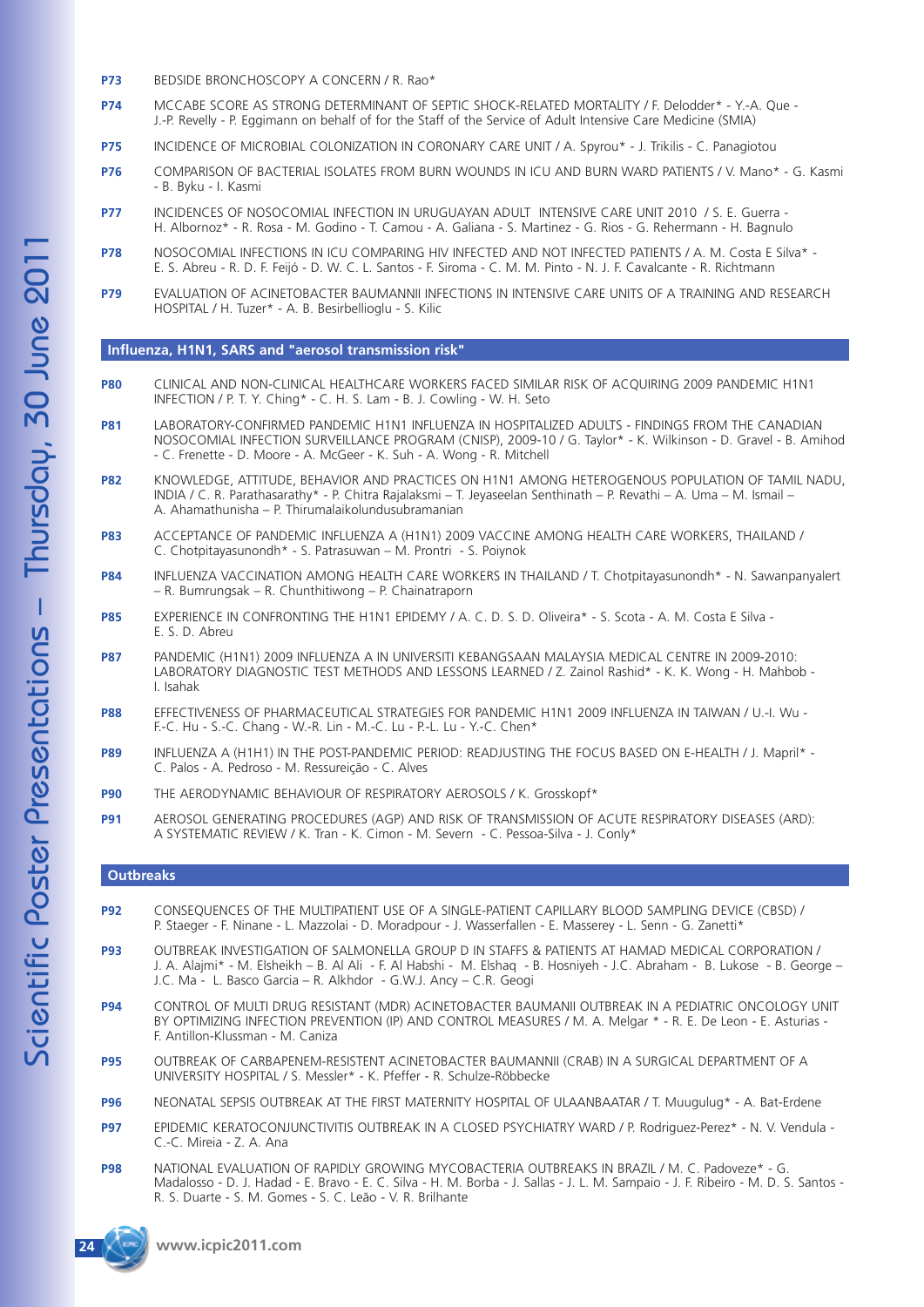- **P73** BEDSIDE BRONCHOSCOPY A CONCERN / R. Rao\*
- **P74** MCCABE SCORE AS STRONG DETERMINANT OF SEPTIC SHOCK-RELATED MORTALITY / F. Delodder\* Y.-A. Que J.-P. Revelly - P. Eggimann on behalf of for the Staff of the Service of Adult Intensive Care Medicine (SMIA)
- **P75** INCIDENCE OF MICROBIAL COLONIZATION IN CORONARY CARE UNIT / A. Spyrou\* J. Trikilis C. Panagiotou
- **P76** COMPARISON OF BACTERIAL ISOLATES FROM BURN WOUNDS IN ICU AND BURN WARD PATIENTS / V. Mano\* G. Kasmi - B. Byku - I. Kasmi
- **P77** INCIDENCES OF NOSOCOMIAL INFECTION IN URUGUAYAN ADULT INTENSIVE CARE UNIT 2010 / S. E. Guerra H. Albornoz\* - R. Rosa - M. Godino - T. Camou - A. Galiana - S. Martinez - G. Rios - G. Rehermann - H. Bagnulo
- **P78** NOSOCOMIAL INFECTIONS IN ICU COMPARING HIV INFECTED AND NOT INFECTED PATIENTS / A. M. Costa E Silva\* -E. S. Abreu - R. D. F. Feijó - D. W. C. L. Santos - F. Siroma - C. M. M. Pinto - N. J. F. Cavalcante - R. Richtmann
- **P79** EVALUATION OF ACINETOBACTER BAUMANNII INFECTIONS IN INTENSIVE CARE UNITS OF A TRAINING AND RESEARCH HOSPITAL / H. Tuzer\* - A. B. Besirbellioglu - S. Kilic

#### **Influenza, H1N1, SARS and "aerosol transmission risk"**

- **P80** CLINICAL AND NON-CLINICAL HEALTHCARE WORKERS FACED SIMILAR RISK OF ACQUIRING 2009 PANDEMIC H1N1 INFECTION / P. T. Y. Ching\* - C. H. S. Lam - B. J. Cowling - W. H. Seto
- **P81** LABORATORY-CONFIRMED PANDEMIC H1N1 INFLUENZA IN HOSPITALIZED ADULTS FINDINGS FROM THE CANADIAN NOSOCOMIAL INFECTION SURVEILLANCE PROGRAM (CNISP), 2009-10 / G. Taylor\* - K. Wilkinson - D. Gravel - B. Amihod - C. Frenette - D. Moore - A. McGeer - K. Suh - A. Wong - R. Mitchell
- **P82** KNOWLEDGE, ATTITUDE, BEHAVIOR AND PRACTICES ON H1N1 AMONG HETEROGENOUS POPULATION OF TAMIL NADU, INDIA / C. R. Parathasarathy\* - P. Chitra Rajalaksmi – T. Jeyaseelan Senthinath – P. Revathi – A. Uma – M. Ismail – A. Ahamathunisha – P. Thirumalaikolundusubramanian
- **P83** ACCEPTANCE OF PANDEMIC INFLUENZA A (H1N1) 2009 VACCINE AMONG HEALTH CARE WORKERS, THAILAND / C. Chotpitayasunondh\* - S. Patrasuwan – M. Prontri - S. Poiynok
- **P84** INFLUENZA VACCINATION AMONG HEALTH CARE WORKERS IN THAILAND / T. Chotpitayasunondh\* N. Sawanpanyalert – R. Bumrungsak – R. Chunthitiwong – P. Chainatraporn
- **P85** EXPERIENCE IN CONFRONTING THE H1N1 EPIDEMY / A. C. D. S. D. Oliveira\* S. Scota A. M. Costa E Silva -E. S. D. Abreu
- **P87** PANDEMIC (H1N1) 2009 INFLUENZA A IN UNIVERSITI KEBANGSAAN MALAYSIA MEDICAL CENTRE IN 2009-2010: LABORATORY DIAGNOSTIC TEST METHODS AND LESSONS LEARNED / Z. Zainol Rashid\* - K. K. Wong - H. Mahbob - I. Isahak
- **P88** EFFECTIVENESS OF PHARMACEUTICAL STRATEGIES FOR PANDEMIC H1N1 2009 INFLUENZA IN TAIWAN / U.-I. Wu F.-C. Hu - S.-C. Chang - W.-R. Lin - M.-C. Lu - P.-L. Lu - Y.-C. Chen\*
- **P89** INFLUENZA A (H1H1) IN THE POST-PANDEMIC PERIOD: READJUSTING THE FOCUS BASED ON E-HEALTH / J. Mapril\* C. Palos - A. Pedroso - M. Ressureição - C. Alves
- **P90** THE AERODYNAMIC BEHAVIOUR OF RESPIRATORY AEROSOLS / K. Grosskopf\*
- **P91** AEROSOL GENERATING PROCEDURES (AGP) AND RISK OF TRANSMISSION OF ACUTE RESPIRATORY DISEASES (ARD): A SYSTEMATIC REVIEW / K. Tran - K. Cimon - M. Severn - C. Pessoa-Silva - J. Conly\*

#### **Outbreaks**

- **P92** CONSEQUENCES OF THE MULTIPATIENT USE OF A SINGLE-PATIENT CAPILLARY BLOOD SAMPLING DEVICE (CBSD) / P. Staeger - F. Ninane - L. Mazzolai - D. Moradpour - J. Wasserfallen - E. Masserey - L. Senn - G. Zanetti\*
- **P93** OUTBREAK INVESTIGATION OF SALMONELLA GROUP D IN STAFFS & PATIENTS AT HAMAD MEDICAL CORPORATION / J. A. Alajmi\* - M. Elsheikh – B. Al Ali - F. Al Habshi - M. Elshaq - B. Hosniyeh - J.C. Abraham - B. Lukose - B. George – J.C. Ma - L. Basco Garcia – R. Alkhdor - G.W.J. Ancy – C.R. Geogi
- **P94** CONTROL OF MULTI DRUG RESISTANT (MDR) ACINETOBACTER BAUMANII OUTBREAK IN A PEDIATRIC ONCOLOGY UNIT BY OPTIMIZING INFECTION PREVENTION (IP) AND CONTROL MEASURES / M. A. Melgar \* - R. E. De Leon - E. Asturias - F. Antillon-Klussman - M. Caniza
- **P95** OUTBREAK OF CARBAPENEM-RESISTENT ACINETOBACTER BAUMANNII (CRAB) IN A SURGICAL DEPARTMENT OF A UNIVERSITY HOSPITAL / S. Messler\* - K. Pfeffer - R. Schulze-Röbbecke
- **P96** NEONATAL SEPSIS OUTBREAK AT THE FIRST MATERNITY HOSPITAL OF ULAANBAATAR / T. Muugulug\* A. Bat-Erdene
- **P97** EPIDEMIC KERATOCONJUNCTIVITIS OUTBREAK IN A CLOSED PSYCHIATRY WARD / P. Rodriguez-Perez\* N. V. Vendula C.-C. Mireia - Z. A. Ana
- **P98** NATIONAL EVALUATION OF RAPIDLY GROWING MYCOBACTERIA OUTBREAKS IN BRAZIL / M. C. Padoveze\* G. Madalosso - D. J. Hadad - E. Bravo - E. C. Silva - H. M. Borba - J. Sallas - J. L. M. Sampaio - J. F. Ribeiro - M. D. S. Santos - R. S. Duarte - S. M. Gomes - S. C. Leão - V. R. Brilhante

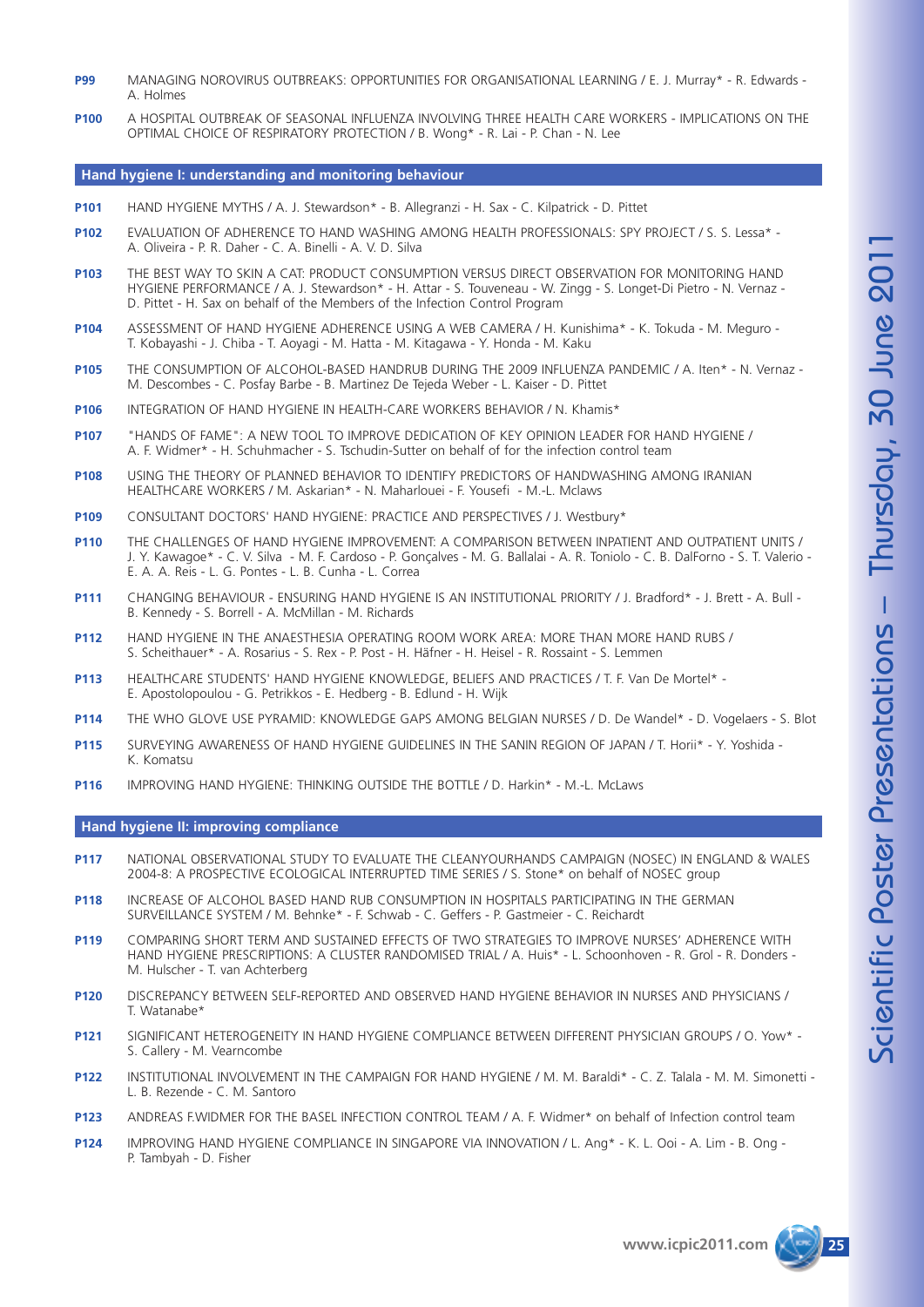- **P99** MANAGING NOROVIRUS OUTBREAKS: OPPORTUNITIES FOR ORGANISATIONAL LEARNING / E. J. Murray\* R. Edwards A. Holmes
- **P100** A HOSPITAL OUTBREAK OF SEASONAL INFLUENZA INVOLVING THREE HEALTH CARE WORKERS IMPLICATIONS ON THE OPTIMAL CHOICE OF RESPIRATORY PROTECTION / B. Wong\* - R. Lai - P. Chan - N. Lee

#### **Hand hygiene I: understanding and monitoring behaviour**

- **P101** HAND HYGIENE MYTHS / A. J. Stewardson\* B. Allegranzi H. Sax C. Kilpatrick D. Pittet
- P102 EVALUATION OF ADHERENCE TO HAND WASHING AMONG HEALTH PROFESSIONALS: SPY PROJECT / S. S. Lessa\* -A. Oliveira - P. R. Daher - C. A. Binelli - A. V. D. Silva
- **P103** THE BEST WAY TO SKIN A CAT: PRODUCT CONSUMPTION VERSUS DIRECT OBSERVATION FOR MONITORING HAND HYGIENE PERFORMANCE / A. J. Stewardson\* - H. Attar - S. Touveneau - W. Zingg - S. Longet-Di Pietro - N. Vernaz - D. Pittet - H. Sax on behalf of the Members of the Infection Control Program
- **P104** ASSESSMENT OF HAND HYGIENE ADHERENCE USING A WEB CAMERA / H. Kunishima\* K. Tokuda M. Meguro T. Kobayashi - J. Chiba - T. Aoyagi - M. Hatta - M. Kitagawa - Y. Honda - M. Kaku
- **P105** THE CONSUMPTION OF ALCOHOL-BASED HANDRUB DURING THE 2009 INFLUENZA PANDEMIC / A. Iten\* N. Vernaz M. Descombes - C. Posfay Barbe - B. Martinez De Tejeda Weber - L. Kaiser - D. Pittet
- **P106** INTEGRATION OF HAND HYGIENE IN HEALTH-CARE WORKERS BEHAVIOR / N. Khamis\*
- **P107** "HANDS OF FAME": A NEW TOOL TO IMPROVE DEDICATION OF KEY OPINION LEADER FOR HAND HYGIENE / A. F. Widmer\* - H. Schuhmacher - S. Tschudin-Sutter on behalf of for the infection control team
- **P108** USING THE THEORY OF PLANNED BEHAVIOR TO IDENTIFY PREDICTORS OF HANDWASHING AMONG IRANIAN HEALTHCARE WORKERS / M. Askarian\* - N. Maharlouei - F. Yousefi - M.-L. Mclaws
- **P109** CONSULTANT DOCTORS' HAND HYGIENE: PRACTICE AND PERSPECTIVES / J. Westbury\*
- **P110** THE CHALLENGES OF HAND HYGIENE IMPROVEMENT: A COMPARISON BETWEEN INPATIENT AND OUTPATIENT UNITS / J. Y. Kawagoe\* - C. V. Silva - M. F. Cardoso - P. Gonçalves - M. G. Ballalai - A. R. Toniolo - C. B. DalForno - S. T. Valerio - E. A. A. Reis - L. G. Pontes - L. B. Cunha - L. Correa
- P111 CHANGING BEHAVIOUR ENSURING HAND HYGIENE IS AN INSTITUTIONAL PRIORITY / J. Bradford\* J. Brett A. Bull -B. Kennedy - S. Borrell - A. McMillan - M. Richards
- **P112** HAND HYGIENE IN THE ANAESTHESIA OPERATING ROOM WORK AREA: MORE THAN MORE HAND RUBS / S. Scheithauer\* - A. Rosarius - S. Rex - P. Post - H. Häfner - H. Heisel - R. Rossaint - S. Lemmen
- **P113** HEALTHCARE STUDENTS' HAND HYGIENE KNOWLEDGE, BELIEFS AND PRACTICES / T. F. Van De Mortel\* E. Apostolopoulou - G. Petrikkos - E. Hedberg - B. Edlund - H. Wijk
- **P114** THE WHO GLOVE USE PYRAMID: KNOWLEDGE GAPS AMONG BELGIAN NURSES / D. De Wandel\* D. Vogelaers S. Blot
- **P115** SURVEYING AWARENESS OF HAND HYGIENE GUIDELINES IN THE SANIN REGION OF JAPAN / T. Horii\* Y. Yoshida K. Komatsu
- **P116** IMPROVING HAND HYGIENE: THINKING OUTSIDE THE BOTTLE / D. Harkin\* M.-L. McLaws

#### **Hand hygiene II: improving compliance**

- **P117** NATIONAL OBSERVATIONAL STUDY TO EVALUATE THE CLEANYOURHANDS CAMPAIGN (NOSEC) IN ENGLAND & WALES 2004-8: A PROSPECTIVE ECOLOGICAL INTERRUPTED TIME SERIES / S. Stone\* on behalf of NOSEC group
- **P118** INCREASE OF ALCOHOL BASED HAND RUB CONSUMPTION IN HOSPITALS PARTICIPATING IN THE GERMAN SURVEILLANCE SYSTEM / M. Behnke\* - F. Schwab - C. Geffers - P. Gastmeier - C. Reichardt
- **P119** COMPARING SHORT TERM AND SUSTAINED EFFECTS OF TWO STRATEGIES TO IMPROVE NURSES' ADHERENCE WITH HAND HYGIENE PRESCRIPTIONS: A CLUSTER RANDOMISED TRIAL / A. Huis\* - L. Schoonhoven - R. Grol - R. Donders - M. Hulscher - T. van Achterberg
- **P120** DISCREPANCY BETWEEN SELF-REPORTED AND OBSERVED HAND HYGIENE BEHAVIOR IN NURSES AND PHYSICIANS / T. Watanabe\*
- **P121** SIGNIFICANT HETEROGENEITY IN HAND HYGIENE COMPLIANCE BETWEEN DIFFERENT PHYSICIAN GROUPS / O. Yow\* S. Callery - M. Vearncombe
- **P122** INSTITUTIONAL INVOLVEMENT IN THE CAMPAIGN FOR HAND HYGIENE / M. M. Baraldi\* C. Z. Talala M. M. Simonetti L. B. Rezende - C. M. Santoro
- **P123** ANDREAS F.WIDMER FOR THE BASEL INFECTION CONTROL TEAM / A. F. Widmer\* on behalf of Infection control team
- **P124** IMPROVING HAND HYGIENE COMPLIANCE IN SINGAPORE VIA INNOVATION / L. Ang\* K. L. Ooi A. Lim B. Ong P. Tambyah - D. Fisher

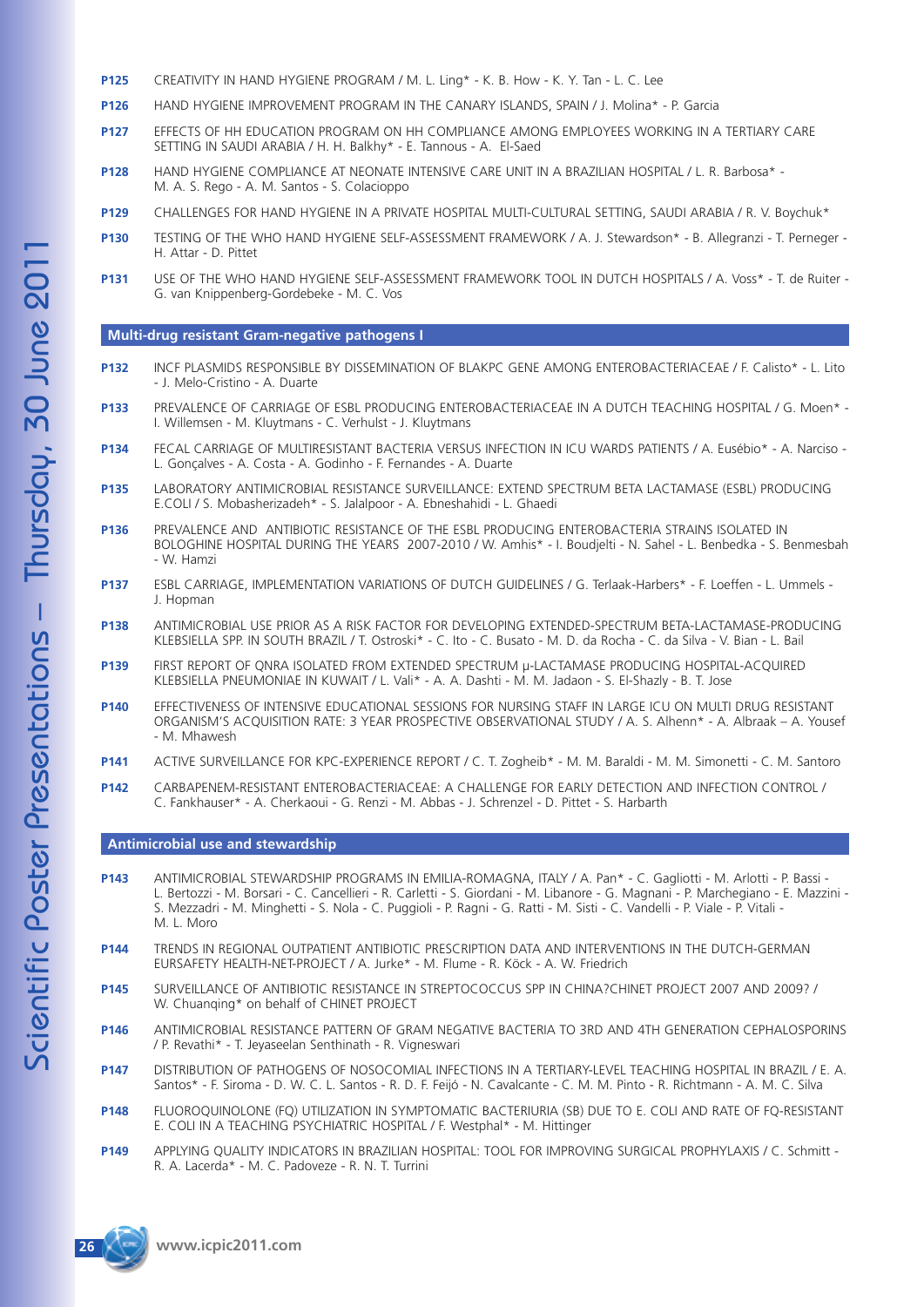- **P125** CREATIVITY IN HAND HYGIENE PROGRAM / M. L. Ling\* K. B. How K. Y. Tan L. C. Lee
- **P126** HAND HYGIENE IMPROVEMENT PROGRAM IN THE CANARY ISLANDS, SPAIN / J. Molina\* P. Garcia
- **P127** EFFECTS OF HH EDUCATION PROGRAM ON HH COMPLIANCE AMONG EMPLOYEES WORKING IN A TERTIARY CARE SETTING IN SAUDI ARABIA / H. H. Balkhy\* - E. Tannous - A. El-Saed
- **P128** HAND HYGIENE COMPLIANCE AT NEONATE INTENSIVE CARE UNIT IN A BRAZILIAN HOSPITAL / L. R. Barbosa\* M. A. S. Rego - A. M. Santos - S. Colacioppo
- **P129** CHALLENGES FOR HAND HYGIENE IN A PRIVATE HOSPITAL MULTI-CULTURAL SETTING, SAUDI ARABIA / R. V. Boychuk\*
- **P130** TESTING OF THE WHO HAND HYGIENE SELF-ASSESSMENT FRAMEWORK / A. J. Stewardson\* B. Allegranzi T. Perneger H. Attar - D. Pittet
- **P131** USE OF THE WHO HAND HYGIENE SELF-ASSESSMENT FRAMEWORK TOOL IN DUTCH HOSPITALS / A. Voss\* T. de Ruiter G. van Knippenberg-Gordebeke - M. C. Vos

#### **Multi-drug resistant Gram-negative pathogens I**

- **P132** INCF PLASMIDS RESPONSIBLE BY DISSEMINATION OF BLAKPC GENE AMONG ENTEROBACTERIACEAE / F. Calisto\* L. Lito - J. Melo-Cristino - A. Duarte
- **P133** PREVALENCE OF CARRIAGE OF ESBL PRODUCING ENTEROBACTERIACEAE IN A DUTCH TEACHING HOSPITAL / G. Moen\* I. Willemsen - M. Kluytmans - C. Verhulst - J. Kluytmans
- **P134** FECAL CARRIAGE OF MULTIRESISTANT BACTERIA VERSUS INFECTION IN ICU WARDS PATIENTS / A. Eusébio\* A. Narciso L. Gonçalves - A. Costa - A. Godinho - F. Fernandes - A. Duarte
- **P135** LABORATORY ANTIMICROBIAL RESISTANCE SURVEILLANCE: EXTEND SPECTRUM BETA LACTAMASE (ESBL) PRODUCING E.COLI / S. Mobasherizadeh\* - S. Jalalpoor - A. Ebneshahidi - L. Ghaedi
- **P136** PREVALENCE AND ANTIBIOTIC RESISTANCE OF THE ESBL PRODUCING ENTEROBACTERIA STRAINS ISOLATED IN BOLOGHINE HOSPITAL DURING THE YEARS 2007-2010 / W. Amhis\* - I. Boudjelti - N. Sahel - L. Benbedka - S. Benmesbah - W. Hamzi
- **P137** ESBL CARRIAGE, IMPLEMENTATION VARIATIONS OF DUTCH GUIDELINES / G. Terlaak-Harbers\* F. Loeffen L. Ummels J. Hopman
- **P138** ANTIMICROBIAL USE PRIOR AS A RISK FACTOR FOR DEVELOPING EXTENDED-SPECTRUM BETA-LACTAMASE-PRODUCING KLEBSIELLA SPP. IN SOUTH BRAZIL / T. Ostroski\* - C. Ito - C. Busato - M. D. da Rocha - C. da Silva - V. Bian - L. Bail
- **P139** FIRST REPORT OF QNRA ISOLATED FROM EXTENDED SPECTRUM µ-LACTAMASE PRODUCING HOSPITAL-ACQUIRED KLEBSIELLA PNEUMONIAE IN KUWAIT / L. Vali\* - A. A. Dashti - M. M. Jadaon - S. El-Shazly - B. T. Jose
- **P140** EFFECTIVENESS OF INTENSIVE EDUCATIONAL SESSIONS FOR NURSING STAFF IN LARGE ICU ON MULTI DRUG RESISTANT ORGANISM'S ACQUISITION RATE: 3 YEAR PROSPECTIVE OBSERVATIONAL STUDY / A. S. Alhenn\* - A. Albraak – A. Yousef - M. Mhawesh
- **P141** ACTIVE SURVEILLANCE FOR KPC-EXPERIENCE REPORT / C. T. Zogheib\* M. M. Baraldi M. M. Simonetti C. M. Santoro
- **P142** CARBAPENEM-RESISTANT ENTEROBACTERIACEAE: A CHALLENGE FOR EARLY DETECTION AND INFECTION CONTROL / C. Fankhauser\* - A. Cherkaoui - G. Renzi - M. Abbas - J. Schrenzel - D. Pittet - S. Harbarth

#### **Antimicrobial use and stewardship**

- **P143** ANTIMICROBIAL STEWARDSHIP PROGRAMS IN EMILIA-ROMAGNA, ITALY / A. Pan\* C. Gagliotti M. Arlotti P. Bassi L. Bertozzi - M. Borsari - C. Cancellieri - R. Carletti - S. Giordani - M. Libanore - G. Magnani - P. Marchegiano - E. Mazzini - S. Mezzadri - M. Minghetti - S. Nola - C. Puggioli - P. Ragni - G. Ratti - M. Sisti - C. Vandelli - P. Viale - P. Vitali - M. L. Moro
- **P144** TRENDS IN REGIONAL OUTPATIENT ANTIBIOTIC PRESCRIPTION DATA AND INTERVENTIONS IN THE DUTCH-GERMAN EURSAFETY HEALTH-NET-PROJECT / A. Jurke\* - M. Flume - R. Köck - A. W. Friedrich
- **P145** SURVEILLANCE OF ANTIBIOTIC RESISTANCE IN STREPTOCOCCUS SPP IN CHINA?CHINET PROJECT 2007 AND 2009? / W. Chuanqing\* on behalf of CHINET PROJECT
- **P146** ANTIMICROBIAL RESISTANCE PATTERN OF GRAM NEGATIVE BACTERIA TO 3RD AND 4TH GENERATION CEPHALOSPORINS / P. Revathi\* - T. Jeyaseelan Senthinath - R. Vigneswari
- **P147** DISTRIBUTION OF PATHOGENS OF NOSOCOMIAL INFECTIONS IN A TERTIARY-LEVEL TEACHING HOSPITAL IN BRAZIL / E. A. Santos\* - F. Siroma - D. W. C. L. Santos - R. D. F. Feijó - N. Cavalcante - C. M. M. Pinto - R. Richtmann - A. M. C. Silva
- **P148** FLUOROQUINOLONE (FQ) UTILIZATION IN SYMPTOMATIC BACTERIURIA (SB) DUE TO E. COLI AND RATE OF FQ-RESISTANT E. COLI IN A TEACHING PSYCHIATRIC HOSPITAL / F. Westphal\* - M. Hittinger
- **P149** APPLYING QUALITY INDICATORS IN BRAZILIAN HOSPITAL: TOOL FOR IMPROVING SURGICAL PROPHYLAXIS / C. Schmitt R. A. Lacerda\* - M. C. Padoveze - R. N. T. Turrini

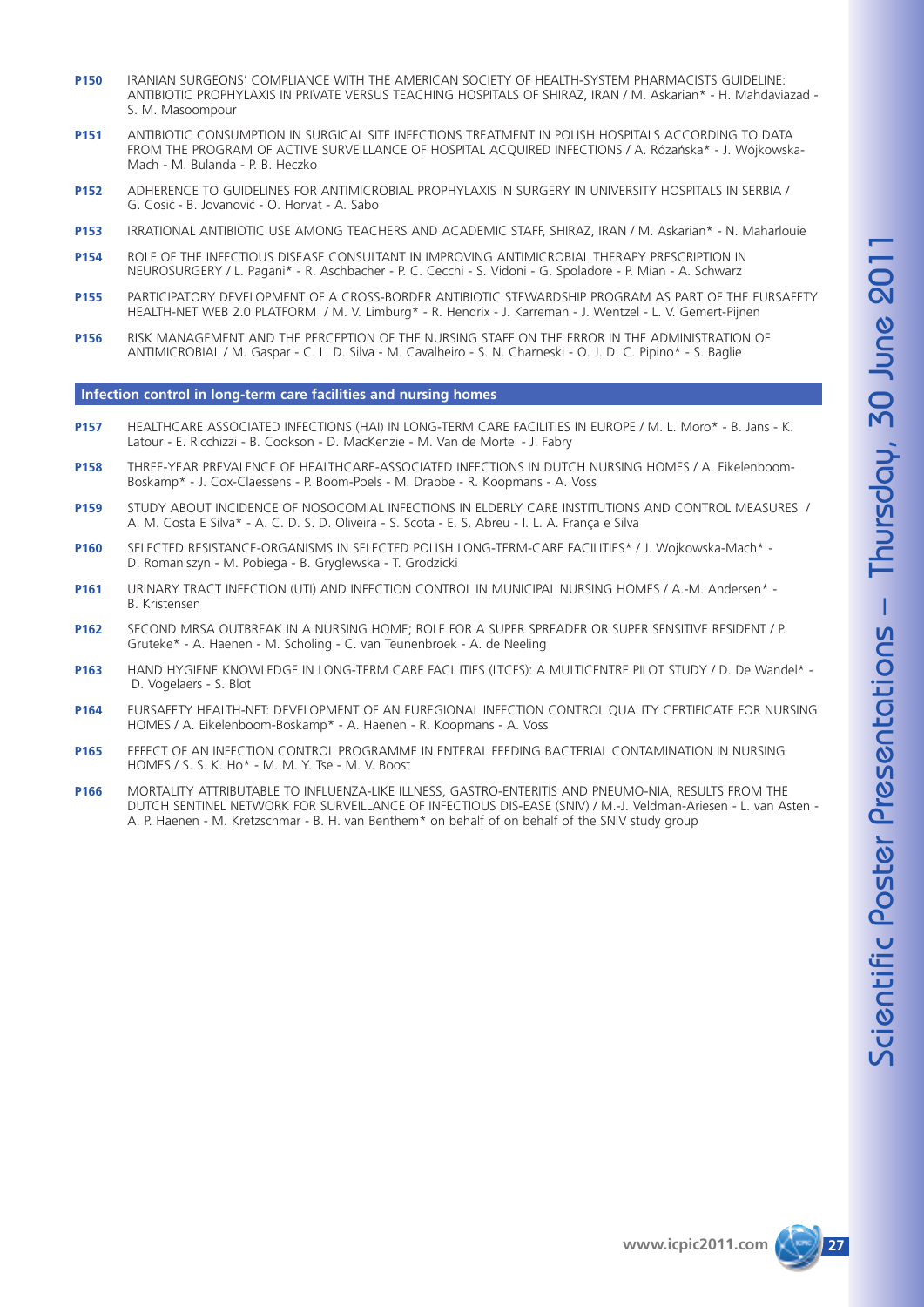- **P150** IRANIAN SURGEONS' COMPLIANCE WITH THE AMERICAN SOCIETY OF HEALTH-SYSTEM PHARMACISTS GUIDELINE: ANTIBIOTIC PROPHYLAXIS IN PRIVATE VERSUS TEACHING HOSPITALS OF SHIRAZ, IRAN / M. Askarian\* - H. Mahdaviazad - S. M. Masoompour
- **P151** ANTIBIOTIC CONSUMPTION IN SURGICAL SITE INFECTIONS TREATMENT IN POLISH HOSPITALS ACCORDING TO DATA FROM THE PROGRAM OF ACTIVE SURVEILLANCE OF HOSPITAL ACQUIRED INFECTIONS / A. Rózańska\* - J. Wójkowska-Mach - M. Bulanda - P. B. Heczko
- **P152** ADHERENCE TO GUIDELINES FOR ANTIMICROBIAL PROPHYLAXIS IN SURGERY IN UNIVERSITY HOSPITALS IN SERBIA / G. Cosic' - B. Jovanovic' - O. Horvat - A. Sabo
- **P153** IRRATIONAL ANTIBIOTIC USE AMONG TEACHERS AND ACADEMIC STAFF, SHIRAZ, IRAN / M. Askarian\* N. Maharlouie
- **P154** ROLE OF THE INFECTIOUS DISEASE CONSULTANT IN IMPROVING ANTIMICROBIAL THERAPY PRESCRIPTION IN NEUROSURGERY / L. Pagani\* - R. Aschbacher - P. C. Cecchi - S. Vidoni - G. Spoladore - P. Mian - A. Schwarz
- **P155** PARTICIPATORY DEVELOPMENT OF A CROSS-BORDER ANTIBIOTIC STEWARDSHIP PROGRAM AS PART OF THE EURSAFETY HEALTH-NET WEB 2.0 PLATFORM / M. V. Limburg\* - R. Hendrix - J. Karreman - J. Wentzel - L. V. Gemert-Pijnen
- **P156** RISK MANAGEMENT AND THE PERCEPTION OF THE NURSING STAFF ON THE ERROR IN THE ADMINISTRATION OF ANTIMICROBIAL / M. Gaspar - C. L. D. Silva - M. Cavalheiro - S. N. Charneski - O. J. D. C. Pipino\* - S. Baglie

#### **Infection control in long-term care facilities and nursing homes**

- **P157** HEALTHCARE ASSOCIATED INFECTIONS (HAI) IN LONG-TERM CARE FACILITIES IN EUROPE / M. L. Moro\* B. Jans K. Latour - E. Ricchizzi - B. Cookson - D. MacKenzie - M. Van de Mortel - J. Fabry
- **P158** THREE-YEAR PREVALENCE OF HEALTHCARE-ASSOCIATED INFECTIONS IN DUTCH NURSING HOMES / A. Eikelenboom-Boskamp\* - J. Cox-Claessens - P. Boom-Poels - M. Drabbe - R. Koopmans - A. Voss
- **P159** STUDY ABOUT INCIDENCE OF NOSOCOMIAL INFECTIONS IN ELDERLY CARE INSTITUTIONS AND CONTROL MEASURES / A. M. Costa E Silva\* - A. C. D. S. D. Oliveira - S. Scota - E. S. Abreu - I. L. A. França e Silva
- **P160** SELECTED RESISTANCE-ORGANISMS IN SELECTED POLISH LONG-TERM-CARE FACILITIES\* / J. Wojkowska-Mach\* D. Romaniszyn - M. Pobiega - B. Gryglewska - T. Grodzicki
- **P161** URINARY TRACT INFECTION (UTI) AND INFECTION CONTROL IN MUNICIPAL NURSING HOMES / A.-M. Andersen\* B. Kristensen
- **P162** SECOND MRSA OUTBREAK IN A NURSING HOME; ROLE FOR A SUPER SPREADER OR SUPER SENSITIVE RESIDENT / P. Gruteke\* - A. Haenen - M. Scholing - C. van Teunenbroek - A. de Neeling
- **P163** HAND HYGIENE KNOWLEDGE IN LONG-TERM CARE FACILITIES (LTCFS): A MULTICENTRE PILOT STUDY / D. De Wandel\* D. Vogelaers - S. Blot
- **P164** EURSAFETY HEALTH-NET: DEVELOPMENT OF AN EUREGIONAL INFECTION CONTROL QUALITY CERTIFICATE FOR NURSING HOMES / A. Eikelenboom-Boskamp\* - A. Haenen - R. Koopmans - A. Voss
- **P165** EFFECT OF AN INFECTION CONTROL PROGRAMME IN ENTERAL FEEDING BACTERIAL CONTAMINATION IN NURSING HOMES / S. S. K. Ho\* - M. M. Y. Tse - M. V. Boost
- **P166** MORTALITY ATTRIBUTABLE TO INFLUENZA-LIKE ILLNESS, GASTRO-ENTERITIS AND PNEUMO-NIA, RESULTS FROM THE DUTCH SENTINEL NETWORK FOR SURVEILLANCE OF INFECTIOUS DIS-EASE (SNIV) / M.-J. Veldman-Ariesen - L. van Asten - A. P. Haenen - M. Kretzschmar - B. H. van Benthem\* on behalf of on behalf of the SNIV study group

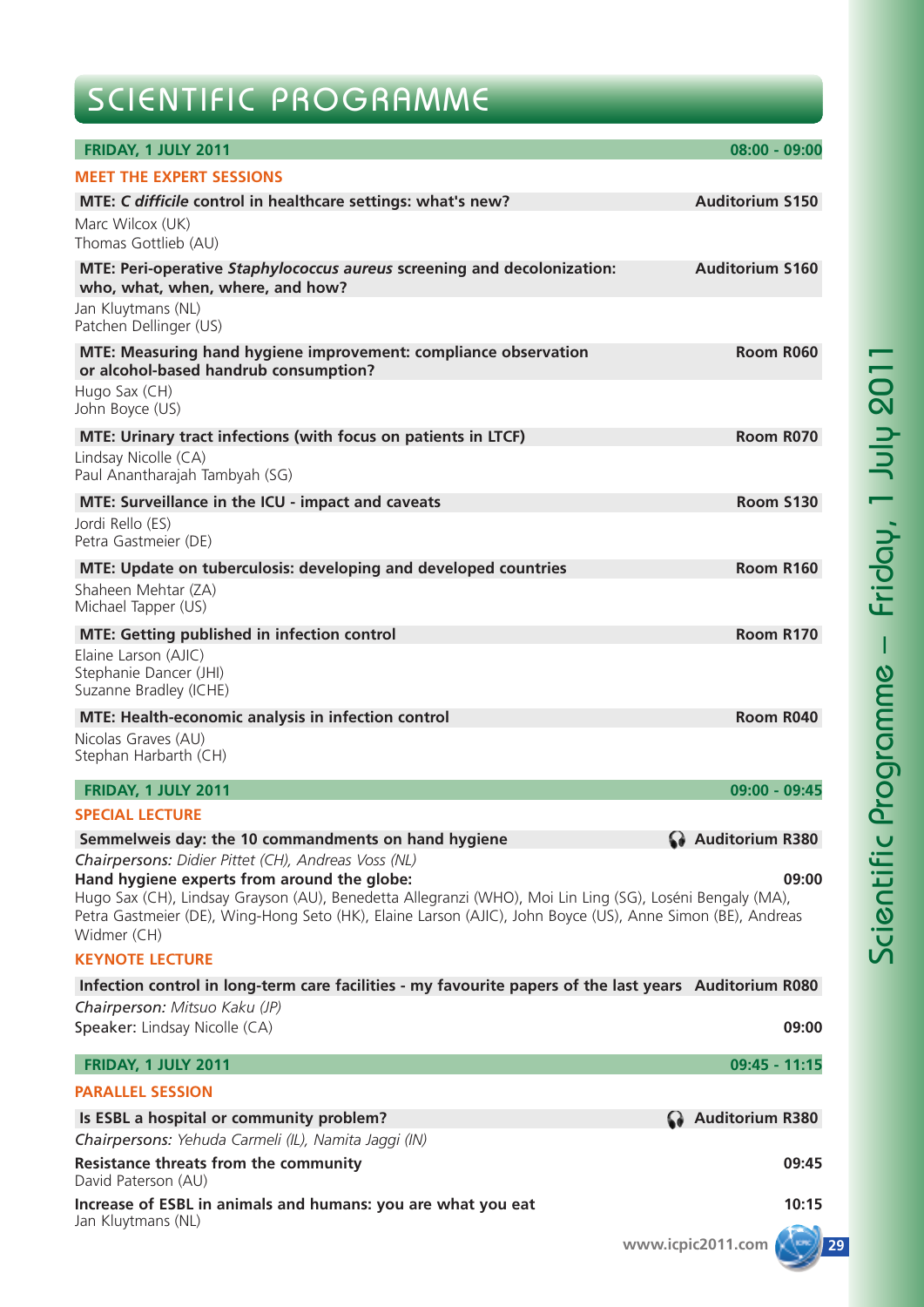# SCIENTIFIC PROGRAMME

| FRIDAY, 1 JULY 2011                                                                                                                                                                                                                                                                                                                         | $08:00 - 09:00$        |
|---------------------------------------------------------------------------------------------------------------------------------------------------------------------------------------------------------------------------------------------------------------------------------------------------------------------------------------------|------------------------|
| <b>MEET THE EXPERT SESSIONS</b>                                                                                                                                                                                                                                                                                                             |                        |
| MTE: C difficile control in healthcare settings: what's new?                                                                                                                                                                                                                                                                                | <b>Auditorium S150</b> |
| Marc Wilcox (UK)<br>Thomas Gottlieb (AU)                                                                                                                                                                                                                                                                                                    |                        |
| MTE: Peri-operative Staphylococcus aureus screening and decolonization:<br>who, what, when, where, and how?                                                                                                                                                                                                                                 | <b>Auditorium S160</b> |
| Jan Kluytmans (NL)<br>Patchen Dellinger (US)                                                                                                                                                                                                                                                                                                |                        |
| MTE: Measuring hand hygiene improvement: compliance observation<br>or alcohol-based handrub consumption?                                                                                                                                                                                                                                    | Room R060              |
| Hugo Sax (CH)<br>John Boyce (US)                                                                                                                                                                                                                                                                                                            |                        |
| MTE: Urinary tract infections (with focus on patients in LTCF)                                                                                                                                                                                                                                                                              | Room R070              |
| Lindsay Nicolle (CA)<br>Paul Anantharajah Tambyah (SG)                                                                                                                                                                                                                                                                                      |                        |
| MTE: Surveillance in the ICU - impact and caveats                                                                                                                                                                                                                                                                                           | <b>Room S130</b>       |
| Jordi Rello (ES)<br>Petra Gastmeier (DE)                                                                                                                                                                                                                                                                                                    |                        |
| MTE: Update on tuberculosis: developing and developed countries                                                                                                                                                                                                                                                                             | Room R160              |
| Shaheen Mehtar (ZA)<br>Michael Tapper (US)                                                                                                                                                                                                                                                                                                  |                        |
| <b>MTE: Getting published in infection control</b>                                                                                                                                                                                                                                                                                          | Room R170              |
| Elaine Larson (AJIC)<br>Stephanie Dancer (JHI)<br>Suzanne Bradley (ICHE)                                                                                                                                                                                                                                                                    |                        |
| MTE: Health-economic analysis in infection control                                                                                                                                                                                                                                                                                          | Room R040              |
| Nicolas Graves (AU)<br>Stephan Harbarth (CH)                                                                                                                                                                                                                                                                                                |                        |
| <b>FRIDAY, 1 JULY 2011</b>                                                                                                                                                                                                                                                                                                                  | 09:00 - 09:45          |
| <b>SPECIAL LECTURE</b>                                                                                                                                                                                                                                                                                                                      |                        |
| Semmelweis day: the 10 commandments on hand hygiene                                                                                                                                                                                                                                                                                         | Auditorium R380        |
| Chairpersons: Didier Pittet (CH), Andreas Voss (NL)<br>Hand hygiene experts from around the globe:<br>Hugo Sax (CH), Lindsay Grayson (AU), Benedetta Allegranzi (WHO), Moi Lin Ling (SG), Loséni Bengaly (MA),<br>Petra Gastmeier (DE), Wing-Hong Seto (HK), Elaine Larson (AJIC), John Boyce (US), Anne Simon (BE), Andreas<br>Widmer (CH) | 09:00                  |
| <b>KEYNOTE LECTURE</b>                                                                                                                                                                                                                                                                                                                      |                        |
| Infection control in long-term care facilities - my favourite papers of the last years Auditorium R080                                                                                                                                                                                                                                      |                        |
| Chairperson: Mitsuo Kaku (JP)<br>Speaker: Lindsay Nicolle (CA)                                                                                                                                                                                                                                                                              | 09:00                  |
| FRIDAY, 1 JULY 2011                                                                                                                                                                                                                                                                                                                         | $09:45 - 11:15$        |
| <b>PARALLEL SESSION</b>                                                                                                                                                                                                                                                                                                                     |                        |
| Is ESBL a hospital or community problem?                                                                                                                                                                                                                                                                                                    | Auditorium R380        |
| Chairpersons: Yehuda Carmeli (IL), Namita Jaggi (IN)                                                                                                                                                                                                                                                                                        |                        |
| <b>Resistance threats from the community</b><br>David Paterson (AU)                                                                                                                                                                                                                                                                         | 09:45                  |
| Increase of ESBL in animals and humans: you are what you eat<br>Jan Kluytmans (NL)                                                                                                                                                                                                                                                          | 10:15                  |
|                                                                                                                                                                                                                                                                                                                                             | www.icpic2011.com      |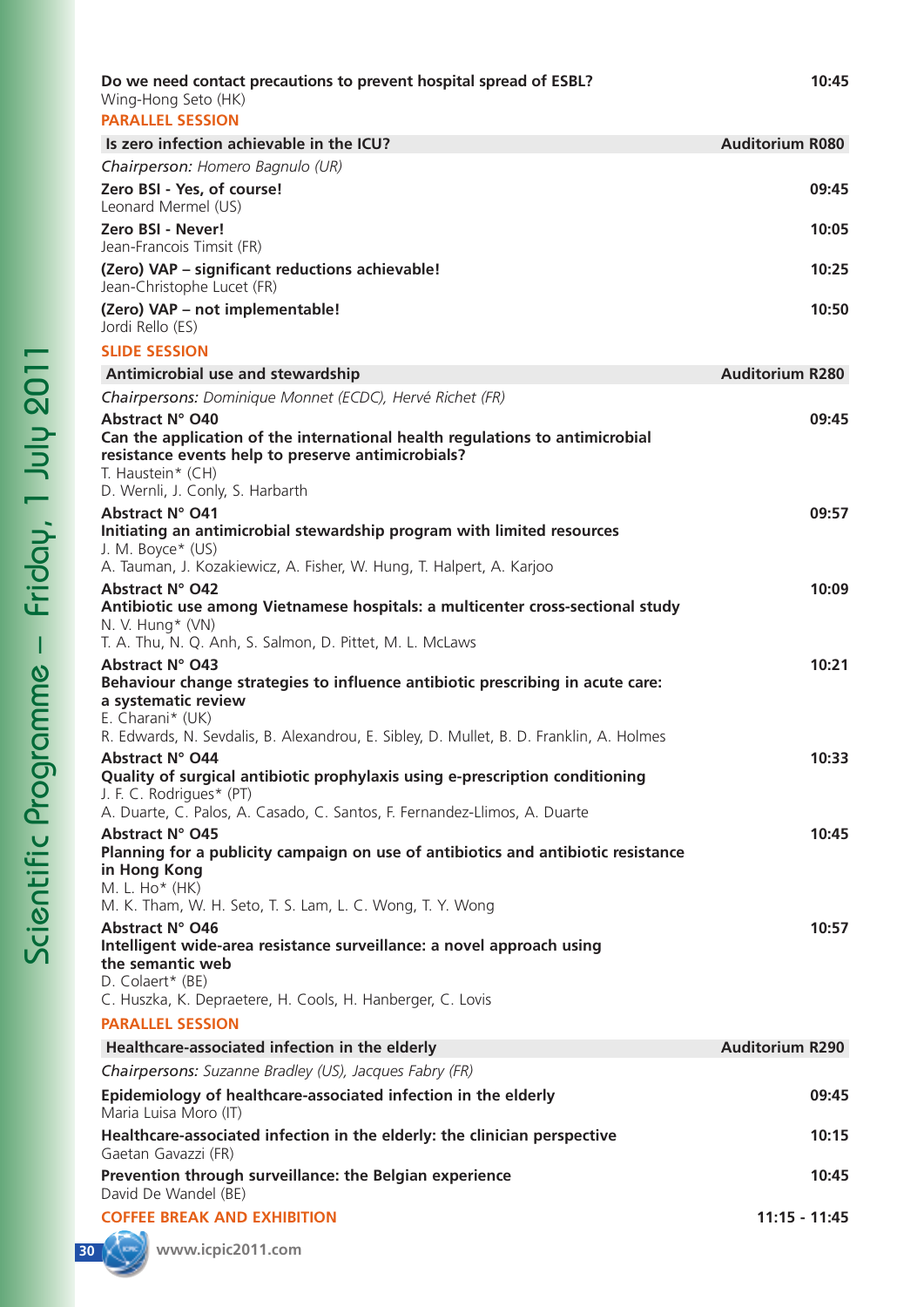| Wing-Hong Seto (HK)<br><b>PARALLEL SESSION</b>                                                                                                                                                                         |                        |
|------------------------------------------------------------------------------------------------------------------------------------------------------------------------------------------------------------------------|------------------------|
| Is zero infection achievable in the ICU?                                                                                                                                                                               | <b>Auditorium R080</b> |
| Chairperson: Homero Bagnulo (UR)                                                                                                                                                                                       |                        |
| Zero BSI - Yes, of course!<br>Leonard Mermel (US)                                                                                                                                                                      | 09:45                  |
| Zero BSI - Never!<br>Jean-Francois Timsit (FR)                                                                                                                                                                         | 10:05                  |
| (Zero) VAP - significant reductions achievable!<br>Jean-Christophe Lucet (FR)                                                                                                                                          | 10:25                  |
| (Zero) VAP - not implementable!<br>Jordi Rello (ES)                                                                                                                                                                    | 10:50                  |
| <b>SLIDE SESSION</b>                                                                                                                                                                                                   |                        |
| Antimicrobial use and stewardship                                                                                                                                                                                      | <b>Auditorium R280</b> |
| Chairpersons: Dominique Monnet (ECDC), Hervé Richet (FR)                                                                                                                                                               |                        |
| <b>Abstract N° O40</b><br>Can the application of the international health regulations to antimicrobial<br>resistance events help to preserve antimicrobials?<br>T. Haustein* (CH)                                      | 09:45                  |
| D. Wernli, J. Conly, S. Harbarth<br>Abstract N° O41<br>Initiating an antimicrobial stewardship program with limited resources                                                                                          | 09:57                  |
| J. M. Boyce* (US)<br>A. Tauman, J. Kozakiewicz, A. Fisher, W. Hung, T. Halpert, A. Karjoo<br><b>Abstract N° O42</b>                                                                                                    | 10:09                  |
| Antibiotic use among Vietnamese hospitals: a multicenter cross-sectional study<br>N. V. Hung* (VN)<br>T. A. Thu, N. Q. Anh, S. Salmon, D. Pittet, M. L. McLaws                                                         |                        |
| <b>Abstract N° O43</b><br>Behaviour change strategies to influence antibiotic prescribing in acute care:<br>a systematic review<br>E. Charani* (UK)                                                                    | 10:21                  |
| R. Edwards, N. Sevdalis, B. Alexandrou, E. Sibley, D. Mullet, B. D. Franklin, A. Holmes<br>Abstract N° O44<br>Quality of surgical antibiotic prophylaxis using e-prescription conditioning<br>J. F. C. Rodrigues* (PT) | 10:33                  |
| A. Duarte, C. Palos, A. Casado, C. Santos, F. Fernandez-Llimos, A. Duarte<br>Abstract N° O45<br>Planning for a publicity campaign on use of antibiotics and antibiotic resistance                                      | 10:45                  |
| in Hong Kong<br>M. L. Ho* (HK)<br>M. K. Tham, W. H. Seto, T. S. Lam, L. C. Wong, T. Y. Wong<br>Abstract N° O46                                                                                                         | 10:57                  |
| Intelligent wide-area resistance surveillance: a novel approach using<br>the semantic web<br>D. Colaert* (BE)<br>C. Huszka, K. Depraetere, H. Cools, H. Hanberger, C. Lovis                                            |                        |
| <b>PARALLEL SESSION</b>                                                                                                                                                                                                |                        |
| Healthcare-associated infection in the elderly                                                                                                                                                                         | <b>Auditorium R290</b> |
| Chairpersons: Suzanne Bradley (US), Jacques Fabry (FR)                                                                                                                                                                 |                        |
| Epidemiology of healthcare-associated infection in the elderly<br>Maria Luisa Moro (IT)                                                                                                                                | 09:45                  |
| Healthcare-associated infection in the elderly: the clinician perspective<br>Gaetan Gavazzi (FR)                                                                                                                       | 10:15                  |
| Prevention through surveillance: the Belgian experience<br>David De Wandel (BE)                                                                                                                                        | 10:45                  |
| <b>COFFEE BREAK AND EXHIBITION</b>                                                                                                                                                                                     | 11:15 - 11:45          |

1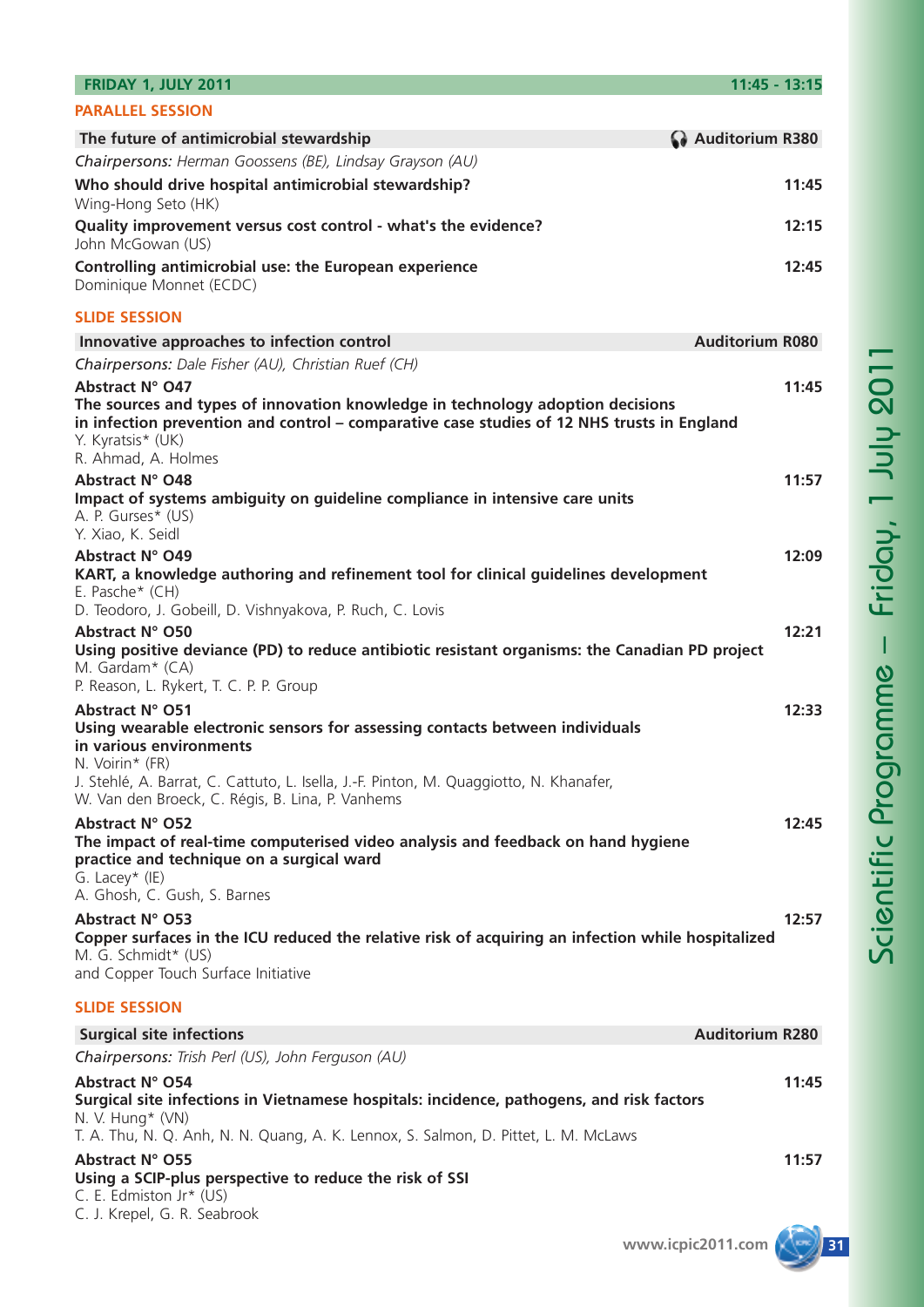| <b>FRIDAY 1, JULY 2011</b>                                                                                                                                                                                                                                                                  | $11:45 - 13:15$        |
|---------------------------------------------------------------------------------------------------------------------------------------------------------------------------------------------------------------------------------------------------------------------------------------------|------------------------|
| <b>PARALLEL SESSION</b>                                                                                                                                                                                                                                                                     |                        |
| The future of antimicrobial stewardship                                                                                                                                                                                                                                                     | Auditorium R380        |
| Chairpersons: Herman Goossens (BE), Lindsay Grayson (AU)                                                                                                                                                                                                                                    |                        |
| Who should drive hospital antimicrobial stewardship?<br>Wing-Hong Seto (HK)                                                                                                                                                                                                                 | 11:45                  |
| Quality improvement versus cost control - what's the evidence?<br>John McGowan (US)                                                                                                                                                                                                         | 12:15                  |
| Controlling antimicrobial use: the European experience<br>Dominique Monnet (ECDC)                                                                                                                                                                                                           | 12:45                  |
| <b>SLIDE SESSION</b>                                                                                                                                                                                                                                                                        |                        |
| Innovative approaches to infection control                                                                                                                                                                                                                                                  | <b>Auditorium R080</b> |
| Chairpersons: Dale Fisher (AU), Christian Ruef (CH)                                                                                                                                                                                                                                         |                        |
| Abstract N° O47<br>The sources and types of innovation knowledge in technology adoption decisions<br>in infection prevention and control - comparative case studies of 12 NHS trusts in England<br>Y. Kyratsis* (UK)<br>R. Ahmad, A. Holmes                                                 | 11:45                  |
| Abstract N° O48<br>Impact of systems ambiguity on guideline compliance in intensive care units<br>A. P. Gurses* (US)<br>Y. Xiao, K. Seidl                                                                                                                                                   | 11:57                  |
| Abstract N° O49<br>KART, a knowledge authoring and refinement tool for clinical guidelines development<br>E. Pasche* (CH)                                                                                                                                                                   | 12:09                  |
| D. Teodoro, J. Gobeill, D. Vishnyakova, P. Ruch, C. Lovis<br>Abstract N° O50<br>Using positive deviance (PD) to reduce antibiotic resistant organisms: the Canadian PD project                                                                                                              | 12:21                  |
| M. Gardam* (CA)<br>P. Reason, L. Rykert, T. C. P. P. Group                                                                                                                                                                                                                                  |                        |
| Abstract N° O51<br>Using wearable electronic sensors for assessing contacts between individuals<br>in various environments<br>N. Voirin* (FR)<br>J. Stehlé, A. Barrat, C. Cattuto, L. Isella, J.-F. Pinton, M. Quaggiotto, N. Khanafer,<br>W. Van den Broeck, C. Régis, B. Lina, P. Vanhems | 12:33                  |
| Abstract N° O52<br>The impact of real-time computerised video analysis and feedback on hand hygiene<br>practice and technique on a surgical ward<br>G. Lacey* $(IE)$<br>A. Ghosh, C. Gush, S. Barnes                                                                                        | 12:45                  |
| Abstract N° O53<br>Copper surfaces in the ICU reduced the relative risk of acquiring an infection while hospitalized<br>M. G. Schmidt* (US)<br>and Copper Touch Surface Initiative                                                                                                          | 12:57                  |
| <b>SLIDE SESSION</b>                                                                                                                                                                                                                                                                        |                        |
| <b>Surgical site infections</b>                                                                                                                                                                                                                                                             | <b>Auditorium R280</b> |
| Chairpersons: Trish Perl (US), John Ferguson (AU)                                                                                                                                                                                                                                           |                        |
| Abstract N° O54<br>Surgical site infections in Vietnamese hospitals: incidence, pathogens, and risk factors<br>N. V. Hung* (VN)                                                                                                                                                             | 11:45                  |
| T. A. Thu, N. Q. Anh, N. N. Quang, A. K. Lennox, S. Salmon, D. Pittet, L. M. McLaws<br>Abstract N° O55<br>Using a SCIP-plus perspective to reduce the risk of SSI<br>C. E. Edmiston Jr* (US)                                                                                                | 11:57                  |
| C. J. Krepel, G. R. Seabrook                                                                                                                                                                                                                                                                |                        |
|                                                                                                                                                                                                                                                                                             |                        |

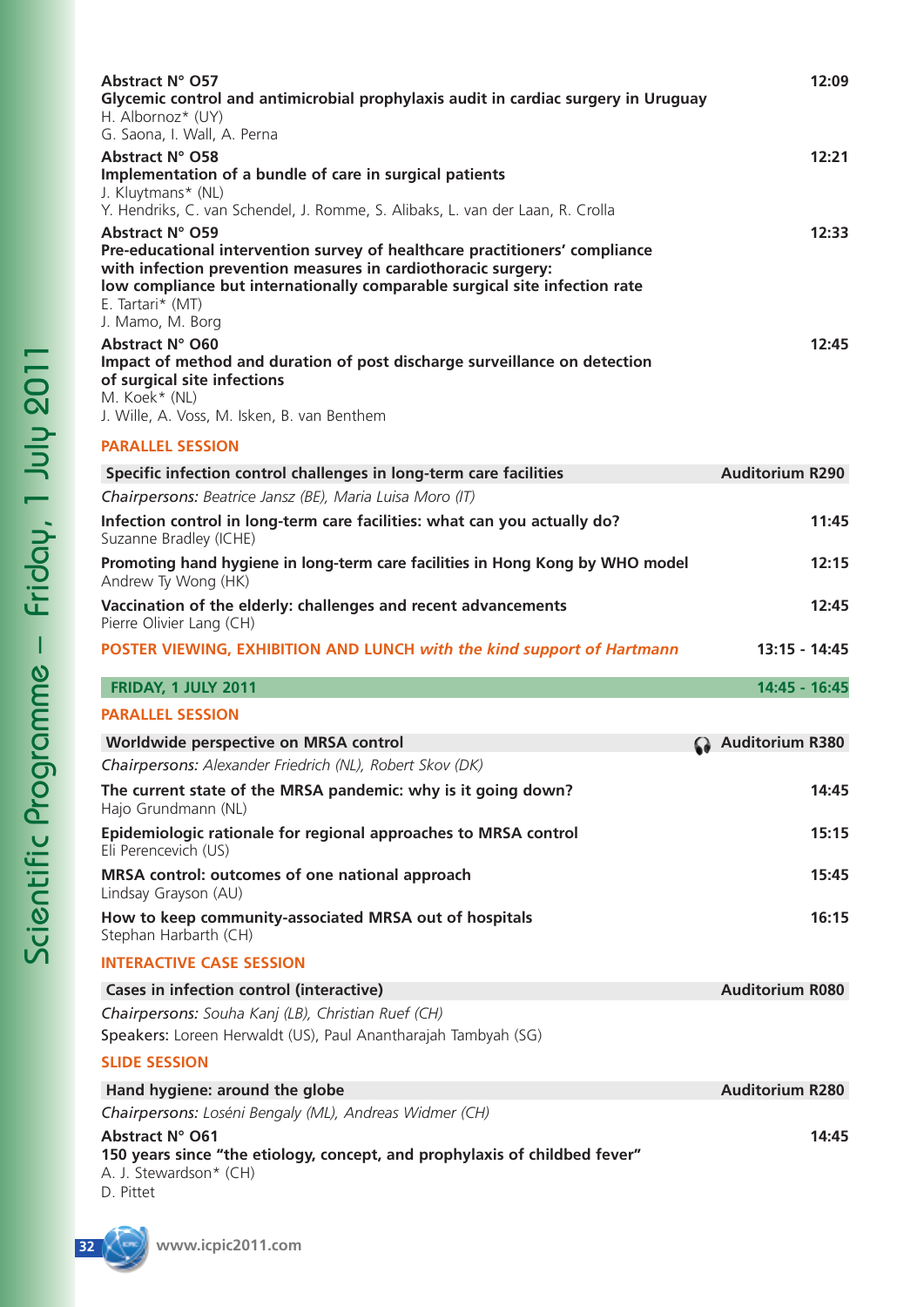| Abstract N° O57<br>Glycemic control and antimicrobial prophylaxis audit in cardiac surgery in Uruguay<br>H. Albornoz* (UY)<br>G. Saona, I. Wall, A. Perna                                                                                                                                                                                                                          | 12:09                  |
|------------------------------------------------------------------------------------------------------------------------------------------------------------------------------------------------------------------------------------------------------------------------------------------------------------------------------------------------------------------------------------|------------------------|
| Abstract N° O58<br>Implementation of a bundle of care in surgical patients<br>J. Kluytmans* (NL)                                                                                                                                                                                                                                                                                   | 12:21                  |
| Y. Hendriks, C. van Schendel, J. Romme, S. Alibaks, L. van der Laan, R. Crolla<br>Abstract N° O59<br>Pre-educational intervention survey of healthcare practitioners' compliance                                                                                                                                                                                                   | 12:33                  |
| with infection prevention measures in cardiothoracic surgery:<br>low compliance but internationally comparable surgical site infection rate<br>E. Tartari* (MT)<br>J. Mamo, M. Borg<br>Abstract N° O60<br>Impact of method and duration of post discharge surveillance on detection<br>of surgical site infections<br>M. Koek* (NL)<br>J. Wille, A. Voss, M. Isken, B. van Benthem | 12:45                  |
| <b>PARALLEL SESSION</b>                                                                                                                                                                                                                                                                                                                                                            |                        |
| Specific infection control challenges in long-term care facilities                                                                                                                                                                                                                                                                                                                 | <b>Auditorium R290</b> |
| Chairpersons: Beatrice Jansz (BE), Maria Luisa Moro (IT)<br>Infection control in long-term care facilities: what can you actually do?<br>Suzanne Bradley (ICHE)                                                                                                                                                                                                                    | 11:45                  |
| Promoting hand hygiene in long-term care facilities in Hong Kong by WHO model<br>Andrew Ty Wong (HK)                                                                                                                                                                                                                                                                               | 12:15                  |
| Vaccination of the elderly: challenges and recent advancements<br>Pierre Olivier Lang (CH)                                                                                                                                                                                                                                                                                         | 12:45                  |
| POSTER VIEWING, EXHIBITION AND LUNCH with the kind support of Hartmann                                                                                                                                                                                                                                                                                                             | 13:15 - 14:45          |
| <b>FRIDAY, 1 JULY 2011</b>                                                                                                                                                                                                                                                                                                                                                         | 14:45 - 16:45          |
| <b>PARALLEL SESSION</b>                                                                                                                                                                                                                                                                                                                                                            |                        |
| Worldwide perspective on MRSA control                                                                                                                                                                                                                                                                                                                                              | <b>Auditorium R380</b> |
| Chairpersons: Alexander Friedrich (NL), Robert Skov (DK)                                                                                                                                                                                                                                                                                                                           |                        |
| The current state of the MRSA pandemic: why is it going down?<br>Hajo Grundmann (NL)                                                                                                                                                                                                                                                                                               | 14:45                  |
| Epidemiologic rationale for regional approaches to MRSA control<br>Eli Perencevich (US)                                                                                                                                                                                                                                                                                            | 15:15                  |
| MRSA control: outcomes of one national approach<br>Lindsay Grayson (AU)                                                                                                                                                                                                                                                                                                            | 15:45                  |
| How to keep community-associated MRSA out of hospitals<br>Stephan Harbarth (CH)                                                                                                                                                                                                                                                                                                    | 16:15                  |
| <b>INTERACTIVE CASE SESSION</b>                                                                                                                                                                                                                                                                                                                                                    |                        |
| Cases in infection control (interactive)                                                                                                                                                                                                                                                                                                                                           | <b>Auditorium R080</b> |
| Chairpersons: Souha Kanj (LB), Christian Ruef (CH)<br>Speakers: Loreen Herwaldt (US), Paul Anantharajah Tambyah (SG)                                                                                                                                                                                                                                                               |                        |
| <b>SLIDE SESSION</b>                                                                                                                                                                                                                                                                                                                                                               |                        |
| Hand hygiene: around the globe                                                                                                                                                                                                                                                                                                                                                     | <b>Auditorium R280</b> |
| Chairpersons: Loséni Bengaly (ML), Andreas Widmer (CH)                                                                                                                                                                                                                                                                                                                             |                        |
| Abstract N° O61<br>150 years since "the etiology, concept, and prophylaxis of childbed fever"<br>A. J. Stewardson* (CH)<br>D. Pittet                                                                                                                                                                                                                                               | 14:45                  |

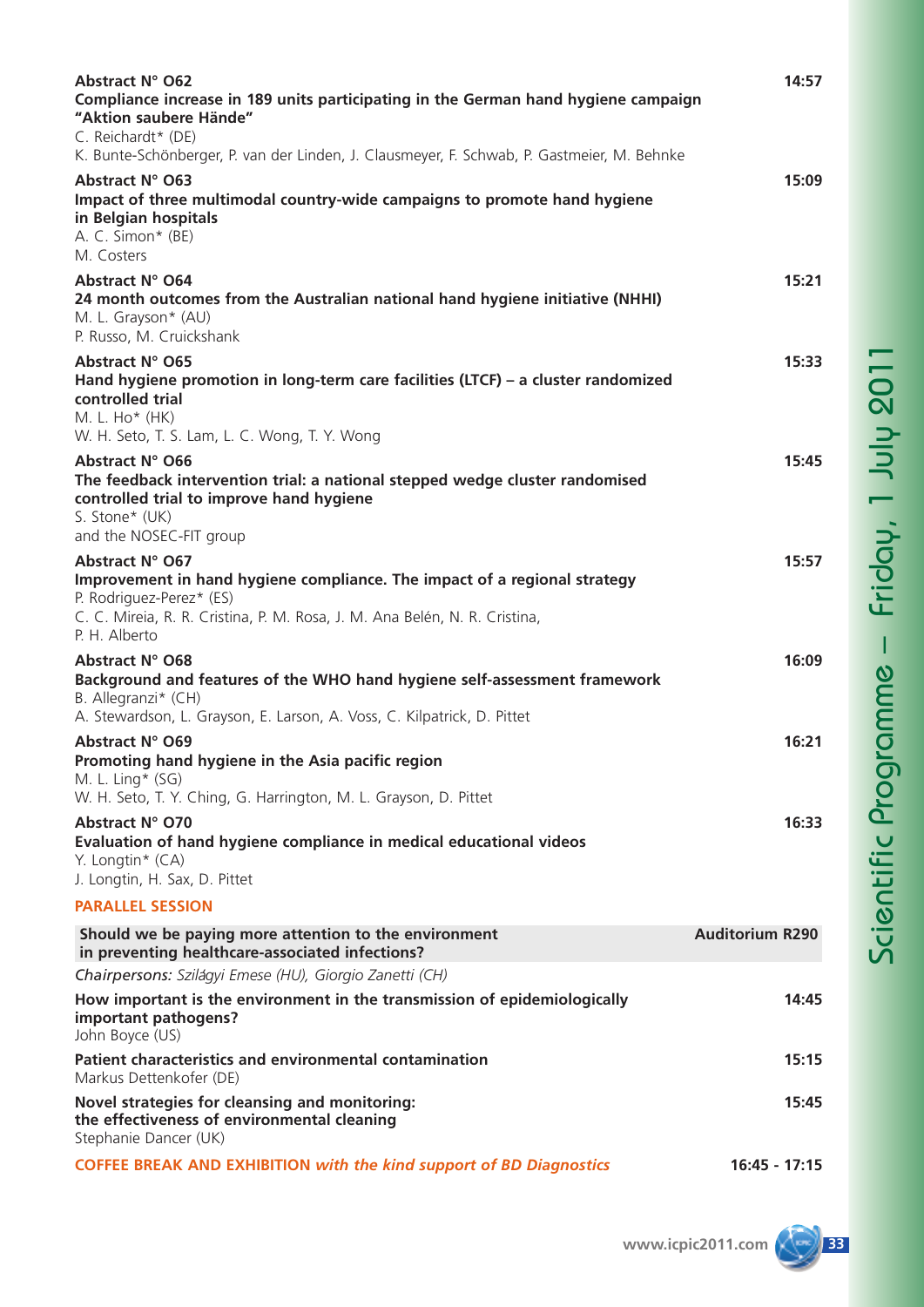| <b>Abstract N° O62</b><br>Compliance increase in 189 units participating in the German hand hygiene campaign<br>"Aktion saubere Hände"<br>C. Reichardt* (DE)                                         | 14:57                  |
|------------------------------------------------------------------------------------------------------------------------------------------------------------------------------------------------------|------------------------|
| K. Bunte-Schönberger, P. van der Linden, J. Clausmeyer, F. Schwab, P. Gastmeier, M. Behnke                                                                                                           |                        |
| Abstract N° O63<br>Impact of three multimodal country-wide campaigns to promote hand hygiene<br>in Belgian hospitals<br>A. C. Simon* (BE)<br>M. Costers                                              | 15:09                  |
| Abstract N° O64<br>24 month outcomes from the Australian national hand hygiene initiative (NHHI)<br>M. L. Grayson* (AU)<br>P. Russo, M. Cruickshank                                                  | 15:21                  |
| Abstract N° O65<br>Hand hygiene promotion in long-term care facilities (LTCF) - a cluster randomized<br>controlled trial<br>M. L. Ho* (HK)                                                           | 15:33                  |
| W. H. Seto, T. S. Lam, L. C. Wong, T. Y. Wong<br>Abstract N° O66                                                                                                                                     | 15:45                  |
| The feedback intervention trial: a national stepped wedge cluster randomised<br>controlled trial to improve hand hygiene<br>S. Stone* (UK)<br>and the NOSEC-FIT group                                |                        |
| Abstract N° O67                                                                                                                                                                                      | 15:57                  |
| Improvement in hand hygiene compliance. The impact of a regional strategy<br>P. Rodriguez-Perez* (ES)<br>C. C. Mireia, R. R. Cristina, P. M. Rosa, J. M. Ana Belén, N. R. Cristina,<br>P. H. Alberto |                        |
| <b>Abstract N° O68</b>                                                                                                                                                                               | 16:09                  |
| Background and features of the WHO hand hygiene self-assessment framework<br>B. Allegranzi* (CH)<br>A. Stewardson, L. Grayson, E. Larson, A. Voss, C. Kilpatrick, D. Pittet                          |                        |
| Abstract N° O69                                                                                                                                                                                      | 16:21                  |
| Promoting hand hygiene in the Asia pacific region<br>M. L. Ling $*(SG)$                                                                                                                              |                        |
| W. H. Seto, T. Y. Ching, G. Harrington, M. L. Grayson, D. Pittet                                                                                                                                     |                        |
| Abstract N° O70<br>Evaluation of hand hygiene compliance in medical educational videos<br>Y. Longtin $*(CA)$                                                                                         | 16:33                  |
| J. Longtin, H. Sax, D. Pittet                                                                                                                                                                        |                        |
| <b>PARALLEL SESSION</b>                                                                                                                                                                              |                        |
| Should we be paying more attention to the environment<br>in preventing healthcare-associated infections?                                                                                             | <b>Auditorium R290</b> |
| Chairpersons: Szilágyi Emese (HU), Giorgio Zanetti (CH)                                                                                                                                              | 14:45                  |
| How important is the environment in the transmission of epidemiologically<br>important pathogens?<br>John Boyce (US)                                                                                 |                        |
| Patient characteristics and environmental contamination<br>Markus Dettenkofer (DE)                                                                                                                   | 15:15                  |
| Novel strategies for cleansing and monitoring:<br>the effectiveness of environmental cleaning<br>Stephanie Dancer (UK)                                                                               | 15:45                  |
| <b>COFFEE BREAK AND EXHIBITION with the kind support of BD Diagnostics</b>                                                                                                                           | $16:45 - 17:15$        |

 $\blacksquare$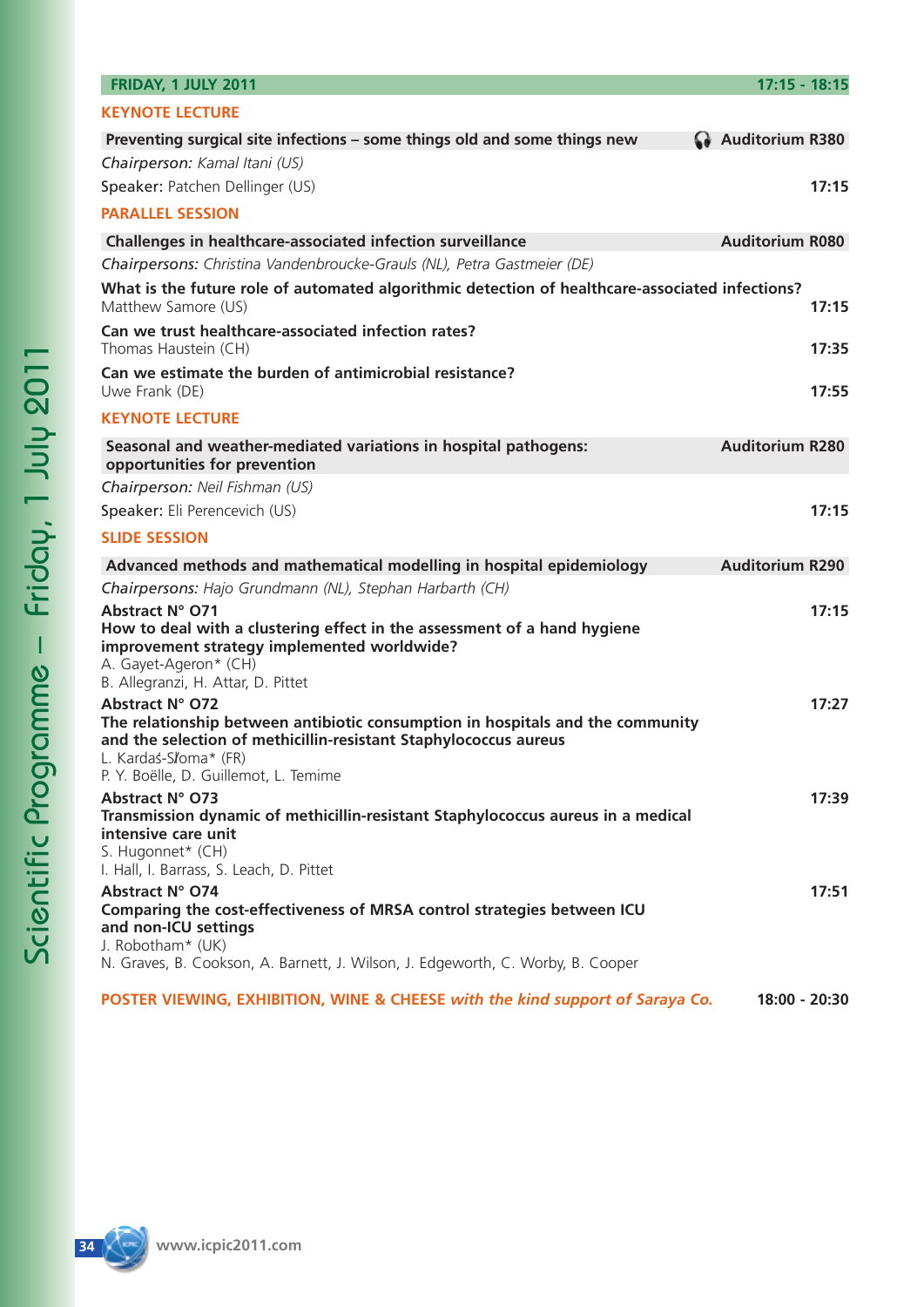| FRIDAY, 1 JULY 2011                                                                                                                                                                            | $17:15 - 18:15$        |
|------------------------------------------------------------------------------------------------------------------------------------------------------------------------------------------------|------------------------|
| <b>KEYNOTE LECTURE</b>                                                                                                                                                                         |                        |
| Preventing surgical site infections - some things old and some things new                                                                                                                      | Auditorium R380        |
| Chairperson: Kamal Itani (US)                                                                                                                                                                  |                        |
| Speaker: Patchen Dellinger (US)                                                                                                                                                                | 17:15                  |
| <b>PARALLEL SESSION</b>                                                                                                                                                                        |                        |
| Challenges in healthcare-associated infection surveillance                                                                                                                                     | <b>Auditorium R080</b> |
| Chairpersons: Christina Vandenbroucke-Grauls (NL), Petra Gastmeier (DE)                                                                                                                        |                        |
| What is the future role of automated algorithmic detection of healthcare-associated infections?<br>Matthew Samore (US)                                                                         | 17:15                  |
| Can we trust healthcare-associated infection rates?<br>Thomas Haustein (CH)                                                                                                                    | 17:35                  |
| Can we estimate the burden of antimicrobial resistance?<br>Uwe Frank (DE)                                                                                                                      | 17:55                  |
| <b>KEYNOTE LECTURE</b>                                                                                                                                                                         |                        |
| Seasonal and weather-mediated variations in hospital pathogens:<br>opportunities for prevention                                                                                                | <b>Auditorium R280</b> |
| Chairperson: Neil Fishman (US)                                                                                                                                                                 |                        |
| Speaker: Eli Perencevich (US)                                                                                                                                                                  | 17:15                  |
| <b>SLIDE SESSION</b>                                                                                                                                                                           |                        |
| Advanced methods and mathematical modelling in hospital epidemiology                                                                                                                           | <b>Auditorium R290</b> |
| Chairpersons: Hajo Grundmann (NL), Stephan Harbarth (CH)                                                                                                                                       |                        |
| Abstract N° O71<br>How to deal with a clustering effect in the assessment of a hand hygiene<br>improvement strategy implemented worldwide?<br>A. Gayet-Ageron* (CH)                            | 17:15                  |
| B. Allegranzi, H. Attar, D. Pittet                                                                                                                                                             |                        |
| Abstract N° O72<br>The relationship between antibiotic consumption in hospitals and the community<br>and the selection of methicillin-resistant Staphylococcus aureus<br>L. Kardaś-S/oma* (FR) | 17:27                  |
| P. Y. Boëlle, D. Guillemot, L. Temime<br>Abstract N° O73                                                                                                                                       | 17:39                  |
| Transmission dynamic of methicillin-resistant Staphylococcus aureus in a medical<br>intensive care unit<br>S. Hugonnet* (CH)                                                                   |                        |
| I. Hall, I. Barrass, S. Leach, D. Pittet                                                                                                                                                       |                        |
| Abstract N° O74<br>Comparing the cost-effectiveness of MRSA control strategies between ICU<br>and non-ICU settings                                                                             | 17:51                  |
| J. Robotham* (UK)<br>N. Graves, B. Cookson, A. Barnett, J. Wilson, J. Edgeworth, C. Worby, B. Cooper                                                                                           |                        |
| POSTER VIEWING, EXHIBITION, WINE & CHEESE with the kind support of Saraya Co.                                                                                                                  | 18:00 - 20:30          |

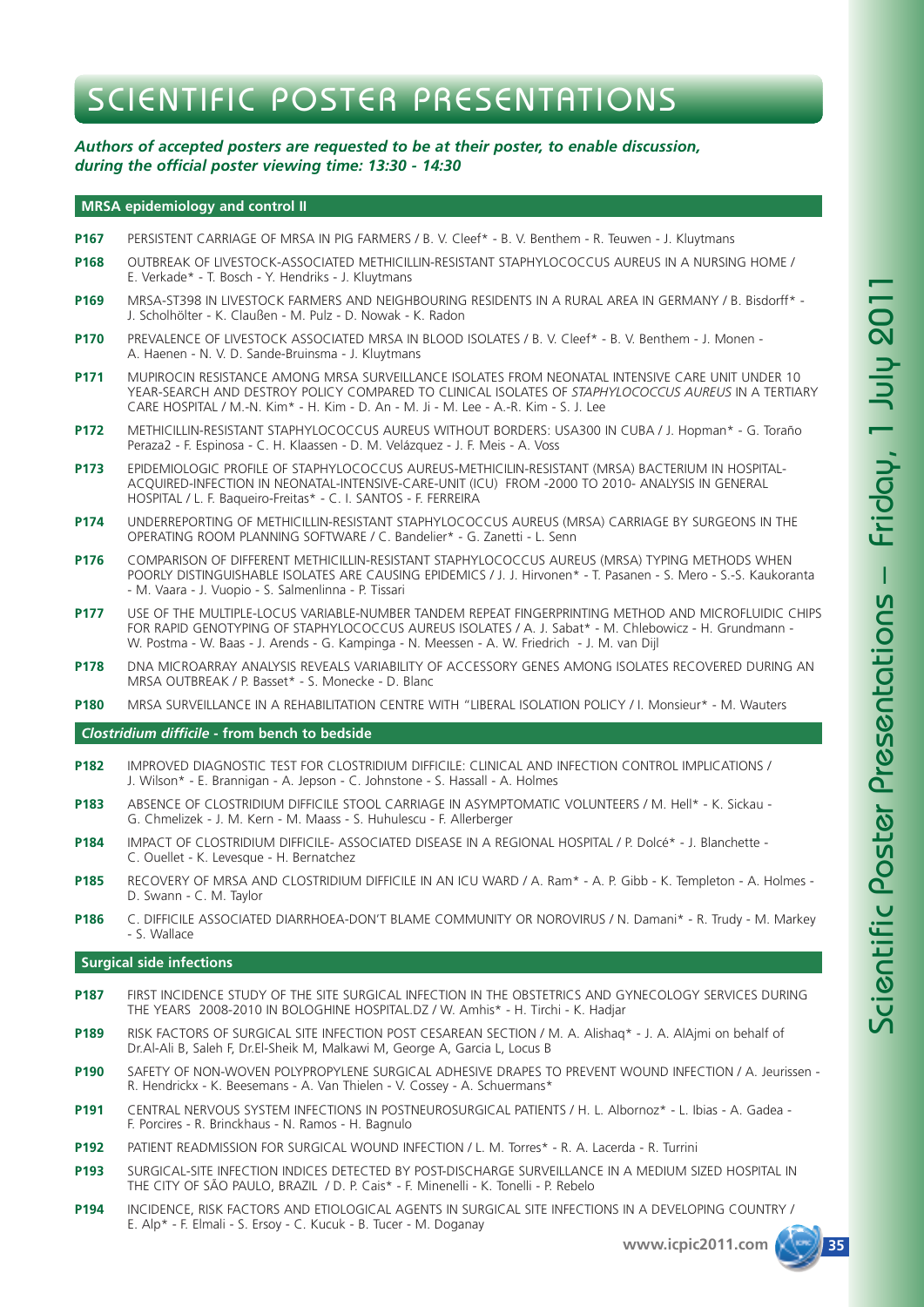## SCIENTIFIC POSTER PRESENTATIONS

### *Authors of accepted posters are requested to be at their poster, to enable discussion, during the official poster viewing time: 13:30 - 14:30*

#### **MRSA epidemiology and control II**

- **P167** PERSISTENT CARRIAGE OF MRSA IN PIG FARMERS / B. V. Cleef\* B. V. Benthem R. Teuwen J. Kluytmans
- **P168** OUTBREAK OF LIVESTOCK-ASSOCIATED METHICILLIN-RESISTANT STAPHYLOCOCCUS AUREUS IN A NURSING HOME / E. Verkade\* - T. Bosch - Y. Hendriks - J. Kluytmans
- **P169** MRSA-ST398 IN LIVESTOCK FARMERS AND NEIGHBOURING RESIDENTS IN A RURAL AREA IN GERMANY / B. Bisdorff\* J. Scholhölter - K. Claußen - M. Pulz - D. Nowak - K. Radon
- **P170** PREVALENCE OF LIVESTOCK ASSOCIATED MRSA IN BLOOD ISOLATES / B. V. Cleef\* B. V. Benthem J. Monen A. Haenen - N. V. D. Sande-Bruinsma - J. Kluytmans
- **P171** MUPIROCIN RESISTANCE AMONG MRSA SURVEILLANCE ISOLATES FROM NEONATAL INTENSIVE CARE UNIT UNDER 10 YEAR-SEARCH AND DESTROY POLICY COMPARED TO CLINICAL ISOLATES OF *STAPHYLOCOCCUS AUREUS* IN A TERTIARY CARE HOSPITAL / M.-N. Kim\* - H. Kim - D. An - M. Ji - M. Lee - A.-R. Kim - S. J. Lee
- **P172** METHICILLIN-RESISTANT STAPHYLOCOCCUS AUREUS WITHOUT BORDERS: USA300 IN CUBA / J. Hopman\* G. Toraño Peraza2 - F. Espinosa - C. H. Klaassen - D. M. Velázquez - J. F. Meis - A. Voss
- **P173** EPIDEMIOLOGIC PROFILE OF STAPHYLOCOCCUS AUREUS-METHICILIN-RESISTANT (MRSA) BACTERIUM IN HOSPITAL-ACQUIRED-INFECTION IN NEONATAL-INTENSIVE-CARE-UNIT (ICU) FROM -2000 TO 2010- ANALYSIS IN GENERAL HOSPITAL / L. F. Baqueiro-Freitas\* - C. I. SANTOS - F. FERREIRA
- **P174** UNDERREPORTING OF METHICILLIN-RESISTANT STAPHYLOCOCCUS AUREUS (MRSA) CARRIAGE BY SURGEONS IN THE OPERATING ROOM PLANNING SOFTWARE / C. Bandelier\* - G. Zanetti - L. Senn
- **P176** COMPARISON OF DIFFERENT METHICILLIN-RESISTANT STAPHYLOCOCCUS AUREUS (MRSA) TYPING METHODS WHEN POORLY DISTINGUISHABLE ISOLATES ARE CAUSING EPIDEMICS / J. J. Hirvonen\* - T. Pasanen - S. Mero - S.-S. Kaukoranta - M. Vaara - J. Vuopio - S. Salmenlinna - P. Tissari
- **P177** USE OF THE MULTIPLE-LOCUS VARIABLE-NUMBER TANDEM REPEAT FINGERPRINTING METHOD AND MICROFLUIDIC CHIPS FOR RAPID GENOTYPING OF STAPHYLOCOCCUS AUREUS ISOLATES / A. J. Sabat\* - M. Chlebowicz - H. Grundmann -W. Postma - W. Baas - J. Arends - G. Kampinga - N. Meessen - A. W. Friedrich - J. M. van Dijl
- **P178** DNA MICROARRAY ANALYSIS REVEALS VARIABILITY OF ACCESSORY GENES AMONG ISOLATES RECOVERED DURING AN MRSA OUTBREAK / P. Basset\* - S. Monecke - D. Blanc
- **P180** MRSA SURVEILLANCE IN A REHABILITATION CENTRE WITH "LIBERAL ISOLATION POLICY / I. Monsieur\* M. Wauters

#### *Clostridium difficile* **- from bench to bedside**

- **P182** IMPROVED DIAGNOSTIC TEST FOR CLOSTRIDIUM DIFFICILE: CLINICAL AND INFECTION CONTROL IMPLICATIONS / J. Wilson\* - E. Brannigan - A. Jepson - C. Johnstone - S. Hassall - A. Holmes
- **P183** ABSENCE OF CLOSTRIDIUM DIFFICILE STOOL CARRIAGE IN ASYMPTOMATIC VOLUNTEERS / M. Hell\* K. Sickau G. Chmelizek - J. M. Kern - M. Maass - S. Huhulescu - F. Allerberger
- **P184** IMPACT OF CLOSTRIDIUM DIFFICILE- ASSOCIATED DISEASE IN A REGIONAL HOSPITAL / P. Dolcé\* J. Blanchette C. Ouellet - K. Levesque - H. Bernatchez
- **P185** RECOVERY OF MRSA AND CLOSTRIDIUM DIFFICILE IN AN ICU WARD / A. Ram\* A. P. Gibb K. Templeton A. Holmes D. Swann - C. M. Taylor
- **P186** C. DIFFICILE ASSOCIATED DIARRHOEA-DON'T BLAME COMMUNITY OR NOROVIRUS / N. Damani\* R. Trudy M. Markey - S. Wallace

#### **Surgical side infections**

- **P187** FIRST INCIDENCE STUDY OF THE SITE SURGICAL INFECTION IN THE OBSTETRICS AND GYNECOLOGY SERVICES DURING THE YEARS 2008-2010 IN BOLOGHINE HOSPITAL.DZ / W. Amhis\* - H. Tirchi - K. Hadjar
- **P189** RISK FACTORS OF SURGICAL SITE INFECTION POST CESAREAN SECTION / M. A. Alishaq\* J. A. AlAjmi on behalf of Dr.Al-Ali B, Saleh F, Dr.El-Sheik M, Malkawi M, George A, Garcia L, Locus B
- **P190** SAFETY OF NON-WOVEN POLYPROPYLENE SURGICAL ADHESIVE DRAPES TO PREVENT WOUND INFECTION / A. Jeurissen R. Hendrickx - K. Beesemans - A. Van Thielen - V. Cossey - A. Schuermans\*
- **P191** CENTRAL NERVOUS SYSTEM INFECTIONS IN POSTNEUROSURGICAL PATIENTS / H. L. Albornoz\* L. Ibias A. Gadea F. Porcires - R. Brinckhaus - N. Ramos - H. Bagnulo
- **P192** PATIENT READMISSION FOR SURGICAL WOUND INFECTION / L. M. Torres\* R. A. Lacerda R. Turrini
- **P193** SURGICAL-SITE INFECTION INDICES DETECTED BY POST-DISCHARGE SURVEILLANCE IN A MEDIUM SIZED HOSPITAL IN THE CITY OF SÃO PAULO, BRAZIL / D. P. Cais\* - F. Minenelli - K. Tonelli - P. Rebelo
- **P194** INCIDENCE, RISK FACTORS AND ETIOLOGICAL AGENTS IN SURGICAL SITE INFECTIONS IN A DEVELOPING COUNTRY / E. Alp\* - F. Elmali - S. Ersoy - C. Kucuk - B. Tucer - M. Doganay

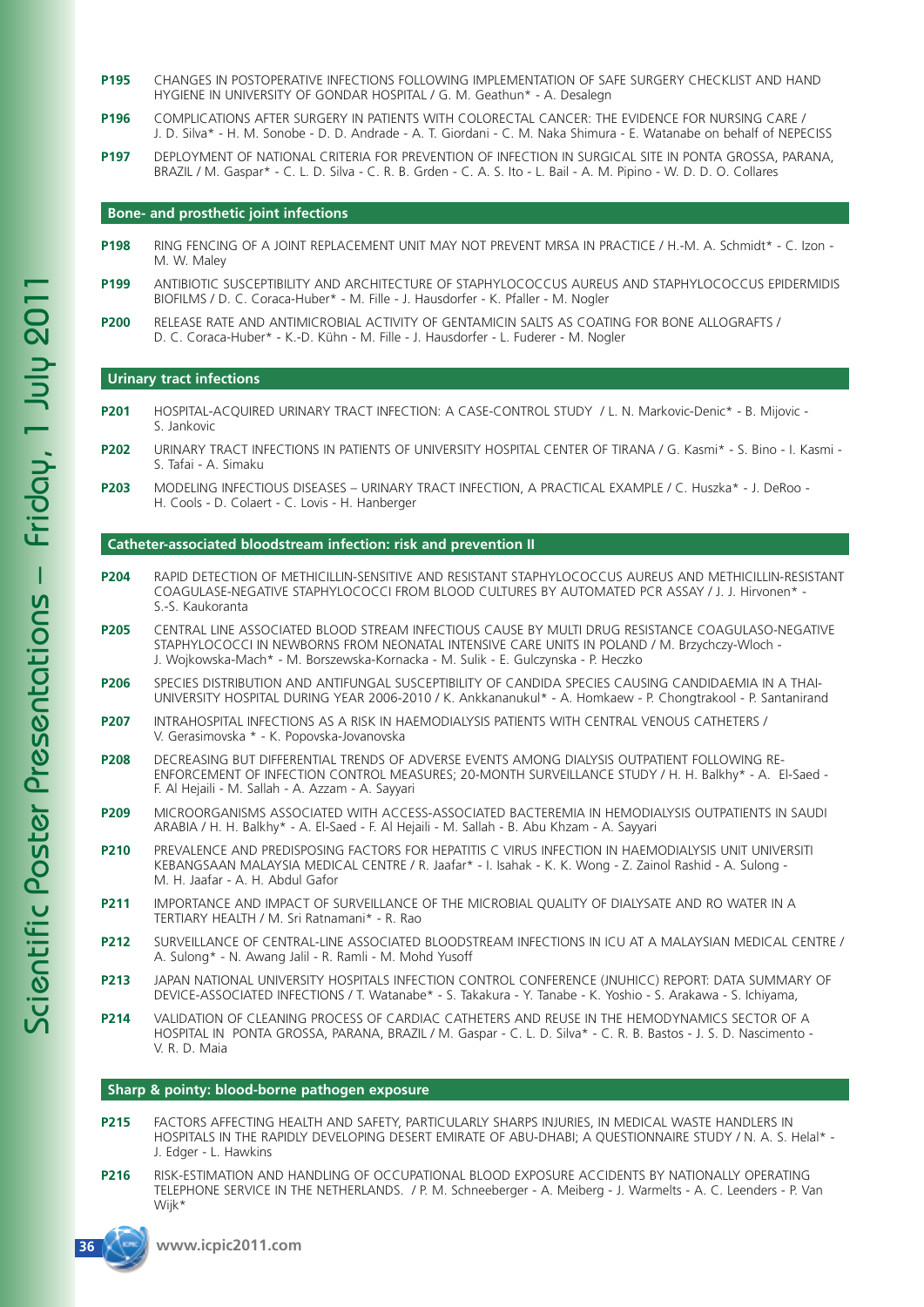- **P195** CHANGES IN POSTOPERATIVE INFECTIONS FOLLOWING IMPLEMENTATION OF SAFE SURGERY CHECKLIST AND HAND HYGIENE IN UNIVERSITY OF GONDAR HOSPITAL / G. M. Geathun\* - A. Desalegn
- **P196** COMPLICATIONS AFTER SURGERY IN PATIENTS WITH COLORECTAL CANCER: THE EVIDENCE FOR NURSING CARE / J. D. Silva\* - H. M. Sonobe - D. D. Andrade - A. T. Giordani - C. M. Naka Shimura - E. Watanabe on behalf of NEPECISS
- **P197** DEPLOYMENT OF NATIONAL CRITERIA FOR PREVENTION OF INFECTION IN SURGICAL SITE IN PONTA GROSSA, PARANA, BRAZIL / M. Gaspar\* - C. L. D. Silva - C. R. B. Grden - C. A. S. Ito - L. Bail - A. M. Pipino - W. D. D. O. Collares

#### **Bone- and prosthetic joint infections**

- **P198** RING FENCING OF A JOINT REPLACEMENT UNIT MAY NOT PREVENT MRSA IN PRACTICE / H.-M. A. Schmidt\* C. Izon M. W. Maley
- **P199** ANTIBIOTIC SUSCEPTIBILITY AND ARCHITECTURE OF STAPHYLOCOCCUS AUREUS AND STAPHYLOCOCCUS EPIDERMIDIS BIOFILMS / D. C. Coraca-Huber\* - M. Fille - J. Hausdorfer - K. Pfaller - M. Nogler
- **P200** RELEASE RATE AND ANTIMICROBIAL ACTIVITY OF GENTAMICIN SALTS AS COATING FOR BONE ALLOGRAFTS / D. C. Coraca-Huber\* - K.-D. Kühn - M. Fille - J. Hausdorfer - L. Fuderer - M. Nogler

#### **Urinary tract infections**

- **P201** HOSPITAL-ACQUIRED URINARY TRACT INFECTION: A CASE-CONTROL STUDY / L. N. Markovic-Denic\* B. Mijovic S. Jankovic
- **P202** URINARY TRACT INFECTIONS IN PATIENTS OF UNIVERSITY HOSPITAL CENTER OF TIRANA / G. Kasmi\* S. Bino I. Kasmi S. Tafai - A. Simaku
- **P203** MODELING INFECTIOUS DISEASES URINARY TRACT INFECTION, A PRACTICAL EXAMPLE / C. Huszka\* J. DeRoo H. Cools - D. Colaert - C. Lovis - H. Hanberger

#### **Catheter-associated bloodstream infection: risk and prevention II**

- **P204** RAPID DETECTION OF METHICILLIN-SENSITIVE AND RESISTANT STAPHYLOCOCCUS AUREUS AND METHICILLIN-RESISTANT COAGULASE-NEGATIVE STAPHYLOCOCCI FROM BLOOD CULTURES BY AUTOMATED PCR ASSAY / J. J. Hirvonen\* - S.-S. Kaukoranta
- **P205** CENTRAL LINE ASSOCIATED BLOOD STREAM INFECTIOUS CAUSE BY MULTI DRUG RESISTANCE COAGULASO-NEGATIVE STAPHYLOCOCCI IN NEWBORNS FROM NEONATAL INTENSIVE CARE UNITS IN POLAND / M. Brzychczy-Wloch - J. Wojkowska-Mach\* - M. Borszewska-Kornacka - M. Sulik - E. Gulczynska - P. Heczko
- **P206** SPECIES DISTRIBUTION AND ANTIFUNGAL SUSCEPTIBILITY OF CANDIDA SPECIES CAUSING CANDIDAEMIA IN A THAI-UNIVERSITY HOSPITAL DURING YEAR 2006-2010 / K. Ankkananukul\* - A. Homkaew - P. Chongtrakool - P. Santanirand
- **P207** INTRAHOSPITAL INFECTIONS AS A RISK IN HAEMODIALYSIS PATIENTS WITH CENTRAL VENOUS CATHETERS / V. Gerasimovska \* - K. Popovska-Jovanovska
- **P208** DECREASING BUT DIFFERENTIAL TRENDS OF ADVERSE EVENTS AMONG DIALYSIS OUTPATIENT FOLLOWING RE-ENFORCEMENT OF INFECTION CONTROL MEASURES; 20-MONTH SURVEILLANCE STUDY / H. H. Balkhy\* - A. El-Saed - F. Al Hejaili - M. Sallah - A. Azzam - A. Sayyari
- **P209** MICROORGANISMS ASSOCIATED WITH ACCESS-ASSOCIATED BACTEREMIA IN HEMODIALYSIS OUTPATIENTS IN SAUDI ARABIA / H. H. Balkhy\* - A. El-Saed - F. Al Hejaili - M. Sallah - B. Abu Khzam - A. Sayyari
- **P210** PREVALENCE AND PREDISPOSING FACTORS FOR HEPATITIS C VIRUS INFECTION IN HAEMODIALYSIS UNIT UNIVERSITI KEBANGSAAN MALAYSIA MEDICAL CENTRE / R. Jaafar\* - I. Isahak - K. K. Wong - Z. Zainol Rashid - A. Sulong - M. H. Jaafar - A. H. Abdul Gafor
- **P211** IMPORTANCE AND IMPACT OF SURVEILLANCE OF THE MICROBIAL QUALITY OF DIALYSATE AND RO WATER IN A TERTIARY HEALTH / M. Sri Ratnamani\* - R. Rao
- **P212** SURVEILLANCE OF CENTRAL-LINE ASSOCIATED BLOODSTREAM INFECTIONS IN ICU AT A MALAYSIAN MEDICAL CENTRE / A. Sulong\* - N. Awang Jalil - R. Ramli - M. Mohd Yusoff
- **P213** JAPAN NATIONAL UNIVERSITY HOSPITALS INFECTION CONTROL CONFERENCE (JNUHICC) REPORT: DATA SUMMARY OF DEVICE-ASSOCIATED INFECTIONS / T. Watanabe\* - S. Takakura - Y. Tanabe - K. Yoshio - S. Arakawa - S. Ichiyama,
- **P214** VALIDATION OF CLEANING PROCESS OF CARDIAC CATHETERS AND REUSE IN THE HEMODYNAMICS SECTOR OF A HOSPITAL IN PONTA GROSSA, PARANA, BRAZIL / M. Gaspar - C. L. D. Silva\* - C. R. B. Bastos - J. S. D. Nascimento - V. R. D. Maia

#### **Sharp & pointy: blood-borne pathogen exposure**

- **P215** FACTORS AFFECTING HEALTH AND SAFETY, PARTICULARLY SHARPS INJURIES, IN MEDICAL WASTE HANDLERS IN HOSPITALS IN THE RAPIDLY DEVELOPING DESERT EMIRATE OF ABU-DHABI; A QUESTIONNAIRE STUDY / N. A. S. Helal\* - J. Edger - L. Hawkins
- **P216** RISK-ESTIMATION AND HANDLING OF OCCUPATIONAL BLOOD EXPOSURE ACCIDENTS BY NATIONALLY OPERATING TELEPHONE SERVICE IN THE NETHERLANDS. / P. M. Schneeberger - A. Meiberg - J. Warmelts - A. C. Leenders - P. Van Wijk\*

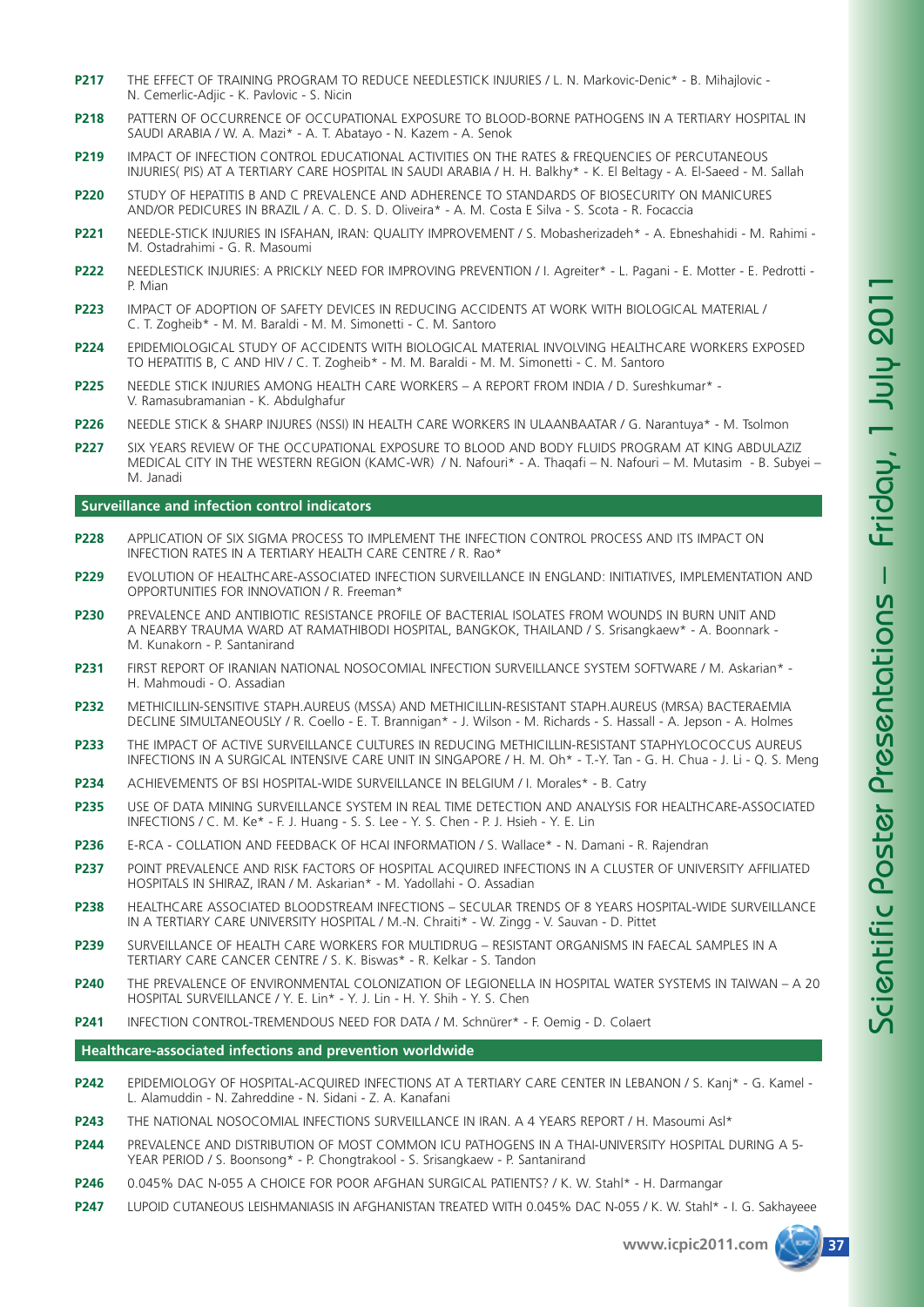- **P217** THE EFFECT OF TRAINING PROGRAM TO REDUCE NEEDLESTICK INJURIES / L. N. Markovic-Denic\* B. Mihajlovic N. Cemerlic-Adjic - K. Pavlovic - S. Nicin
- **P218** PATTERN OF OCCURRENCE OF OCCUPATIONAL EXPOSURE TO BLOOD-BORNE PATHOGENS IN A TERTIARY HOSPITAL IN SAUDI ARABIA / W. A. Mazi\* - A. T. Abatayo - N. Kazem - A. Senok
- **P219** IMPACT OF INFECTION CONTROL EDUCATIONAL ACTIVITIES ON THE RATES & FREQUENCIES OF PERCUTANEOUS INJURIES( PIS) AT A TERTIARY CARE HOSPITAL IN SAUDI ARABIA / H. H. Balkhy\* - K. El Beltagy - A. El-Saeed - M. Sallah
- **P220** STUDY OF HEPATITIS B AND C PREVALENCE AND ADHERENCE TO STANDARDS OF BIOSECURITY ON MANICURES AND/OR PEDICURES IN BRAZIL / A. C. D. S. D. Oliveira\* - A. M. Costa E Silva - S. Scota - R. Focaccia
- **P221** NEEDLE-STICK INJURIES IN ISFAHAN, IRAN: QUALITY IMPROVEMENT / S. Mobasherizadeh\* A. Ebneshahidi M. Rahimi M. Ostadrahimi - G. R. Masoumi
- **P222** NEEDLESTICK INJURIES: A PRICKLY NEED FOR IMPROVING PREVENTION / I. Agreiter\* L. Pagani E. Motter E. Pedrotti P. Mian
- **P223** IMPACT OF ADOPTION OF SAFETY DEVICES IN REDUCING ACCIDENTS AT WORK WITH BIOLOGICAL MATERIAL / C. T. Zogheib\* - M. M. Baraldi - M. M. Simonetti - C. M. Santoro
- **P224** EPIDEMIOLOGICAL STUDY OF ACCIDENTS WITH BIOLOGICAL MATERIAL INVOLVING HEALTHCARE WORKERS EXPOSED TO HEPATITIS B, C AND HIV / C. T. Zogheib\* - M. M. Baraldi - M. M. Simonetti - C. M. Santoro
- **P225** NEEDLE STICK INJURIES AMONG HEALTH CARE WORKERS A REPORT FROM INDIA / D. Sureshkumar\* V. Ramasubramanian - K. Abdulghafur
- **P226** NEEDLE STICK & SHARP INJURES (NSSI) IN HEALTH CARE WORKERS IN ULAANBAATAR / G. Narantuya\* M. Tsolmon
- **P227** SIX YEARS REVIEW OF THE OCCUPATIONAL EXPOSURE TO BLOOD AND BODY FLUIDS PROGRAM AT KING ABDULAZIZ MEDICAL CITY IN THE WESTERN REGION (KAMC-WR) / N. Nafouri\* - A. Thaqafi – N. Nafouri – M. Mutasim - B. Subyei – M. Janadi

#### **Surveillance and infection control indicators**

- **P228** APPLICATION OF SIX SIGMA PROCESS TO IMPLEMENT THE INFECTION CONTROL PROCESS AND ITS IMPACT ON INFECTION RATES IN A TERTIARY HEALTH CARE CENTRE / R. Rao\*
- **P229** EVOLUTION OF HEALTHCARE-ASSOCIATED INFECTION SURVEILLANCE IN ENGLAND: INITIATIVES, IMPLEMENTATION AND OPPORTUNITIES FOR INNOVATION / R. Freeman\*
- **P230** PREVALENCE AND ANTIBIOTIC RESISTANCE PROFILE OF BACTERIAL ISOLATES FROM WOUNDS IN BURN UNIT AND A NEARBY TRAUMA WARD AT RAMATHIBODI HOSPITAL, BANGKOK, THAILAND / S. Srisangkaew\* - A. Boonnark - M. Kunakorn - P. Santanirand
- **P231** FIRST REPORT OF IRANIAN NATIONAL NOSOCOMIAL INFECTION SURVEILLANCE SYSTEM SOFTWARE / M. Askarian\* H. Mahmoudi - O. Assadian
- **P232** METHICILLIN-SENSITIVE STAPH.AUREUS (MSSA) AND METHICILLIN-RESISTANT STAPH.AUREUS (MRSA) BACTERAEMIA DECLINE SIMULTANEOUSLY / R. Coello - E. T. Brannigan\* - J. Wilson - M. Richards - S. Hassall - A. Jepson - A. Holmes
- **P233** THE IMPACT OF ACTIVE SURVEILLANCE CULTURES IN REDUCING METHICILLIN-RESISTANT STAPHYLOCOCCUS AUREUS INFECTIONS IN A SURGICAL INTENSIVE CARE UNIT IN SINGAPORE / H. M. Oh\* - T.-Y. Tan - G. H. Chua - J. Li - Q. S. Meng
- **P234** ACHIEVEMENTS OF BSI HOSPITAL-WIDE SURVEILLANCE IN BELGIUM / I. Morales\* B. Catry
- **P235** USE OF DATA MINING SURVEILLANCE SYSTEM IN REAL TIME DETECTION AND ANALYSIS FOR HEALTHCARE-ASSOCIATED INFECTIONS / C. M. Ke\* - F. J. Huang - S. S. Lee - Y. S. Chen - P. J. Hsieh - Y. E. Lin
- **P236** E-RCA COLLATION AND FEEDBACK OF HCAI INFORMATION / S. Wallace\* N. Damani R. Rajendran
- **P237** POINT PREVALENCE AND RISK FACTORS OF HOSPITAL ACQUIRED INFECTIONS IN A CLUSTER OF UNIVERSITY AFFILIATED HOSPITALS IN SHIRAZ, IRAN / M. Askarian\* - M. Yadollahi - O. Assadian
- **P238** HEALTHCARE ASSOCIATED BLOODSTREAM INFECTIONS SECULAR TRENDS OF 8 YEARS HOSPITAL-WIDE SURVEILLANCE IN A TERTIARY CARE UNIVERSITY HOSPITAL / M.-N. Chraiti\* - W. Zingg - V. Sauvan - D. Pittet
- **P239** SURVEILLANCE OF HEALTH CARE WORKERS FOR MULTIDRUG RESISTANT ORGANISMS IN FAECAL SAMPLES IN A TERTIARY CARE CANCER CENTRE / S. K. Biswas\* - R. Kelkar - S. Tandon
- **P240** THE PREVALENCE OF ENVIRONMENTAL COLONIZATION OF LEGIONELLA IN HOSPITAL WATER SYSTEMS IN TAIWAN A 20 HOSPITAL SURVEILLANCE / Y. E. Lin\* - Y. J. Lin - H. Y. Shih - Y. S. Chen
- **P241** INFECTION CONTROL-TREMENDOUS NEED FOR DATA / M. Schnürer\* F. Oemig D. Colaert

#### **Healthcare-associated infections and prevention worldwide**

- P242 EPIDEMIOLOGY OF HOSPITAL-ACQUIRED INFECTIONS AT A TERTIARY CARE CENTER IN LEBANON / S. Kanj\* G. Kamel -L. Alamuddin - N. Zahreddine - N. Sidani - Z. A. Kanafani
- **P243** THE NATIONAL NOSOCOMIAL INFECTIONS SURVEILLANCE IN IRAN A 4 YEARS REPORT / H. Masoumi Asl\*
- **P244** PREVALENCE AND DISTRIBUTION OF MOST COMMON ICU PATHOGENS IN A THAI-UNIVERSITY HOSPITAL DURING A 5- YEAR PERIOD / S. Boonsong\* - P. Chongtrakool - S. Srisangkaew - P. Santanirand
- **P246** 0.045% DAC N-055 A CHOICE FOR POOR AFGHAN SURGICAL PATIENTS? / K. W. Stahl\* H. Darmangar
- **P247** LUPOID CUTANEOUS LEISHMANIASIS IN AFGHANISTAN TREATED WITH 0.045% DAC N-055 / K. W. Stahl\* I. G. Sakhayeee

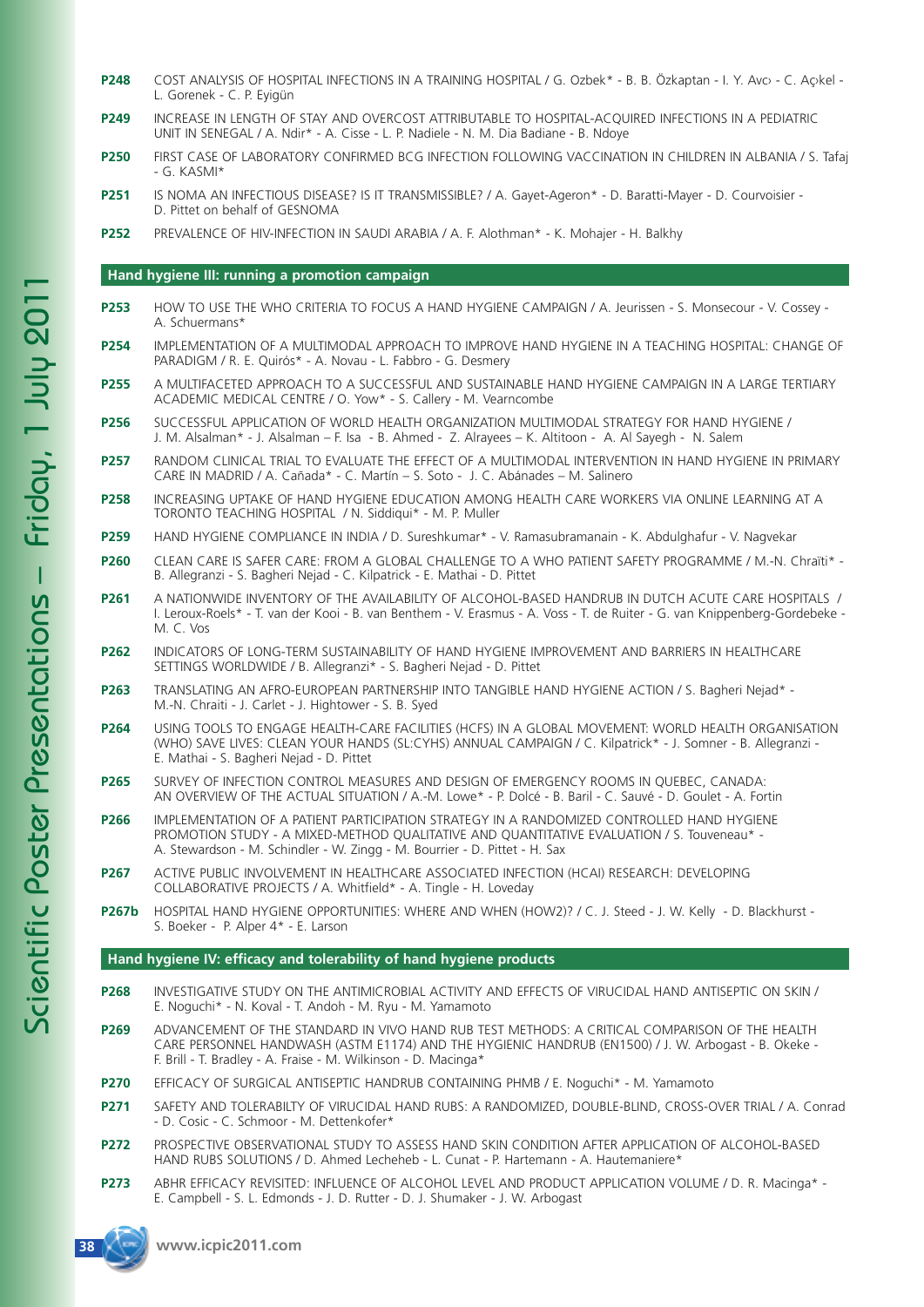- P248 COST ANALYSIS OF HOSPITAL INFECTIONS IN A TRAINING HOSPITAL / G. Ozbek\* B. B. Özkaptan I. Y. Avc> C. Ackel -L. Gorenek - C. P. Eyigün
- **P249** INCREASE IN LENGTH OF STAY AND OVERCOST ATTRIBUTABLE TO HOSPITAL-ACQUIRED INFECTIONS IN A PEDIATRIC UNIT IN SENEGAL / A. Ndir\* - A. Cisse - L. P. Nadiele - N. M. Dia Badiane - B. Ndoye
- **P250** FIRST CASE OF LABORATORY CONFIRMED BCG INFECTION FOLLOWING VACCINATION IN CHILDREN IN ALBANIA / S. Tafaj  $- G$  KASMI\*
- **P251** IS NOMA AN INFECTIOUS DISEASE? IS IT TRANSMISSIBLE? / A. Gayet-Ageron\* D. Baratti-Mayer D. Courvoisier D. Pittet on behalf of GESNOMA
- **P252** PREVALENCE OF HIV-INFECTION IN SAUDI ARABIA / A. F. Alothman\* K. Mohajer H. Balkhy

#### **Hand hygiene III: running a promotion campaign**

- **P253** HOW TO USE THE WHO CRITERIA TO FOCUS A HAND HYGIENE CAMPAIGN / A. Jeurissen S. Monsecour V. Cossey A. Schuermans\*
- **P254** IMPLEMENTATION OF A MULTIMODAL APPROACH TO IMPROVE HAND HYGIENE IN A TEACHING HOSPITAL: CHANGE OF PARADIGM / R. E. Quirós\* - A. Novau - L. Fabbro - G. Desmery
- **P255** A MULTIFACETED APPROACH TO A SUCCESSFUL AND SUSTAINABLE HAND HYGIENE CAMPAIGN IN A LARGE TERTIARY ACADEMIC MEDICAL CENTRE / O. Yow\* - S. Callery - M. Vearncombe
- **P256** SUCCESSFUL APPLICATION OF WORLD HEALTH ORGANIZATION MULTIMODAL STRATEGY FOR HAND HYGIENE / J. M. Alsalman\* - J. Alsalman – F. Isa - B. Ahmed - Z. Alrayees – K. Altitoon - A. Al Sayegh - N. Salem
- **P257** RANDOM CLINICAL TRIAL TO EVALUATE THE EFFECT OF A MULTIMODAL INTERVENTION IN HAND HYGIENE IN PRIMARY CARE IN MADRID / A. Cañada\* - C. Martín – S. Soto - J. C. Abánades – M. Salinero
- **P258** INCREASING UPTAKE OF HAND HYGIENE EDUCATION AMONG HEALTH CARE WORKERS VIA ONLINE LEARNING AT A TORONTO TEACHING HOSPITAL / N. Siddiqui\* - M. P. Muller
- **P259** HAND HYGIENE COMPLIANCE IN INDIA / D. Sureshkumar\* V. Ramasubramanain K. Abdulghafur V. Nagvekar
- **P260** CLEAN CARE IS SAFER CARE: FROM A GLOBAL CHALLENGE TO A WHO PATIENT SAFETY PROGRAMME / M.-N. Chraïti\* B. Allegranzi - S. Bagheri Nejad - C. Kilpatrick - E. Mathai - D. Pittet
- **P261** A NATIONWIDE INVENTORY OF THE AVAILABILITY OF ALCOHOL-BASED HANDRUB IN DUTCH ACUTE CARE HOSPITALS / I. Leroux-Roels\* - T. van der Kooi - B. van Benthem - V. Erasmus - A. Voss - T. de Ruiter - G. van Knippenberg-Gordebeke - M. C. Vos
- **P262** INDICATORS OF LONG-TERM SUSTAINABILITY OF HAND HYGIENE IMPROVEMENT AND BARRIERS IN HEALTHCARE SETTINGS WORLDWIDE / B. Allegranzi\* - S. Bagheri Nejad - D. Pittet
- **P263** TRANSLATING AN AFRO-EUROPEAN PARTNERSHIP INTO TANGIBLE HAND HYGIENE ACTION / S. Bagheri Nejad\* M.-N. Chraiti - J. Carlet - J. Hightower - S. B. Syed
- **P264** USING TOOLS TO ENGAGE HEALTH-CARE FACILITIES (HCFS) IN A GLOBAL MOVEMENT: WORLD HEALTH ORGANISATION (WHO) SAVE LIVES: CLEAN YOUR HANDS (SL:CYHS) ANNUAL CAMPAIGN / C. Kilpatrick\* - J. Somner - B. Allegranzi - E. Mathai - S. Bagheri Nejad - D. Pittet
- **P265** SURVEY OF INFECTION CONTROL MEASURES AND DESIGN OF EMERGENCY ROOMS IN QUEBEC, CANADA: AN OVERVIEW OF THE ACTUAL SITUATION / A.-M. Lowe\* - P. Dolcé - B. Baril - C. Sauvé - D. Goulet - A. Fortin
- **P266** IMPLEMENTATION OF A PATIENT PARTICIPATION STRATEGY IN A RANDOMIZED CONTROLLED HAND HYGIENE PROMOTION STUDY - A MIXED-METHOD QUALITATIVE AND QUANTITATIVE EVALUATION / S. Touveneau\* -A. Stewardson - M. Schindler - W. Zingg - M. Bourrier - D. Pittet - H. Sax
- **P267** ACTIVE PUBLIC INVOLVEMENT IN HEALTHCARE ASSOCIATED INFECTION (HCAI) RESEARCH: DEVELOPING COLLABORATIVE PROJECTS / A. Whitfield\* - A. Tingle - H. Loveday
- **P267b** HOSPITAL HAND HYGIENE OPPORTUNITIES: WHERE AND WHEN (HOW2)? / C. J. Steed J. W. Kelly D. Blackhurst S. Boeker - P. Alper 4\* - E. Larson

#### **Hand hygiene IV: efficacy and tolerability of hand hygiene products**

- **P268** INVESTIGATIVE STUDY ON THE ANTIMICROBIAL ACTIVITY AND EFFECTS OF VIRUCIDAL HAND ANTISEPTIC ON SKIN / E. Noguchi\* - N. Koval - T. Andoh - M. Ryu - M. Yamamoto
- **P269** ADVANCEMENT OF THE STANDARD IN VIVO HAND RUB TEST METHODS: A CRITICAL COMPARISON OF THE HEALTH CARE PERSONNEL HANDWASH (ASTM E1174) AND THE HYGIENIC HANDRUB (EN1500) / J. W. Arbogast - B. Okeke - F. Brill - T. Bradley - A. Fraise - M. Wilkinson - D. Macinga\*
- **P270** EFFICACY OF SURGICAL ANTISEPTIC HANDRUB CONTAINING PHMB / E. Noguchi\* M. Yamamoto
- **P271** SAFETY AND TOLERABILTY OF VIRUCIDAL HAND RUBS: A RANDOMIZED, DOUBLE-BLIND, CROSS-OVER TRIAL / A. Conrad - D. Cosic - C. Schmoor - M. Dettenkofer\*
- **P272** PROSPECTIVE OBSERVATIONAL STUDY TO ASSESS HAND SKIN CONDITION AFTER APPLICATION OF ALCOHOL-BASED HAND RUBS SOLUTIONS / D. Ahmed Lecheheb - L. Cunat - P. Hartemann - A. Hautemaniere\*
- **P273** ABHR EFFICACY REVISITED: INFLUENCE OF ALCOHOL LEVEL AND PRODUCT APPLICATION VOLUME / D. R. Macinga\* E. Campbell - S. L. Edmonds - J. D. Rutter - D. J. Shumaker - J. W. Arbogast

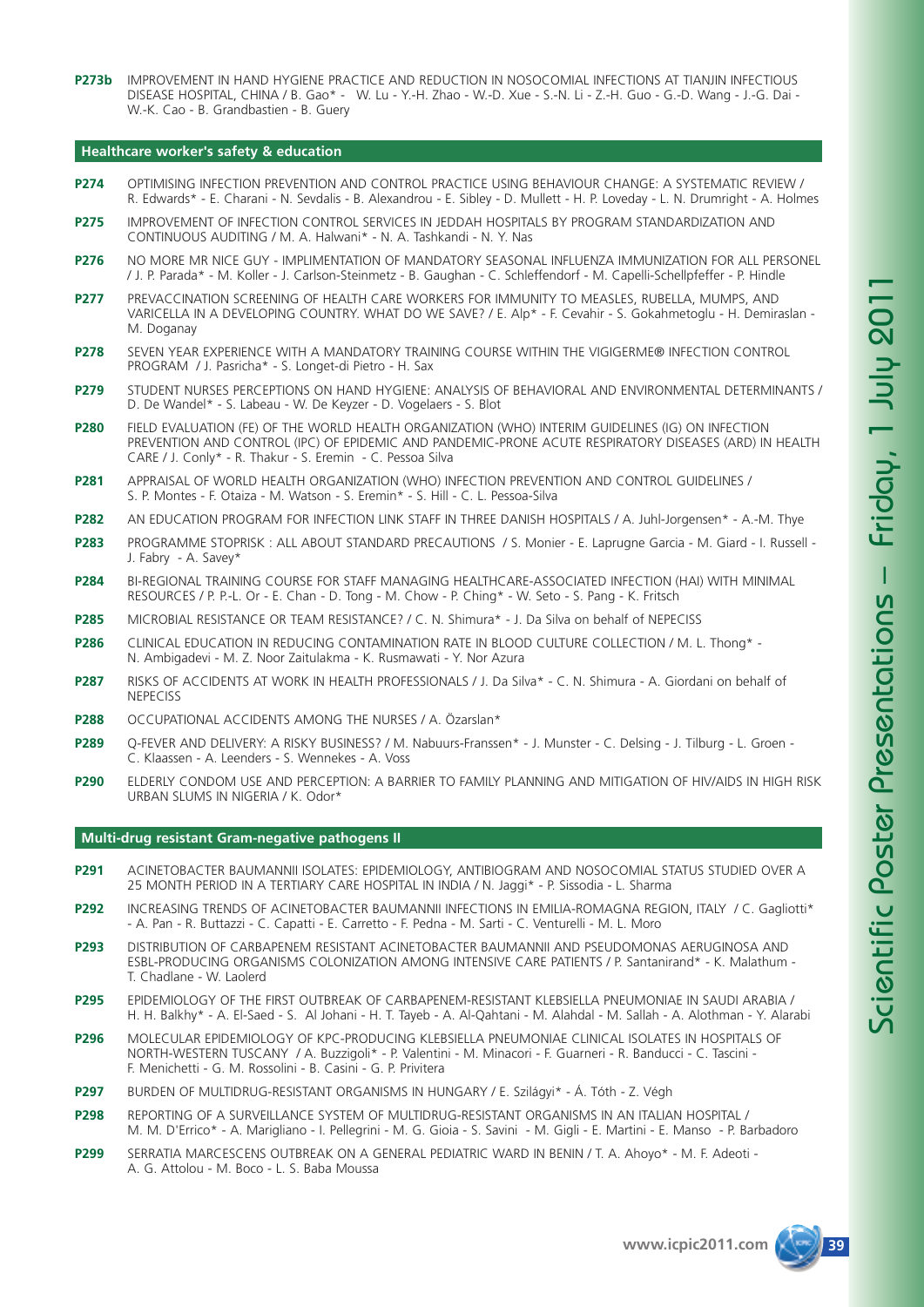**P273b** IMPROVEMENT IN HAND HYGIENE PRACTICE AND REDUCTION IN NOSOCOMIAL INFECTIONS AT TIANJIN INFECTIOUS DISEASE HOSPITAL, CHINA / B. Gao\* - W. Lu - Y.-H. Zhao - W.-D. Xue - S.-N. Li - Z.-H. Guo - G.-D. Wang - J.-G. Dai - W.-K. Cao - B. Grandbastien - B. Guery

#### **Healthcare worker's safety & education**

- **P274** OPTIMISING INFECTION PREVENTION AND CONTROL PRACTICE USING BEHAVIOUR CHANGE: A SYSTEMATIC REVIEW / R. Edwards\* - E. Charani - N. Sevdalis - B. Alexandrou - E. Sibley - D. Mullett - H. P. Loveday - L. N. Drumright - A. Holmes
- **P275** IMPROVEMENT OF INFECTION CONTROL SERVICES IN JEDDAH HOSPITALS BY PROGRAM STANDARDIZATION AND CONTINUOUS AUDITING / M. A. Halwani\* - N. A. Tashkandi - N. Y. Nas
- **P276** NO MORE MR NICE GUY IMPLIMENTATION OF MANDATORY SEASONAL INFLUENZA IMMUNIZATION FOR ALL PERSONEL / J. P. Parada\* - M. Koller - J. Carlson-Steinmetz - B. Gaughan - C. Schleffendorf - M. Capelli-Schellpfeffer - P. Hindle
- **P277** PREVACCINATION SCREENING OF HEALTH CARE WORKERS FOR IMMUNITY TO MEASLES, RUBELLA, MUMPS, AND VARICELLA IN A DEVELOPING COUNTRY. WHAT DO WE SAVE? / E. Alp\* - F. Cevahir - S. Gokahmetoglu - H. Demiraslan - M. Doganay
- **P278** SEVEN YEAR EXPERIENCE WITH A MANDATORY TRAINING COURSE WITHIN THE VIGIGERME® INFECTION CONTROL PROGRAM / J. Pasricha\* - S. Longet-di Pietro - H. Sax
- **P279** STUDENT NURSES PERCEPTIONS ON HAND HYGIENE: ANALYSIS OF BEHAVIORAL AND ENVIRONMENTAL DETERMINANTS / D. De Wandel\* - S. Labeau - W. De Keyzer - D. Vogelaers - S. Blot
- **P280** FIELD EVALUATION (FE) OF THE WORLD HEALTH ORGANIZATION (WHO) INTERIM GUIDELINES (IG) ON INFECTION PREVENTION AND CONTROL (IPC) OF EPIDEMIC AND PANDEMIC-PRONE ACUTE RESPIRATORY DISEASES (ARD) IN HEALTH CARE / J. Conly\* - R. Thakur - S. Eremin - C. Pessoa Silva
- **P281** APPRAISAL OF WORLD HEALTH ORGANIZATION (WHO) INFECTION PREVENTION AND CONTROL GUIDELINES / S. P. Montes - F. Otaiza - M. Watson - S. Eremin\* - S. Hill - C. L. Pessoa-Silva
- **P282** AN EDUCATION PROGRAM FOR INFECTION LINK STAFF IN THREE DANISH HOSPITALS / A. Juhl-Jorgensen\* A.-M. Thye
- **P283** PROGRAMME STOPRISK : ALL ABOUT STANDARD PRECAUTIONS / S. Monier E. Laprugne Garcia M. Giard I. Russell J. Fabry - A. Savey\*
- **P284** BI-REGIONAL TRAINING COURSE FOR STAFF MANAGING HEALTHCARE-ASSOCIATED INFECTION (HAI) WITH MINIMAL RESOURCES / P. P.-L. Or - E. Chan - D. Tong - M. Chow - P. Ching\* - W. Seto - S. Pang - K. Fritsch
- **P285** MICROBIAL RESISTANCE OR TEAM RESISTANCE? / C. N. Shimura\* J. Da Silva on behalf of NEPECISS
- **P286** CLINICAL EDUCATION IN REDUCING CONTAMINATION RATE IN BLOOD CULTURE COLLECTION / M. L. Thong\* N. Ambigadevi - M. Z. Noor Zaitulakma - K. Rusmawati - Y. Nor Azura
- **P287** RISKS OF ACCIDENTS AT WORK IN HEALTH PROFESSIONALS / J. Da Silva\* C. N. Shimura A. Giordani on behalf of **NEPECISS**
- **P288** OCCUPATIONAL ACCIDENTS AMONG THE NURSES / A. Özarslan\*
- **P289** Q-FEVER AND DELIVERY: A RISKY BUSINESS? / M. Nabuurs-Franssen\* J. Munster C. Delsing J. Tilburg L. Groen C. Klaassen - A. Leenders - S. Wennekes - A. Voss
- **P290** ELDERLY CONDOM USE AND PERCEPTION: A BARRIER TO FAMILY PLANNING AND MITIGATION OF HIV/AIDS IN HIGH RISK URBAN SLUMS IN NIGERIA / K. Odor\*

#### **Multi-drug resistant Gram-negative pathogens II**

- **P291** ACINETOBACTER BAUMANNII ISOLATES: EPIDEMIOLOGY, ANTIBIOGRAM AND NOSOCOMIAL STATUS STUDIED OVER A 25 MONTH PERIOD IN A TERTIARY CARE HOSPITAL IN INDIA / N. Jaggi\* - P. Sissodia - L. Sharma
- **P292** INCREASING TRENDS OF ACINETOBACTER BAUMANNII INFECTIONS IN EMILIA-ROMAGNA REGION, ITALY / C. Gagliotti\* - A. Pan - R. Buttazzi - C. Capatti - E. Carretto - F. Pedna - M. Sarti - C. Venturelli - M. L. Moro
- **P293** DISTRIBUTION OF CARBAPENEM RESISTANT ACINETOBACTER BAUMANNII AND PSEUDOMONAS AERUGINOSA AND ESBL-PRODUCING ORGANISMS COLONIZATION AMONG INTENSIVE CARE PATIENTS / P. Santanirand\* - K. Malathum - T. Chadlane - W. Laolerd
- **P295** EPIDEMIOLOGY OF THE FIRST OUTBREAK OF CARBAPENEM-RESISTANT KLEBSIELLA PNEUMONIAE IN SAUDI ARABIA / H. H. Balkhy\* - A. El-Saed - S. Al Johani - H. T. Tayeb - A. Al-Qahtani - M. Alahdal - M. Sallah - A. Alothman - Y. Alarabi
- **P296** MOLECULAR EPIDEMIOLOGY OF KPC-PRODUCING KLEBSIELLA PNEUMONIAE CLINICAL ISOLATES IN HOSPITALS OF NORTH-WESTERN TUSCANY / A. Buzzigoli\* - P. Valentini - M. Minacori - F. Guarneri - R. Banducci - C. Tascini - F. Menichetti - G. M. Rossolini - B. Casini - G. P. Privitera
- **P297** BURDEN OF MULTIDRUG-RESISTANT ORGANISMS IN HUNGARY / E. Szilágyi\* Á. Tóth Z. Végh
- **P298** REPORTING OF A SURVEILLANCE SYSTEM OF MULTIDRUG-RESISTANT ORGANISMS IN AN ITALIAN HOSPITAL / M. M. D'Errico\* - A. Marigliano - I. Pellegrini - M. G. Gioia - S. Savini - M. Gigli - E. Martini - E. Manso - P. Barbadoro
- **P299** SERRATIA MARCESCENS OUTBREAK ON A GENERAL PEDIATRIC WARD IN BENIN / T. A. Ahoyo\* M. F. Adeoti A. G. Attolou - M. Boco - L. S. Baba Moussa

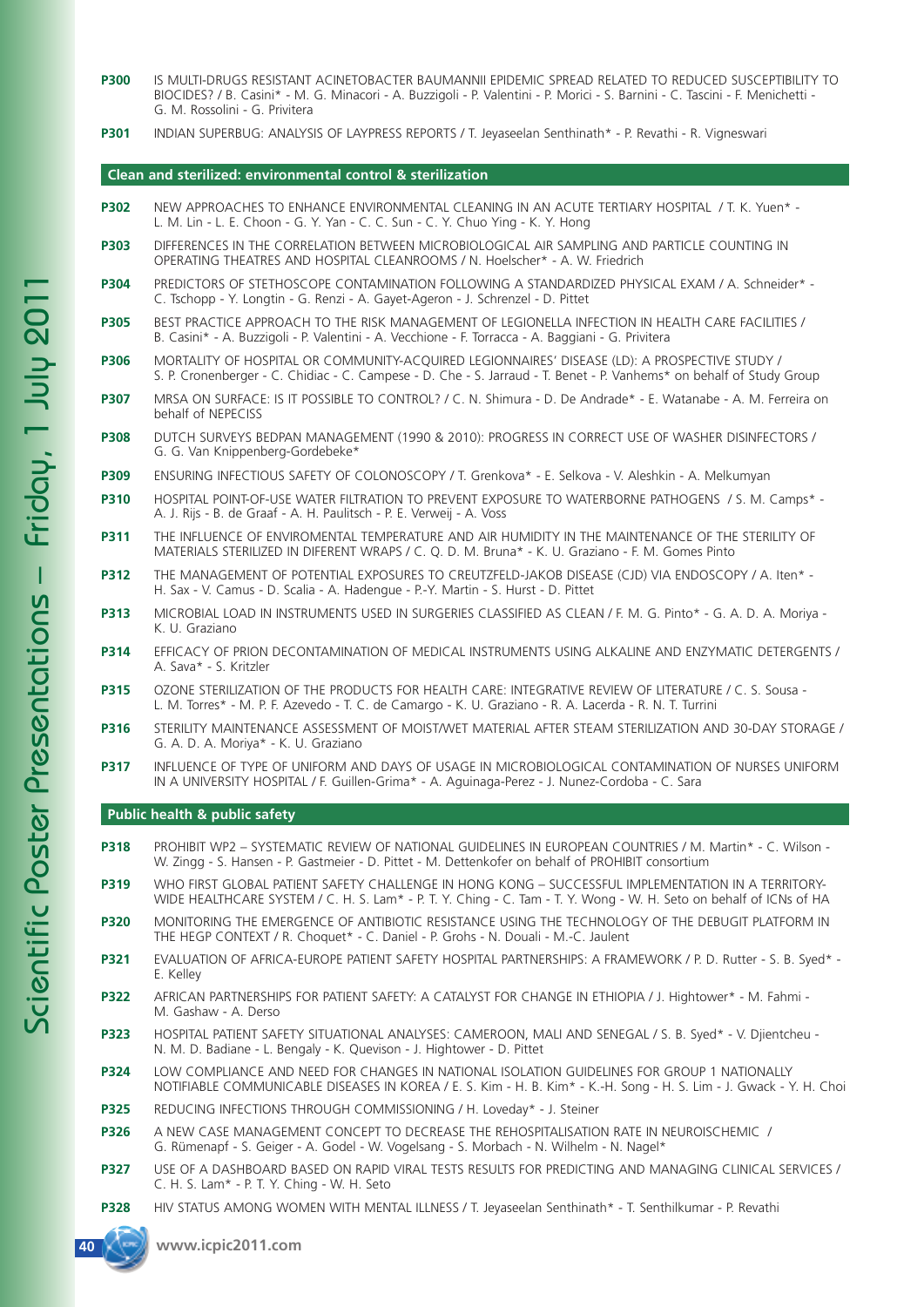- **P300** IS MULTI-DRUGS RESISTANT ACINETOBACTER BAUMANNII EPIDEMIC SPREAD RELATED TO REDUCED SUSCEPTIBILITY TO BIOCIDES? / B. Casini\* - M. G. Minacori - A. Buzzigoli - P. Valentini - P. Morici - S. Barnini - C. Tascini - F. Menichetti - G. M. Rossolini - G. Privitera
- **P301** INDIAN SUPERBUG: ANALYSIS OF LAYPRESS REPORTS / T. Jeyaseelan Senthinath\* P. Revathi R. Vigneswari

#### **Clean and sterilized: environmental control & sterilization**

- **P302** NEW APPROACHES TO ENHANCE ENVIRONMENTAL CLEANING IN AN ACUTE TERTIARY HOSPITAL / T. K. Yuen\* L. M. Lin - L. E. Choon - G. Y. Yan - C. C. Sun - C. Y. Chuo Ying - K. Y. Hong
- **P303** DIFFERENCES IN THE CORRELATION BETWEEN MICROBIOLOGICAL AIR SAMPLING AND PARTICLE COUNTING IN OPERATING THEATRES AND HOSPITAL CLEANROOMS / N. Hoelscher\* - A. W. Friedrich
- **P304** PREDICTORS OF STETHOSCOPE CONTAMINATION FOLLOWING A STANDARDIZED PHYSICAL EXAM / A. Schneider\* C. Tschopp - Y. Longtin - G. Renzi - A. Gayet-Ageron - J. Schrenzel - D. Pittet
- **P305** BEST PRACTICE APPROACH TO THE RISK MANAGEMENT OF LEGIONELLA INFECTION IN HEALTH CARE FACILITIES / B. Casini\* - A. Buzzigoli - P. Valentini - A. Vecchione - F. Torracca - A. Baggiani - G. Privitera
- **P306** MORTALITY OF HOSPITAL OR COMMUNITY-ACQUIRED LEGIONNAIRES' DISEASE (LD): A PROSPECTIVE STUDY / S. P. Cronenberger - C. Chidiac - C. Campese - D. Che - S. Jarraud - T. Benet - P. Vanhems\* on behalf of Study Group
- **P307** MRSA ON SURFACE: IS IT POSSIBLE TO CONTROL? / C. N. Shimura D. De Andrade\* E. Watanabe A. M. Ferreira on behalf of NEPECISS
- **P308** DUTCH SURVEYS BEDPAN MANAGEMENT (1990 & 2010): PROGRESS IN CORRECT USE OF WASHER DISINFECTORS / G. G. Van Knippenberg-Gordebeke\*
- **P309** ENSURING INFECTIOUS SAFETY OF COLONOSCOPY / T. Grenkova\* E. Selkova V. Aleshkin A. Melkumyan
- **P310** HOSPITAL POINT-OF-USE WATER FILTRATION TO PREVENT EXPOSURE TO WATERBORNE PATHOGENS / S. M. Camps\* A. J. Rijs - B. de Graaf - A. H. Paulitsch - P. E. Verweij - A. Voss
- **P311** THE INFLUENCE OF ENVIROMENTAL TEMPERATURE AND AIR HUMIDITY IN THE MAINTENANCE OF THE STERILITY OF MATERIALS STERILIZED IN DIFERENT WRAPS / C. Q. D. M. Bruna\* - K. U. Graziano - F. M. Gomes Pinto
- **P312** THE MANAGEMENT OF POTENTIAL EXPOSURES TO CREUTZFELD-JAKOB DISEASE (CJD) VIA ENDOSCOPY / A. Iten\* H. Sax - V. Camus - D. Scalia - A. Hadengue - P.-Y. Martin - S. Hurst - D. Pittet
- **P313** MICROBIAL LOAD IN INSTRUMENTS USED IN SURGERIES CLASSIFIED AS CLEAN / F. M. G. Pinto\* G. A. D. A. Moriya K. U. Graziano
- **P314** EFFICACY OF PRION DECONTAMINATION OF MEDICAL INSTRUMENTS USING ALKALINE AND ENZYMATIC DETERGENTS / A. Sava\* - S. Kritzler
- **P315** OZONE STERILIZATION OF THE PRODUCTS FOR HEALTH CARE: INTEGRATIVE REVIEW OF LITERATURE / C. S. Sousa L. M. Torres\* - M. P. F. Azevedo - T. C. de Camargo - K. U. Graziano - R. A. Lacerda - R. N. T. Turrini
- **P316** STERILITY MAINTENANCE ASSESSMENT OF MOIST/WET MATERIAL AFTER STEAM STERILIZATION AND 30-DAY STORAGE / G. A. D. A. Moriya\* - K. U. Graziano
- **P317** INFLUENCE OF TYPE OF UNIFORM AND DAYS OF USAGE IN MICROBIOLOGICAL CONTAMINATION OF NURSES UNIFORM IN A UNIVERSITY HOSPITAL / F. Guillen-Grima\* - A. Aguinaga-Perez - J. Nunez-Cordoba - C. Sara

#### **Public health & public safety**

- **P318** PROHIBIT WP2 SYSTEMATIC REVIEW OF NATIONAL GUIDELINES IN EUROPEAN COUNTRIES / M. Martin\* C. Wilson W. Zingg - S. Hansen - P. Gastmeier - D. Pittet - M. Dettenkofer on behalf of PROHIBIT consortium
- **P319** WHO FIRST GLOBAL PATIENT SAFETY CHALLENGE IN HONG KONG SUCCESSFUL IMPLEMENTATION IN A TERRITORY-WIDE HEALTHCARE SYSTEM / C. H. S. Lam\* - P. T. Y. Ching - C. Tam - T. Y. Wong - W. H. Seto on behalf of ICNs of HA
- **P320** MONITORING THE EMERGENCE OF ANTIBIOTIC RESISTANCE USING THE TECHNOLOGY OF THE DEBUGIT PLATFORM IN THE HEGP CONTEXT / R. Choquet\* - C. Daniel - P. Grohs - N. Douali - M.-C. Jaulent
- **P321** EVALUATION OF AFRICA-EUROPE PATIENT SAFETY HOSPITAL PARTNERSHIPS: A FRAMEWORK / P. D. Rutter S. B. Syed\* E. Kelley
- **P322** AFRICAN PARTNERSHIPS FOR PATIENT SAFETY: A CATALYST FOR CHANGE IN ETHIOPIA / J. Hightower\* M. Fahmi M. Gashaw - A. Derso
- **P323** HOSPITAL PATIENT SAFETY SITUATIONAL ANALYSES: CAMEROON, MALI AND SENEGAL / S. B. Syed\* V. Djientcheu N. M. D. Badiane - L. Bengaly - K. Quevison - J. Hightower - D. Pittet
- **P324** LOW COMPLIANCE AND NEED FOR CHANGES IN NATIONAL ISOLATION GUIDELINES FOR GROUP 1 NATIONALLY NOTIFIABLE COMMUNICABLE DISEASES IN KOREA / E. S. Kim - H. B. Kim\* - K.-H. Song - H. S. Lim - J. Gwack - Y. H. Choi
- **P325** REDUCING INFECTIONS THROUGH COMMISSIONING / H. Loveday\* J. Steiner
- **P326** A NEW CASE MANAGEMENT CONCEPT TO DECREASE THE REHOSPITALISATION RATE IN NEUROISCHEMIC / G. Rümenapf - S. Geiger - A. Godel - W. Vogelsang - S. Morbach - N. Wilhelm - N. Nagel\*
- **P327** USE OF A DASHBOARD BASED ON RAPID VIRAL TESTS RESULTS FOR PREDICTING AND MANAGING CLINICAL SERVICES / C. H. S. Lam\* - P. T. Y. Ching - W. H. Seto
- **P328** HIV STATUS AMONG WOMEN WITH MENTAL ILLNESS / T. Jeyaseelan Senthinath\* T. Senthilkumar P. Revathi

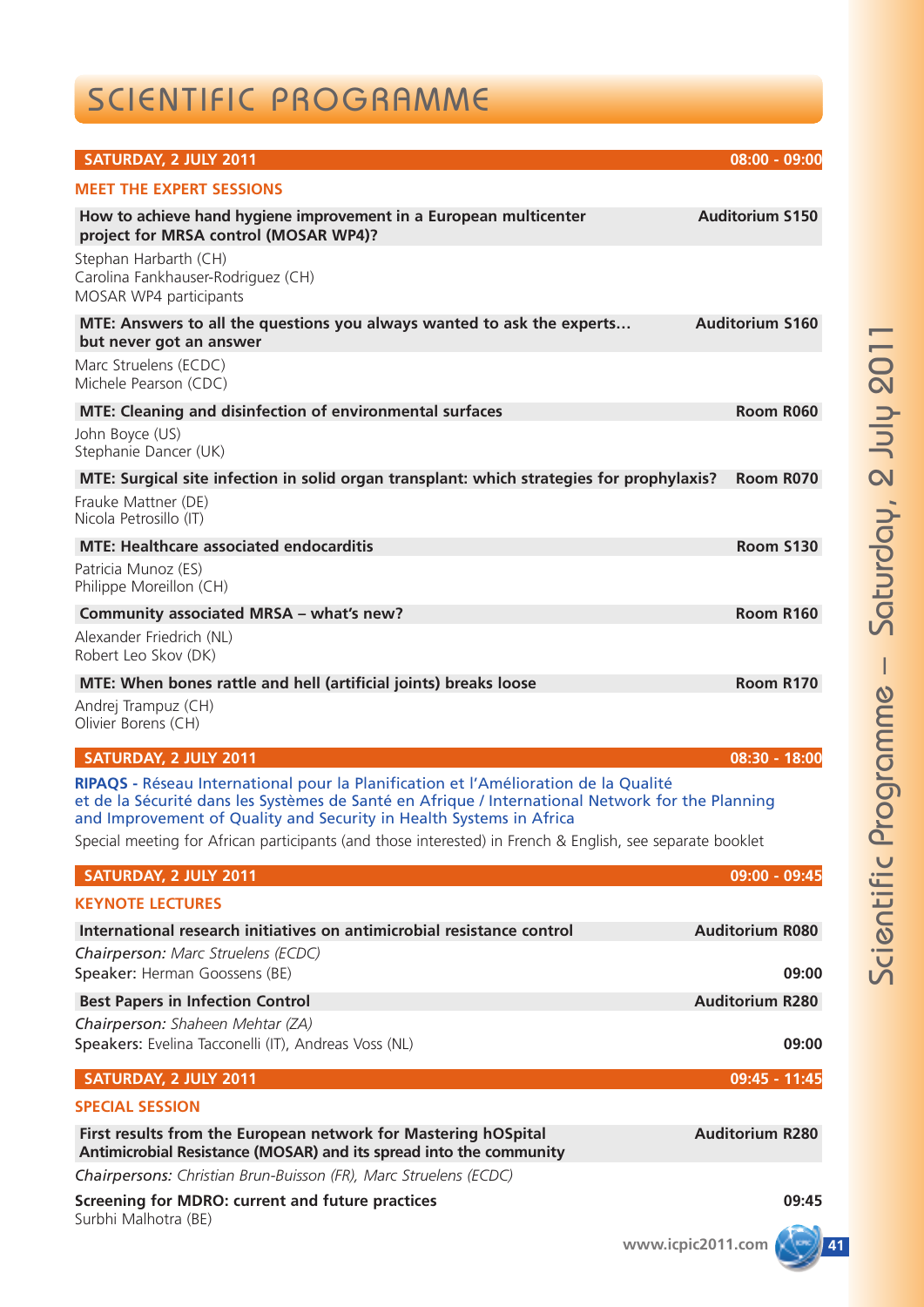# SCIENTIFIC PROGRAMME

| SATURDAY, 2 JULY 2011                                                                                                                                                                                                                                          | 08:00 - 09:00          |
|----------------------------------------------------------------------------------------------------------------------------------------------------------------------------------------------------------------------------------------------------------------|------------------------|
| <b>MEET THE EXPERT SESSIONS</b>                                                                                                                                                                                                                                |                        |
| How to achieve hand hygiene improvement in a European multicenter<br>project for MRSA control (MOSAR WP4)?                                                                                                                                                     | <b>Auditorium S150</b> |
| Stephan Harbarth (CH)<br>Carolina Fankhauser-Rodriguez (CH)<br>MOSAR WP4 participants                                                                                                                                                                          |                        |
| MTE: Answers to all the questions you always wanted to ask the experts<br>but never got an answer                                                                                                                                                              | <b>Auditorium S160</b> |
| Marc Struelens (ECDC)<br>Michele Pearson (CDC)                                                                                                                                                                                                                 |                        |
| <b>MTE: Cleaning and disinfection of environmental surfaces</b>                                                                                                                                                                                                | Room R060              |
| John Boyce (US)<br>Stephanie Dancer (UK)                                                                                                                                                                                                                       |                        |
| MTE: Surgical site infection in solid organ transplant: which strategies for prophylaxis?                                                                                                                                                                      | Room R070              |
| Frauke Mattner (DE)<br>Nicola Petrosillo (IT)                                                                                                                                                                                                                  |                        |
| <b>MTE: Healthcare associated endocarditis</b>                                                                                                                                                                                                                 | <b>Room S130</b>       |
| Patricia Munoz (ES)<br>Philippe Moreillon (CH)                                                                                                                                                                                                                 |                        |
| Community associated MRSA - what's new?                                                                                                                                                                                                                        | <b>Room R160</b>       |
| Alexander Friedrich (NL)<br>Robert Leo Skov (DK)                                                                                                                                                                                                               |                        |
| MTE: When bones rattle and hell (artificial joints) breaks loose                                                                                                                                                                                               | Room R170              |
| Andrej Trampuz (CH)<br>Olivier Borens (CH)                                                                                                                                                                                                                     |                        |
| <b>SATURDAY, 2 JULY 2011</b>                                                                                                                                                                                                                                   | 08:30 - 18:00          |
| RIPAQS - Réseau International pour la Planification et l'Amélioration de la Qualité<br>et de la Sécurité dans les Systèmes de Santé en Afrique / International Network for the Planning<br>and Improvement of Quality and Security in Health Systems in Africa |                        |
| Special meeting for African participants (and those interested) in French & English, see separate booklet                                                                                                                                                      |                        |
| SATURDAY, 2 JULY 2011                                                                                                                                                                                                                                          | 09:00 - 09:45          |
| <b>KEYNOTE LECTURES</b>                                                                                                                                                                                                                                        |                        |
| International research initiatives on antimicrobial resistance control                                                                                                                                                                                         | <b>Auditorium R080</b> |
| Chairperson: Marc Struelens (ECDC)<br>Speaker: Herman Goossens (BE)                                                                                                                                                                                            | 09:00                  |
| <b>Best Papers in Infection Control</b>                                                                                                                                                                                                                        | <b>Auditorium R280</b> |
| Chairperson: Shaheen Mehtar (ZA)<br>Speakers: Evelina Tacconelli (IT), Andreas Voss (NL)                                                                                                                                                                       | 09:00                  |
| SATURDAY, 2 JULY 2011                                                                                                                                                                                                                                          | 09:45 - 11:45          |
| <b>SPECIAL SESSION</b>                                                                                                                                                                                                                                         |                        |
| First results from the European network for Mastering hOSpital<br>Antimicrobial Resistance (MOSAR) and its spread into the community                                                                                                                           | <b>Auditorium R280</b> |
| Chairpersons: Christian Brun-Buisson (FR), Marc Struelens (ECDC)                                                                                                                                                                                               |                        |
| <b>Screening for MDRO: current and future practices</b>                                                                                                                                                                                                        | 09:45                  |
| Surbhi Malhotra (BE)                                                                                                                                                                                                                                           | www.icpic2011.com      |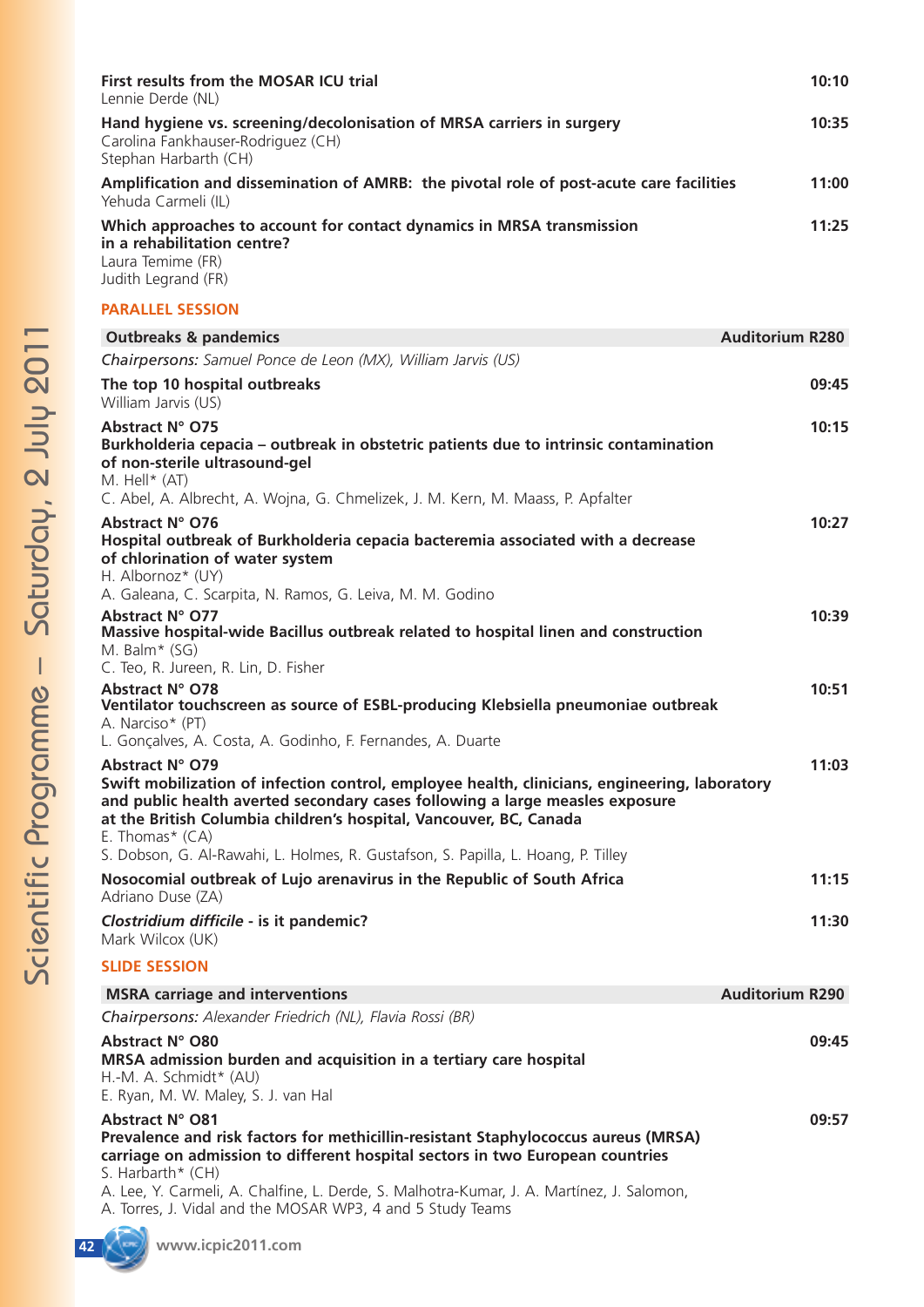| First results from the MOSAR ICU trial<br>Lennie Derde (NL)                                                                                      | 10:10 |
|--------------------------------------------------------------------------------------------------------------------------------------------------|-------|
| Hand hygiene vs. screening/decolonisation of MRSA carriers in surgery<br>Carolina Fankhauser-Rodriguez (CH)<br>Stephan Harbarth (CH)             | 10:35 |
| Amplification and dissemination of AMRB: the pivotal role of post-acute care facilities<br>Yehuda Carmeli (IL)                                   | 11:00 |
| Which approaches to account for contact dynamics in MRSA transmission<br>in a rehabilitation centre?<br>Laura Temime (FR)<br>Judith Legrand (FR) | 11:25 |
| <b>PARALLEL SESSION</b>                                                                                                                          |       |

### **Outbreaks & pandemics Auditorium R280** *Chairpersons: Samuel Ponce de Leon (MX), William Jarvis (US)* **The top 10 hospital outbreaks 09:45** William Jarvis (US) **Abstract N° O75 10:15 Burkholderia cepacia – outbreak in obstetric patients due to intrinsic contamination of non-sterile ultrasound-gel** M. Hell\* (AT) C. Abel, A. Albrecht, A. Wojna, G. Chmelizek, J. M. Kern, M. Maass, P. Apfalter **Abstract N° O76 10:27 Hospital outbreak of Burkholderia cepacia bacteremia associated with a decrease of chlorination of water system** H. Albornoz\* (UY) A. Galeana, C. Scarpita, N. Ramos, G. Leiva, M. M. Godino **Abstract N° O77 10:39 Massive hospital-wide Bacillus outbreak related to hospital linen and construction** M. Balm\* (SG) C. Teo, R. Jureen, R. Lin, D. Fisher **Abstract N° O78 10:51 Ventilator touchscreen as source of ESBL-producing Klebsiella pneumoniae outbreak** A. Narciso\* (PT) L. Gonçalves, A. Costa, A. Godinho, F. Fernandes, A. Duarte **Abstract N° O79 11:03 Swift mobilization of infection control, employee health, clinicians, engineering, laboratory and public health averted secondary cases following a large measles exposure at the British Columbia children's hospital, Vancouver, BC, Canada**  E. Thomas\* (CA) S. Dobson, G. Al-Rawahi, L. Holmes, R. Gustafson, S. Papilla, L. Hoang, P. Tilley **Nosocomial outbreak of Lujo arenavirus in the Republic of South Africa 11:15** Adriano Duse (ZA) *Clostridium difficile* **- is it pandemic? 11:30** Mark Wilcox (UK) **SLIDE SESSION MSRA carriage and interventions Auditorium R290 MSRA carriage and interventions** *Chairpersons: Alexander Friedrich (NL), Flavia Rossi (BR)* **Abstract N° O80 09:45 MRSA admission burden and acquisition in a tertiary care hospital** H.-M. A. Schmidt\* (AU) E. Ryan, M. W. Maley, S. J. van Hal **Abstract N° O81 09:57 Prevalence and risk factors for methicillin-resistant Staphylococcus aureus (MRSA) carriage on admission to different hospital sectors in two European countries**

S. Harbarth\* (CH)

A. Lee, Y. Carmeli, A. Chalfine, L. Derde, S. Malhotra-Kumar, J. A. Martínez, J. Salomon, A. Torres, J. Vidal and the MOSAR WP3, 4 and 5 Study Teams



 $\overline{\phantom{0}}$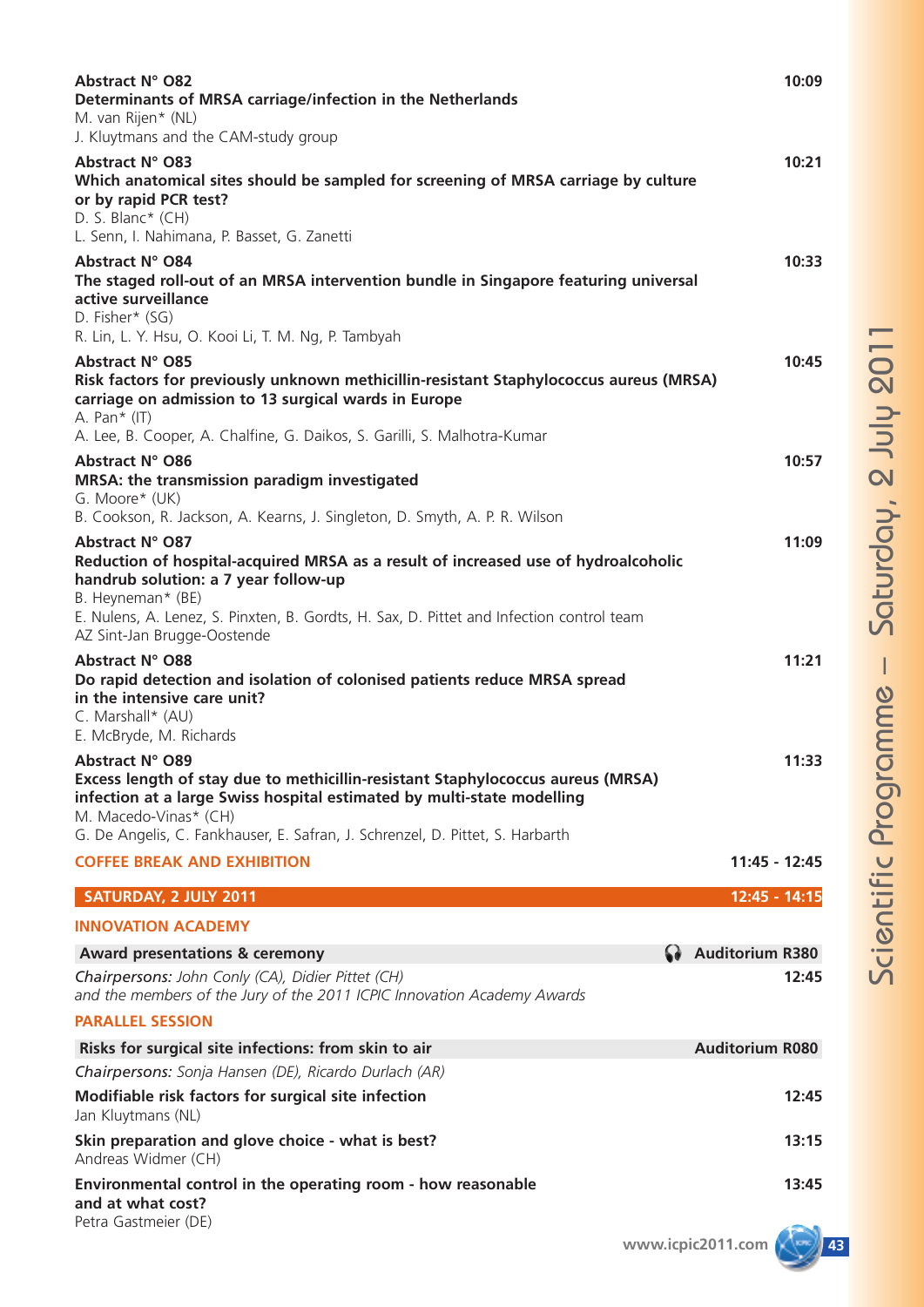| Abstract N° O83<br>10:21<br>Which anatomical sites should be sampled for screening of MRSA carriage by culture<br>or by rapid PCR test?<br>D. S. Blanc* (CH)                                                                                                                                                                                 | 10:33 |
|----------------------------------------------------------------------------------------------------------------------------------------------------------------------------------------------------------------------------------------------------------------------------------------------------------------------------------------------|-------|
| L. Senn, I. Nahimana, P. Basset, G. Zanetti                                                                                                                                                                                                                                                                                                  |       |
| <b>Abstract N° O84</b><br>The staged roll-out of an MRSA intervention bundle in Singapore featuring universal<br>active surveillance<br>D. Fisher* (SG)<br>R. Lin, L. Y. Hsu, O. Kooi Li, T. M. Ng, P. Tambyah                                                                                                                               |       |
| Abstract N° O85<br>Risk factors for previously unknown methicillin-resistant Staphylococcus aureus (MRSA)<br>carriage on admission to 13 surgical wards in Europe<br>A. Pan $*(IT)$                                                                                                                                                          | 10:45 |
| A. Lee, B. Cooper, A. Chalfine, G. Daikos, S. Garilli, S. Malhotra-Kumar<br>Abstract N° O86<br>MRSA: the transmission paradigm investigated<br>G. Moore* (UK)                                                                                                                                                                                | 10:57 |
| B. Cookson, R. Jackson, A. Kearns, J. Singleton, D. Smyth, A. P. R. Wilson<br>Abstract N° O87<br>Reduction of hospital-acquired MRSA as a result of increased use of hydroalcoholic<br>handrub solution: a 7 year follow-up<br>B. Heyneman* (BE)<br>E. Nulens, A. Lenez, S. Pinxten, B. Gordts, H. Sax, D. Pittet and Infection control team | 11:09 |
| AZ Sint-Jan Brugge-Oostende<br>Abstract N° O88<br>11:21<br>Do rapid detection and isolation of colonised patients reduce MRSA spread<br>in the intensive care unit?<br>C. Marshall* (AU)<br>E. McBryde, M. Richards                                                                                                                          |       |
| Abstract N° O89<br>Excess length of stay due to methicillin-resistant Staphylococcus aureus (MRSA)<br>infection at a large Swiss hospital estimated by multi-state modelling<br>M. Macedo-Vinas* (CH)                                                                                                                                        | 11:33 |
| G. De Angelis, C. Fankhauser, E. Safran, J. Schrenzel, D. Pittet, S. Harbarth                                                                                                                                                                                                                                                                |       |
| <b>COFFEE BREAK AND EXHIBITION</b><br>11:45 - 12:45                                                                                                                                                                                                                                                                                          |       |
| SATURDAY, 2 JULY 2011<br>12:45 - 14:15                                                                                                                                                                                                                                                                                                       |       |
| <b>INNOVATION ACADEMY</b>                                                                                                                                                                                                                                                                                                                    |       |
| <b>G</b> Auditorium R380<br><b>Award presentations &amp; ceremony</b>                                                                                                                                                                                                                                                                        |       |
| Chairpersons: John Conly (CA), Didier Pittet (CH)<br>and the members of the Jury of the 2011 ICPIC Innovation Academy Awards                                                                                                                                                                                                                 | 12:45 |
| <b>PARALLEL SESSION</b>                                                                                                                                                                                                                                                                                                                      |       |
| <b>Auditorium R080</b><br>Risks for surgical site infections: from skin to air                                                                                                                                                                                                                                                               |       |
| Chairpersons: Sonja Hansen (DE), Ricardo Durlach (AR)                                                                                                                                                                                                                                                                                        |       |
| Modifiable risk factors for surgical site infection<br>Jan Kluytmans (NL)                                                                                                                                                                                                                                                                    | 12:45 |
| Skin preparation and glove choice - what is best?<br>Andreas Widmer (CH)                                                                                                                                                                                                                                                                     | 13:15 |
| Environmental control in the operating room - how reasonable<br>and at what cost?<br>Petra Gastmeier (DE)                                                                                                                                                                                                                                    | 13:45 |

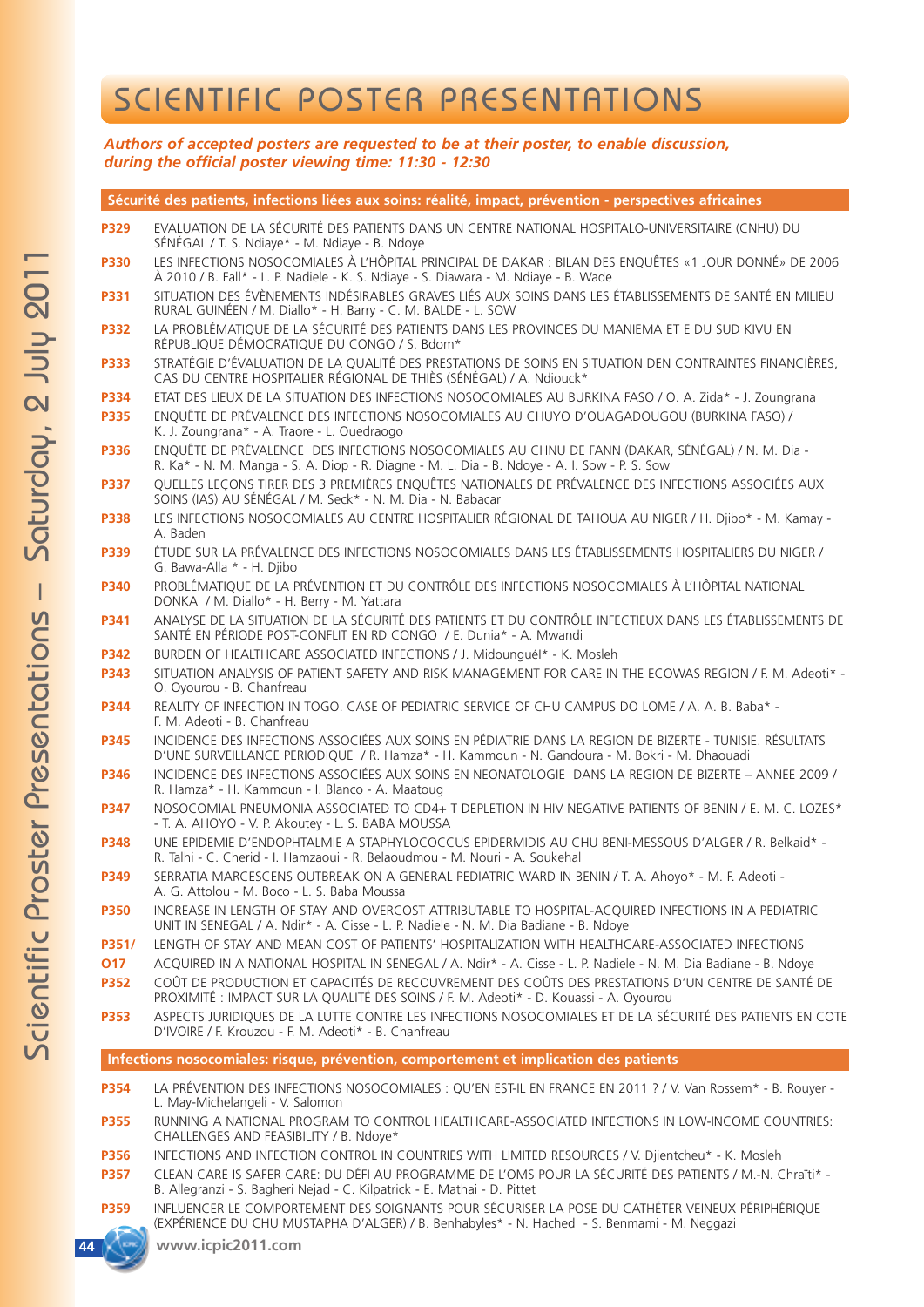## SCIENTIFIC POSTER PRESENTATIONS

*Authors of accepted posters are requested to be at their poster, to enable discussion, during the official poster viewing time: 11:30 - 12:30*

**Sécurité des patients, infections liées aux soins: réalité, impact, prévention - perspectives africaines P329** EVALUATION DE LA SÉCURITÉ DES PATIENTS DANS UN CENTRE NATIONAL HOSPITALO-UNIVERSITAIRE (CNHU) DU SÉNÉGAL / T. S. Ndiaye\* - M. Ndiaye - B. Ndoye **P330** LES INFECTIONS NOSOCOMIALES À L'HÔPITAL PRINCIPAL DE DAKAR : BILAN DES ENQUÊTES «1 JOUR DONNÉ» DE 2006 À 2010 / B. Fall\* - L. P. Nadiele - K. S. Ndiaye - S. Diawara - M. Ndiaye - B. Wade **P331** SITUATION DES ÉVÈNEMENTS INDÉSIRABLES GRAVES LIÉS AUX SOINS DANS LES ÉTABLISSEMENTS DE SANTÉ EN MILIEU RURAL GUINÉEN / M. Diallo\* - H. Barry - C. M. BALDE - L. SOW **P332** LA PROBLÉMATIQUE DE LA SÉCURITÉ DES PATIENTS DANS LES PROVINCES DU MANIEMA ET E DU SUD KIVU EN RÉPUBLIQUE DÉMOCRATIQUE DU CONGO / S. Bdom\* **P333** STRATÉGIE D'ÉVALUATION DE LA QUALITÉ DES PRESTATIONS DE SOINS EN SITUATION DEN CONTRAINTES FINANCIÈRES, CAS DU CENTRE HOSPITALIER RÉGIONAL DE THIÈS (SÉNÉGAL) / A. Ndiouck\* **P334** ETAT DES LIEUX DE LA SITUATION DES INFECTIONS NOSOCOMIALES AU BURKINA FASO / O. A. Zida\* - J. Zoungrana **P335** ENQUÊTE DE PRÉVALENCE DES INFECTIONS NOSOCOMIALES AU CHUYO D'OUAGADOUGOU (BURKINA FASO) / K. J. Zoungrana\* - A. Traore - L. Ouedraogo **P336** ENQUÊTE DE PRÉVALENCE DES INFECTIONS NOSOCOMIALES AU CHNU DE FANN (DAKAR, SÉNÉGAL) / N. M. Dia - R. Ka\* - N. M. Manga - S. A. Diop - R. Diagne - M. L. Dia - B. Ndoye - A. I. Sow - P. S. Sow **P337** QUELLES LEÇONS TIRER DES 3 PREMIÈRES ENQUÊTES NATIONALES DE PRÉVALENCE DES INFECTIONS ASSOCIÉES AUX SOINS (IAS) AU SÉNÉGAL / M. Seck\* - N. M. Dia - N. Babacar **P338** LES INFECTIONS NOSOCOMIALES AU CENTRE HOSPITALIER RÉGIONAL DE TAHOUA AU NIGER / H. Djibo\* - M. Kamay - A. Baden **P339** ÉTUDE SUR LA PRÉVALENCE DES INFECTIONS NOSOCOMIALES DANS LES ÉTABLISSEMENTS HOSPITALIERS DU NIGER / G. Bawa-Alla \* - H. Djibo **P340** PROBLÉMATIQUE DE LA PRÉVENTION ET DU CONTRÔLE DES INFECTIONS NOSOCOMIALES À L'HÔPITAL NATIONAL DONKA / M. Diallo\* - H. Berry - M. Yattara **P341** ANALYSE DE LA SITUATION DE LA SÉCURITÉ DES PATIENTS ET DU CONTRÔLE INFECTIEUX DANS LES ÉTABLISSEMENTS DE SANTÉ EN PÉRIODE POST-CONFLIT EN RD CONGO / E. Dunia\* - A. Mwandi **P342** BURDEN OF HEALTHCARE ASSOCIATED INFECTIONS / J. MidounguéI\* - K. Mosleh **P343** SITUATION ANALYSIS OF PATIENT SAFETY AND RISK MANAGEMENT FOR CARE IN THE ECOWAS REGION / F. M. Adeoti\* - O. Oyourou - B. Chanfreau **P344** REALITY OF INFECTION IN TOGO. CASE OF PEDIATRIC SERVICE OF CHU CAMPUS DO LOME / A. A. B. Baba\* - F. M. Adeoti - B. Chanfreau **P345** INCIDENCE DES INFECTIONS ASSOCIÉES AUX SOINS EN PÉDIATRIE DANS LA REGION DE BIZERTE - TUNISIE. RÉSULTATS D'UNE SURVEILLANCE PERIODIQUE / R. Hamza\* - H. Kammoun - N. Gandoura - M. Bokri - M. Dhaouadi

- **P346** INCIDENCE DES INFECTIONS ASSOCIÉES AUX SOINS EN NEONATOLOGIE DANS LA REGION DE BIZERTE ANNEE 2009 / R. Hamza\* - H. Kammoun - I. Blanco - A. Maatoug
- **P347** NOSOCOMIAL PNEUMONIA ASSOCIATED TO CD4+ T DEPLETION IN HIV NEGATIVE PATIENTS OF BENIN / E. M. C. LOZES\* - T. A. AHOYO - V. P. Akoutey - L. S. BABA MOUSSA
- **P348** UNE EPIDEMIE D'ENDOPHTALMIE A STAPHYLOCOCCUS EPIDERMIDIS AU CHU BENI-MESSOUS D'ALGER / R. Belkaid\* R. Talhi - C. Cherid - I. Hamzaoui - R. Belaoudmou - M. Nouri - A. Soukehal
- **P349** SERRATIA MARCESCENS OUTBREAK ON A GENERAL PEDIATRIC WARD IN BENIN / T. A. Ahoyo\* M. F. Adeoti A. G. Attolou - M. Boco - L. S. Baba Moussa
- **P350** INCREASE IN LENGTH OF STAY AND OVERCOST ATTRIBUTABLE TO HOSPITAL-ACQUIRED INFECTIONS IN A PEDIATRIC UNIT IN SENEGAL / A. Ndir\* - A. Cisse - L. P. Nadiele - N. M. Dia Badiane - B. Ndoye
- **P351/** LENGTH OF STAY AND MEAN COST OF PATIENTS' HOSPITALIZATION WITH HEALTHCARE-ASSOCIATED INFECTIONS
- **O17** ACQUIRED IN A NATIONAL HOSPITAL IN SENEGAL / A. Ndir\* A. Cisse L. P. Nadiele N. M. Dia Badiane B. Ndoye
- **P352** COÛT DE PRODUCTION ET CAPACITÉS DE RECOUVREMENT DES COÛTS DES PRESTATIONS D'UN CENTRE DE SANTÉ DE PROXIMITÉ : IMPACT SUR LA QUALITÉ DES SOINS / F. M. Adeoti\* - D. Kouassi - A. Oyourou
- **P353** ASPECTS JURIDIQUES DE LA LUTTE CONTRE LES INFECTIONS NOSOCOMIALES ET DE LA SÉCURITÉ DES PATIENTS EN COTE D'IVOIRE / F. Krouzou - F. M. Adeoti\* - B. Chanfreau

**Infections nosocomiales: risque, prévention, comportement et implication des patients**

- P354 LA PRÉVENTION DES INFECTIONS NOSOCOMIALES : QU'EN EST-IL EN FRANCE EN 2011 ? / V. Van Rossem\* B. Rouyer -L. May-Michelangeli - V. Salomon
- **P355** RUNNING A NATIONAL PROGRAM TO CONTROL HEALTHCARE-ASSOCIATED INFECTIONS IN LOW-INCOME COUNTRIES: CHALLENGES AND FEASIBILITY / B. Ndoye\*
- **P356** INFECTIONS AND INFECTION CONTROL IN COUNTRIES WITH LIMITED RESOURCES / V. Djientcheu\* K. Mosleh
- **P357** CLEAN CARE IS SAFER CARE: DU DÉFI AU PROGRAMME DE L'OMS POUR LA SÉCURITÉ DES PATIENTS / M.-N. Chraïti\* B. Allegranzi - S. Bagheri Nejad - C. Kilpatrick - E. Mathai - D. Pittet
- **P359** INFLUENCER LE COMPORTEMENT DES SOIGNANTS POUR SÉCURISER LA POSE DU CATHÉTER VEINEUX PÉRIPHÉRIQUE (EXPÉRIENCE DU CHU MUSTAPHA D'ALGER) / B. Benhabyles\* - N. Hached - S. Benmami - M. Neggazi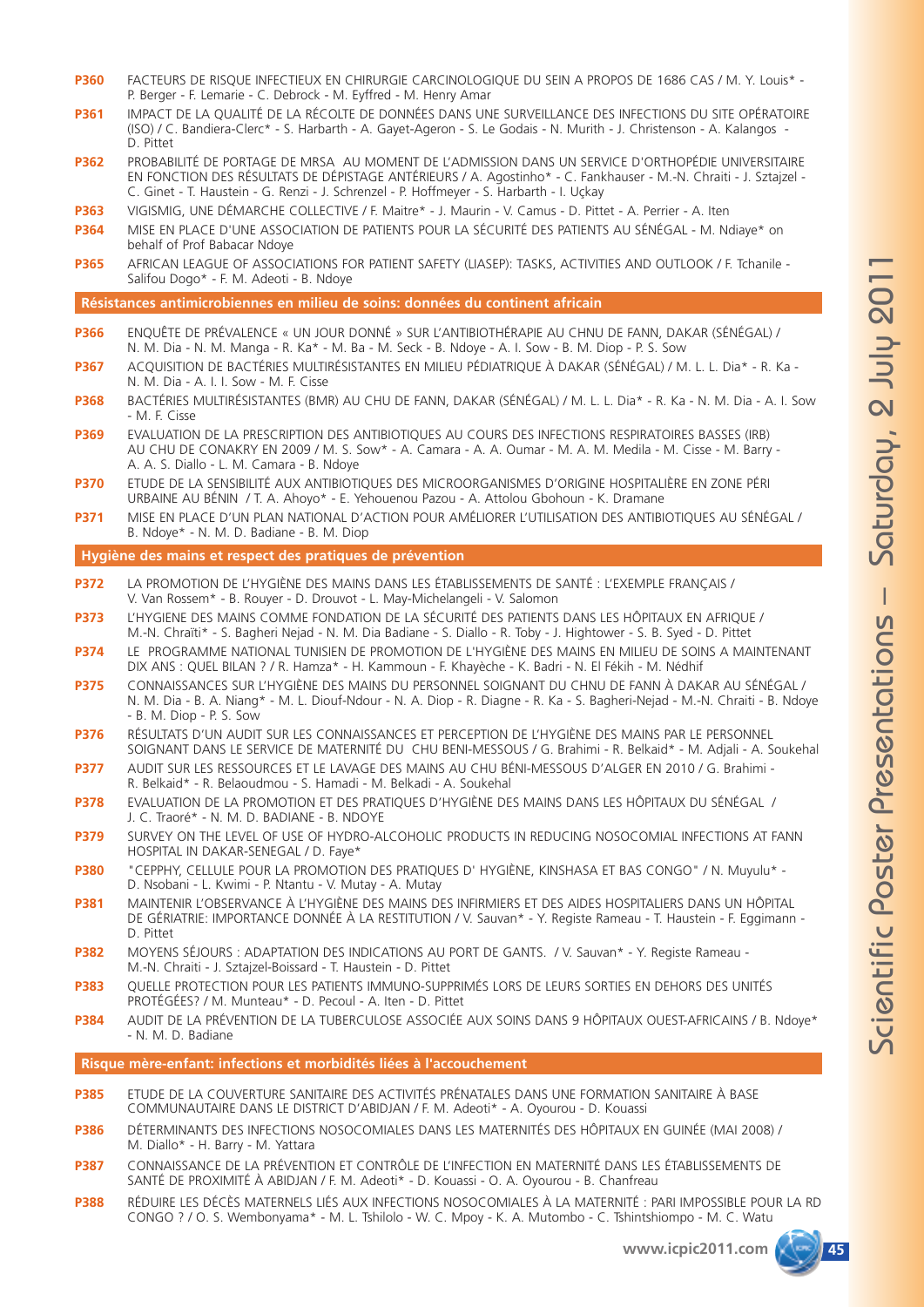- **P360** FACTEURS DE RISQUE INFECTIEUX EN CHIRURGIE CARCINOLOGIQUE DU SEIN A PROPOS DE 1686 CAS / M. Y. Louis\* P. Berger - F. Lemarie - C. Debrock - M. Eyffred - M. Henry Amar
- **P361** IMPACT DE LA QUALITÉ DE LA RÉCOLTE DE DONNÉES DANS UNE SURVEILLANCE DES INFECTIONS DU SITE OPÉRATOIRE (ISO) / C. Bandiera-Clerc\* - S. Harbarth - A. Gayet-Ageron - S. Le Godais - N. Murith - J. Christenson - A. Kalangos - D. Pittet
- **P362** PROBABILITÉ DE PORTAGE DE MRSA AU MOMENT DE L'ADMISSION DANS UN SERVICE D'ORTHOPÉDIE UNIVERSITAIRE EN FONCTION DES RÉSULTATS DE DÉPISTAGE ANTÉRIEURS / A. Agostinho\* - C. Fankhauser - M.-N. Chraiti - J. Sztajzel - C. Ginet - T. Haustein - G. Renzi - J. Schrenzel - P. Hoffmeyer - S. Harbarth - I. Uçkay
- **P363** VIGISMIG, UNE DÉMARCHE COLLECTIVE / F. Maitre\* J. Maurin V. Camus D. Pittet A. Perrier A. Iten
- **P364** MISE EN PLACE D'UNE ASSOCIATION DE PATIENTS POUR LA SÉCURITÉ DES PATIENTS AU SÉNÉGAL M. Ndiaye\* on behalf of Prof Babacar Ndoye
- **P365** AFRICAN LEAGUE OF ASSOCIATIONS FOR PATIENT SAFETY (LIASEP): TASKS, ACTIVITIES AND OUTLOOK / F. Tchanile Salifou Dogo\* - F. M. Adeoti - B. Ndoye

#### **Résistances antimicrobiennes en milieu de soins: données du continent africain**

- **P366** ENQUÊTE DE PRÉVALENCE « UN JOUR DONNÉ » SUR L'ANTIBIOTHÉRAPIE AU CHNU DE FANN, DAKAR (SÉNÉGAL) / N. M. Dia - N. M. Manga - R. Ka\* - M. Ba - M. Seck - B. Ndoye - A. I. Sow - B. M. Diop - P. S. Sow
- **P367** ACQUISITION DE BACTÉRIES MULTIRÉSISTANTES EN MILIEU PÉDIATRIQUE À DAKAR (SÉNÉGAL) / M. L. L. Dia\* R. Ka N. M. Dia - A. I. I. Sow - M. F. Cisse
- **P368** BACTÉRIES MULTIRÉSISTANTES (BMR) AU CHU DE FANN, DAKAR (SÉNÉGAL) / M. L. L. Dia\* R. Ka N. M. Dia A. I. Sow - M. F. Cisse
- **P369** EVALUATION DE LA PRESCRIPTION DES ANTIBIOTIQUES AU COURS DES INFECTIONS RESPIRATOIRES BASSES (IRB) AU CHU DE CONAKRY EN 2009 / M. S. Sow\* - A. Camara - A. A. Oumar - M. A. M. Medila - M. Cisse - M. Barry - A. A. S. Diallo - L. M. Camara - B. Ndoye
- **P370** ETUDE DE LA SENSIBILITÉ AUX ANTIBIOTIQUES DES MICROORGANISMES D'ORIGINE HOSPITALIÈRE EN ZONE PÉRI URBAINE AU BÉNIN / T. A. Ahoyo\* - E. Yehouenou Pazou - A. Attolou Gbohoun - K. Dramane
- **P371** MISE EN PLACE D'UN PLAN NATIONAL D'ACTION POUR AMÉLIORER L'UTILISATION DES ANTIBIOTIQUES AU SÉNÉGAL / B. Ndoye\* - N. M. D. Badiane - B. M. Diop

#### **Hygiène des mains et respect des pratiques de prévention**

- **P372** LA PROMOTION DE L'HYGIÈNE DES MAINS DANS LES ÉTABLISSEMENTS DE SANTÉ : L'EXEMPLE FRANÇAIS / V. Van Rossem\* - B. Rouyer - D. Drouvot - L. May-Michelangeli - V. Salomon
- **P373** L'HYGIENE DES MAINS COMME FONDATION DE LA SÉCURITÉ DES PATIENTS DANS LES HÔPITAUX EN AFRIQUE / M.-N. Chraïti\* - S. Bagheri Nejad - N. M. Dia Badiane - S. Diallo - R. Toby - J. Hightower - S. B. Syed - D. Pittet
- **P374** LE PROGRAMME NATIONAL TUNISIEN DE PROMOTION DE L'HYGIÈNE DES MAINS EN MILIEU DE SOINS A MAINTENANT DIX ANS : QUEL BILAN ? / R. Hamza\* - H. Kammoun - F. Khayèche - K. Badri - N. El Fékih - M. Nédhif
- **P375** CONNAISSANCES SUR L'HYGIÈNE DES MAINS DU PERSONNEL SOIGNANT DU CHNU DE FANN À DAKAR AU SÉNÉGAL / N. M. Dia - B. A. Niang\* - M. L. Diouf-Ndour - N. A. Diop - R. Diagne - R. Ka - S. Bagheri-Nejad - M.-N. Chraiti - B. Ndoye - B. M. Diop - P. S. Sow
- **P376** RÉSULTATS D'UN AUDIT SUR LES CONNAISSANCES ET PERCEPTION DE L'HYGIÈNE DES MAINS PAR LE PERSONNEL SOIGNANT DANS LE SERVICE DE MATERNITÉ DU CHU BENI-MESSOUS / G. Brahimi - R. Belkaid\* - M. Adjali - A. Soukehal
- **P377** AUDIT SUR LES RESSOURCES ET LE LAVAGE DES MAINS AU CHU BÉNI-MESSOUS D'ALGER EN 2010 / G. Brahimi R. Belkaid\* - R. Belaoudmou - S. Hamadi - M. Belkadi - A. Soukehal
- **P378** EVALUATION DE LA PROMOTION ET DES PRATIQUES D'HYGIÈNE DES MAINS DANS LES HÔPITAUX DU SÉNÉGAL / J. C. Traoré\* - N. M. D. BADIANE - B. NDOYE
- **P379** SURVEY ON THE LEVEL OF USE OF HYDRO-ALCOHOLIC PRODUCTS IN REDUCING NOSOCOMIAL INFECTIONS AT FANN HOSPITAL IN DAKAR-SENEGAL / D. Faye\*
- **P380** "CEPPHY, CELLULE POUR LA PROMOTION DES PRATIQUES D' HYGIÈNE, KINSHASA ET BAS CONGO" / N. Muyulu\* D. Nsobani - L. Kwimi - P. Ntantu - V. Mutay - A. Mutay
- **P381** MAINTENIR L'OBSERVANCE À L'HYGIÈNE DES MAINS DES INFIRMIERS ET DES AIDES HOSPITALIERS DANS UN HÔPITAL DE GÉRIATRIE: IMPORTANCE DONNÉE À LA RESTITUTION / V. Sauvan\* - Y. Registe Rameau - T. Haustein - F. Eggimann - D. Pittet
- **P382** MOYENS SÉJOURS : ADAPTATION DES INDICATIONS AU PORT DE GANTS. / V. Sauvan\* Y. Registe Rameau M.-N. Chraiti - J. Sztajzel-Boissard - T. Haustein - D. Pittet
- **P383** QUELLE PROTECTION POUR LES PATIENTS IMMUNO-SUPPRIMÉS LORS DE LEURS SORTIES EN DEHORS DES UNITÉS PROTÉGÉES? / M. Munteau\* - D. Pecoul - A. Iten - D. Pittet
- **P384** AUDIT DE LA PRÉVENTION DE LA TUBERCULOSE ASSOCIÉE AUX SOINS DANS 9 HÔPITAUX OUEST-AFRICAINS / B. Ndoye\* - N. M. D. Badiane

**Risque mère-enfant: infections et morbidités liées à l'accouchement**

- **P385** ETUDE DE LA COUVERTURE SANITAIRE DES ACTIVITÉS PRÉNATALES DANS UNE FORMATION SANITAIRE À BASE COMMUNAUTAIRE DANS LE DISTRICT D'ABIDJAN / F. M. Adeoti\* - A. Oyourou - D. Kouassi
- **P386** DÉTERMINANTS DES INFECTIONS NOSOCOMIALES DANS LES MATERNITÉS DES HÔPITAUX EN GUINÉE (MAI 2008) / M. Diallo\* - H. Barry - M. Yattara
- **P387** CONNAISSANCE DE LA PRÉVENTION ET CONTRÔLE DE L'INFECTION EN MATERNITÉ DANS LES ÉTABLISSEMENTS DE SANTÉ DE PROXIMITÉ À ABIDJAN / F. M. Adeoti\* - D. Kouassi - O. A. Oyourou - B. Chanfreau
- **P388** RÉDUIRE LES DÉCÈS MATERNELS LIÉS AUX INFECTIONS NOSOCOMIALES À LA MATERNITÉ : PARI IMPOSSIBLE POUR LA RD CONGO ? / O. S. Wembonyama\* - M. L. Tshilolo - W. C. Mpoy - K. A. Mutombo - C. Tshintshiompo - M. C. Watu

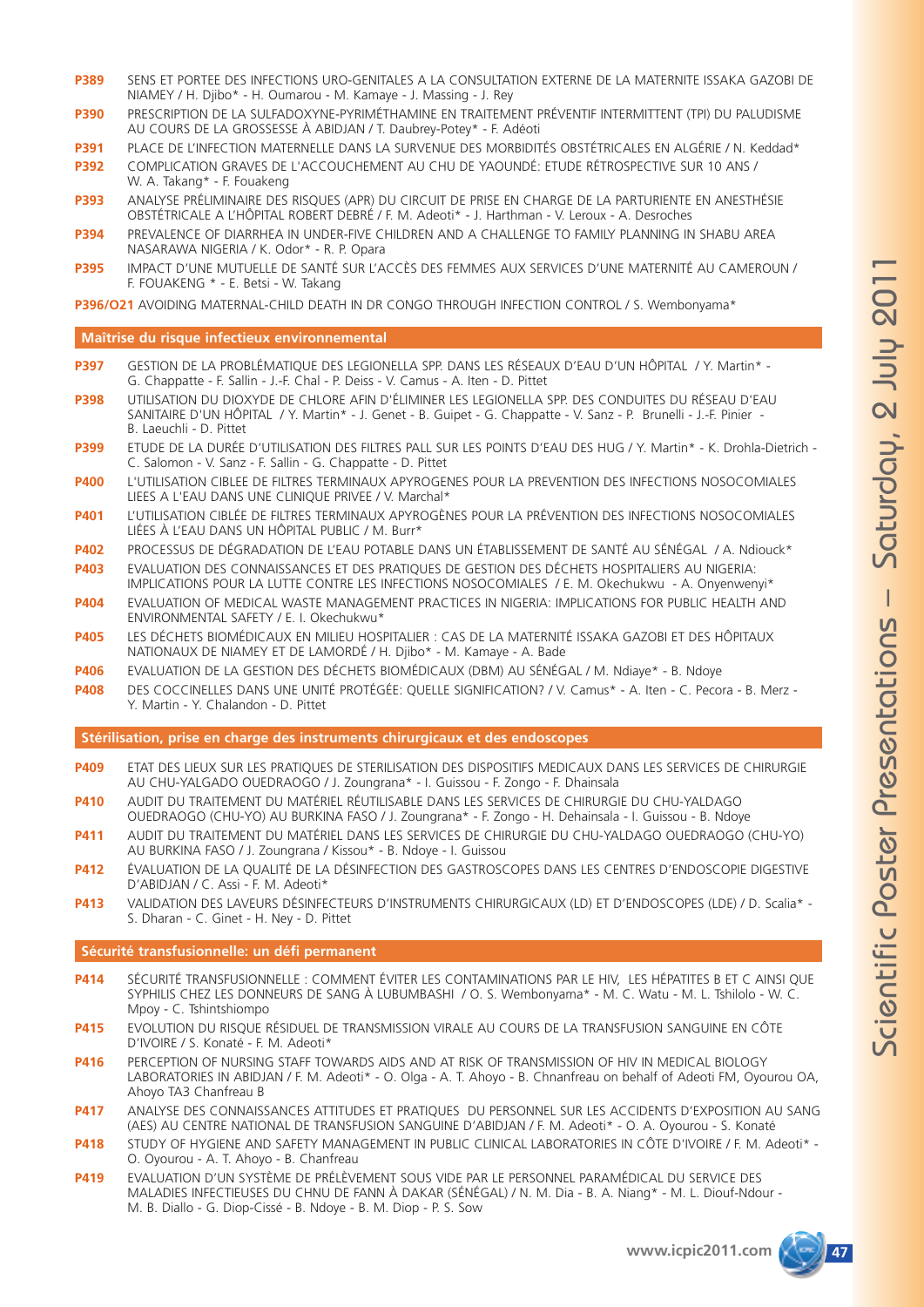- **P389** SENS ET PORTEE DES INFECTIONS URO-GENITALES A LA CONSULTATION EXTERNE DE LA MATERNITE ISSAKA GAZOBI DE NIAMEY / H. Djibo\* - H. Oumarou - M. Kamaye - J. Massing - J. Rey
- **P390** PRESCRIPTION DE LA SULFADOXYNE-PYRIMÉTHAMINE EN TRAITEMENT PRÉVENTIF INTERMITTENT (TPI) DU PALUDISME AU COURS DE LA GROSSESSE À ABIDJAN / T. Daubrey-Potey\* - F. Adéoti
- P391 PLACE DE L'INFECTION MATERNELLE DANS LA SURVENUE DES MORBIDITÉS OBSTÉTRICALES EN ALGÉRIE / N. Keddad\*
- **P392** COMPLICATION GRAVES DE L'ACCOUCHEMENT AU CHU DE YAOUNDÉ: ETUDE RÉTROSPECTIVE SUR 10 ANS / W. A. Takang\* - F. Fouakeng
- **P393** ANALYSE PRÉLIMINAIRE DES RISQUES (APR) DU CIRCUIT DE PRISE EN CHARGE DE LA PARTURIENTE EN ANESTHÉSIE OBSTÉTRICALE A L'HÔPITAL ROBERT DEBRÉ / F. M. Adeoti\* - J. Harthman - V. Leroux - A. Desroches
- **P394** PREVALENCE OF DIARRHEA IN UNDER-FIVE CHILDREN AND A CHALLENGE TO FAMILY PLANNING IN SHABU AREA NASARAWA NIGERIA / K. Odor\* - R. P. Opara
- **P395** IMPACT D'UNE MUTUELLE DE SANTÉ SUR L'ACCÈS DES FEMMES AUX SERVICES D'UNE MATERNITÉ AU CAMEROUN / F. FOUAKENG \* - E. Betsi - W. Takang

**P396/O21** AVOIDING MATERNAL-CHILD DEATH IN DR CONGO THROUGH INFECTION CONTROL / S. Wembonyama\*

#### **Maîtrise du risque infectieux environnemental**

- **P397** GESTION DE LA PROBLÉMATIQUE DES LEGIONELLA SPP. DANS LES RÉSEAUX D'EAU D'UN HÔPITAL / Y. Martin\* G. Chappatte - F. Sallin - J.-F. Chal - P. Deiss - V. Camus - A. Iten - D. Pittet
- **P398** UTILISATION DU DIOXYDE DE CHLORE AFIN D'ÉLIMINER LES LEGIONELLA SPP. DES CONDUITES DU RÉSEAU D'EAU SANITAIRE D'UN HÔPITAL / Y. Martin\* - J. Genet - B. Guipet - G. Chappatte - V. Sanz - P. Brunelli - J.-F. Pinier - B. Laeuchli - D. Pittet
- **P399** ETUDE DE LA DURÉE D'UTILISATION DES FILTRES PALL SUR LES POINTS D'EAU DES HUG / Y. Martin\* K. Drohla-Dietrich C. Salomon - V. Sanz - F. Sallin - G. Chappatte - D. Pittet
- **P400** L'UTILISATION CIBLEE DE FILTRES TERMINAUX APYROGENES POUR LA PREVENTION DES INFECTIONS NOSOCOMIALES LIEES A L'EAU DANS UNE CLINIQUE PRIVEE / V. Marchal\*
- **P401** L'UTILISATION CIBLÉE DE FILTRES TERMINAUX APYROGÈNES POUR LA PRÉVENTION DES INFECTIONS NOSOCOMIALES LIÉES À L'EAU DANS UN HÔPITAL PUBLIC / M. Burr\*
- **P402** PROCESSUS DE DÉGRADATION DE L'EAU POTABLE DANS UN ÉTABLISSEMENT DE SANTÉ AU SÉNÉGAL / A. Ndiouck\*
- **P403** EVALUATION DES CONNAISSANCES ET DES PRATIQUES DE GESTION DES DÉCHETS HOSPITALIERS AU NIGERIA: IMPLICATIONS POUR LA LUTTE CONTRE LES INFECTIONS NOSOCOMIALES / E. M. Okechukwu - A. Onyenwenyi\*
- **P404** EVALUATION OF MEDICAL WASTE MANAGEMENT PRACTICES IN NIGERIA: IMPLICATIONS FOR PUBLIC HEALTH AND ENVIRONMENTAL SAFETY / E. I. Okechukwu\*
- **P405** LES DÉCHETS BIOMÉDICAUX EN MILIEU HOSPITALIER : CAS DE LA MATERNITÉ ISSAKA GAZOBI ET DES HÔPITAUX NATIONAUX DE NIAMEY ET DE LAMORDÉ / H. Djibo\* - M. Kamaye - A. Bade
- **P406** EVALUATION DE LA GESTION DES DÉCHETS BIOMÉDICAUX (DBM) AU SÉNÉGAL / M. Ndiaye\* B. Ndoye
- **P408** DES COCCINELLES DANS UNE UNITÉ PROTÉGÉE: QUELLE SIGNIFICATION? / V. Camus\* A. Iten C. Pecora B. Merz Y. Martin - Y. Chalandon - D. Pittet

**Stérilisation, prise en charge des instruments chirurgicaux et des endoscopes**

- **P409** ETAT DES LIEUX SUR LES PRATIQUES DE STERILISATION DES DISPOSITIFS MEDICAUX DANS LES SERVICES DE CHIRURGIE AU CHU-YALGADO OUEDRAOGO / J. Zoungrana\* - I. Guissou - F. Zongo - F. Dhainsala
- **P410** AUDIT DU TRAITEMENT DU MATÉRIEL RÉUTILISABLE DANS LES SERVICES DE CHIRURGIE DU CHU-YALDAGO OUEDRAOGO (CHU-YO) AU BURKINA FASO / J. Zoungrana\* - F. Zongo - H. Dehainsala - I. Guissou - B. Ndoye
- **P411** AUDIT DU TRAITEMENT DU MATÉRIEL DANS LES SERVICES DE CHIRURGIE DU CHU-YALDAGO OUEDRAOGO (CHU-YO) AU BURKINA FASO / J. Zoungrana / Kissou\* - B. Ndoye - I. Guissou
- **P412** ÉVALUATION DE LA QUALITÉ DE LA DÉSINFECTION DES GASTROSCOPES DANS LES CENTRES D'ENDOSCOPIE DIGESTIVE D'ABIDJAN / C. Assi - F. M. Adeoti\*
- **P413** VALIDATION DES LAVEURS DÉSINFECTEURS D'INSTRUMENTS CHIRURGICAUX (LD) ET D'ENDOSCOPES (LDE) / D. Scalia\* S. Dharan - C. Ginet - H. Ney - D. Pittet

#### **Sécurité transfusionnelle: un défi permanent**

- **P414** SÉCURITÉ TRANSFUSIONNELLE : COMMENT ÉVITER LES CONTAMINATIONS PAR LE HIV, LES HÉPATITES B ET C AINSI QUE SYPHILIS CHEZ LES DONNEURS DE SANG À LUBUMBASHI / O. S. Wembonyama\* - M. C. Watu - M. L. Tshilolo - W. C. Mpoy - C. Tshintshiompo
- **P415** EVOLUTION DU RISQUE RÉSIDUEL DE TRANSMISSION VIRALE AU COURS DE LA TRANSFUSION SANGUINE EN CÔTE D'IVOIRE / S. Konaté - F. M. Adeoti\*
- **P416** PERCEPTION OF NURSING STAFF TOWARDS AIDS AND AT RISK OF TRANSMISSION OF HIV IN MEDICAL BIOLOGY LABORATORIES IN ABIDJAN / F. M. Adeoti\* - O. Olga - A. T. Ahoyo - B. Chnanfreau on behalf of Adeoti FM, Oyourou OA, Ahoyo TA3 Chanfreau B
- **P417** ANALYSE DES CONNAISSANCES ATTITUDES ET PRATIQUES DU PERSONNEL SUR LES ACCIDENTS D'EXPOSITION AU SANG (AES) AU CENTRE NATIONAL DE TRANSFUSION SANGUINE D'ABIDJAN / F. M. Adeoti\* - O. A. Oyourou - S. Konaté
- **P418** STUDY OF HYGIENE AND SAFETY MANAGEMENT IN PUBLIC CLINICAL LABORATORIES IN CÔTE D'IVOIRE / F. M. Adeoti\* O. Oyourou - A. T. Ahoyo - B. Chanfreau
- **P419** EVALUATION D'UN SYSTÈME DE PRÉLÈVEMENT SOUS VIDE PAR LE PERSONNEL PARAMÉDICAL DU SERVICE DES MALADIES INFECTIEUSES DU CHNU DE FANN À DAKAR (SÉNÉGAL) / N. M. Dia - B. A. Niang\* - M. L. Diouf-Ndour - M. B. Diallo - G. Diop-Cissé - B. Ndoye - B. M. Diop - P. S. Sow

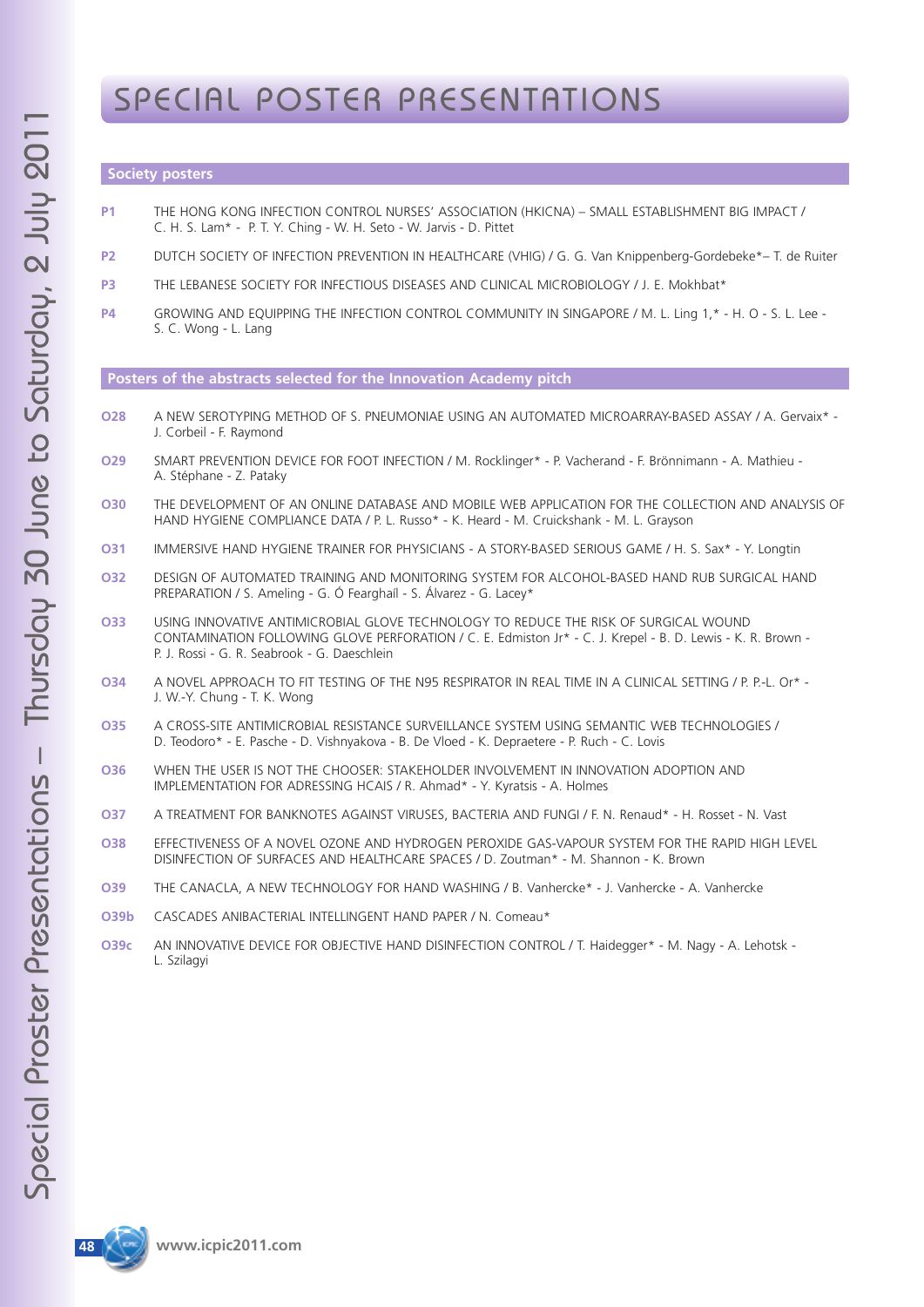## SPECIAL POSTER PRESENTATIONS

### **Society posters**

- **P1** THE HONG KONG INFECTION CONTROL NURSES' ASSOCIATION (HKICNA) SMALL ESTABLISHMENT BIG IMPACT / C. H. S. Lam\* - P. T. Y. Ching - W. H. Seto - W. Jarvis - D. Pittet
- **P2** DUTCH SOCIETY OF INFECTION PREVENTION IN HEALTHCARE (VHIG) / G. G. Van Knippenberg-Gordebeke\*– T. de Ruiter
- **P3** THE LEBANESE SOCIETY FOR INFECTIOUS DISEASES AND CLINICAL MICROBIOLOGY / J. E. Mokhbat\*
- **P4** GROWING AND EQUIPPING THE INFECTION CONTROL COMMUNITY IN SINGAPORE / M. L. Ling 1,\* H. O S. L. Lee S. C. Wong - L. Lang

**Posters of the abstracts selected for the Innovation Academy pitch**

- **O28** A NEW SEROTYPING METHOD OF S. PNEUMONIAE USING AN AUTOMATED MICROARRAY-BASED ASSAY / A. Gervaix\* J. Corbeil - F. Raymond
- **O29** SMART PREVENTION DEVICE FOR FOOT INFECTION / M. Rocklinger\* P. Vacherand F. Brönnimann A. Mathieu A. Stéphane - Z. Pataky
- **O30** THE DEVELOPMENT OF AN ONLINE DATABASE AND MOBILE WEB APPLICATION FOR THE COLLECTION AND ANALYSIS OF HAND HYGIENE COMPLIANCE DATA / P. L. Russo\* - K. Heard - M. Cruickshank - M. L. Grayson
- **O31** IMMERSIVE HAND HYGIENE TRAINER FOR PHYSICIANS A STORY-BASED SERIOUS GAME / H. S. Sax\* Y. Longtin
- **O32** DESIGN OF AUTOMATED TRAINING AND MONITORING SYSTEM FOR ALCOHOL-BASED HAND RUB SURGICAL HAND PREPARATION / S. Ameling - G. Ó Fearghaíl - S. Álvarez - G. Lacey\*
- **O33** USING INNOVATIVE ANTIMICROBIAL GLOVE TECHNOLOGY TO REDUCE THE RISK OF SURGICAL WOUND CONTAMINATION FOLLOWING GLOVE PERFORATION / C. E. Edmiston Jr\* - C. J. Krepel - B. D. Lewis - K. R. Brown - P. J. Rossi - G. R. Seabrook - G. Daeschlein
- **O34** A NOVEL APPROACH TO FIT TESTING OF THE N95 RESPIRATOR IN REAL TIME IN A CLINICAL SETTING / P. P.-L. Or\* J. W.-Y. Chung - T. K. Wong
- **O35** A CROSS-SITE ANTIMICROBIAL RESISTANCE SURVEILLANCE SYSTEM USING SEMANTIC WEB TECHNOLOGIES / D. Teodoro\* - E. Pasche - D. Vishnyakova - B. De Vloed - K. Depraetere - P. Ruch - C. Lovis
- **O36** WHEN THE USER IS NOT THE CHOOSER: STAKEHOLDER INVOLVEMENT IN INNOVATION ADOPTION AND IMPLEMENTATION FOR ADRESSING HCAIS / R. Ahmad\* - Y. Kyratsis - A. Holmes
- **O37** A TREATMENT FOR BANKNOTES AGAINST VIRUSES, BACTERIA AND FUNGI / F. N. Renaud\* H. Rosset N. Vast
- **O38** EFFECTIVENESS OF A NOVEL OZONE AND HYDROGEN PEROXIDE GAS-VAPOUR SYSTEM FOR THE RAPID HIGH LEVEL DISINFECTION OF SURFACES AND HEALTHCARE SPACES / D. Zoutman\* - M. Shannon - K. Brown
- **O39** THE CANACLA, A NEW TECHNOLOGY FOR HAND WASHING / B. Vanhercke\* J. Vanhercke A. Vanhercke
- **O39b** CASCADES ANIBACTERIAL INTELLINGENT HAND PAPER / N. Comeau\*
- **O39c** AN INNOVATIVE DEVICE FOR OBJECTIVE HAND DISINFECTION CONTROL / T. Haidegger\* M. Nagy A. Lehotsk L. Szilagyi



 $\boldsymbol{\mathsf{U}}$